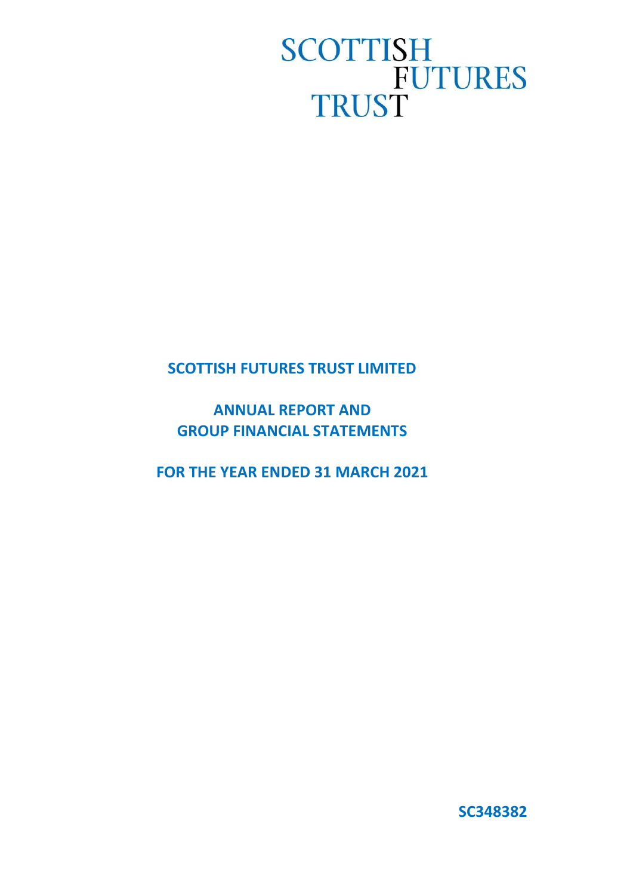# SCOTTISH FUTURES<br>TRUST

# **SCOTTISH FUTURES TRUST LIMITED**

**ANNUAL REPORT AND GROUP FINANCIAL STATEMENTS**

**FOR THE YEAR ENDED 31 MARCH 2021**

**SC348382**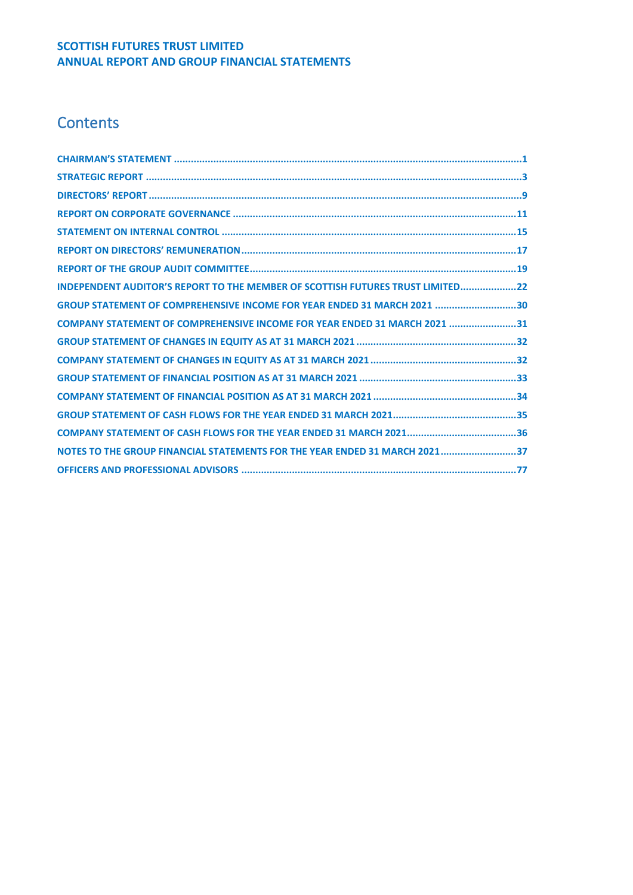# **Contents**

| INDEPENDENT AUDITOR'S REPORT TO THE MEMBER OF SCOTTISH FUTURES TRUST LIMITED22 |
|--------------------------------------------------------------------------------|
| GROUP STATEMENT OF COMPREHENSIVE INCOME FOR YEAR ENDED 31 MARCH 2021 30        |
| COMPANY STATEMENT OF COMPREHENSIVE INCOME FOR YEAR ENDED 31 MARCH 2021 31      |
|                                                                                |
|                                                                                |
|                                                                                |
|                                                                                |
|                                                                                |
|                                                                                |
| NOTES TO THE GROUP FINANCIAL STATEMENTS FOR THE YEAR ENDED 31 MARCH 202137     |
|                                                                                |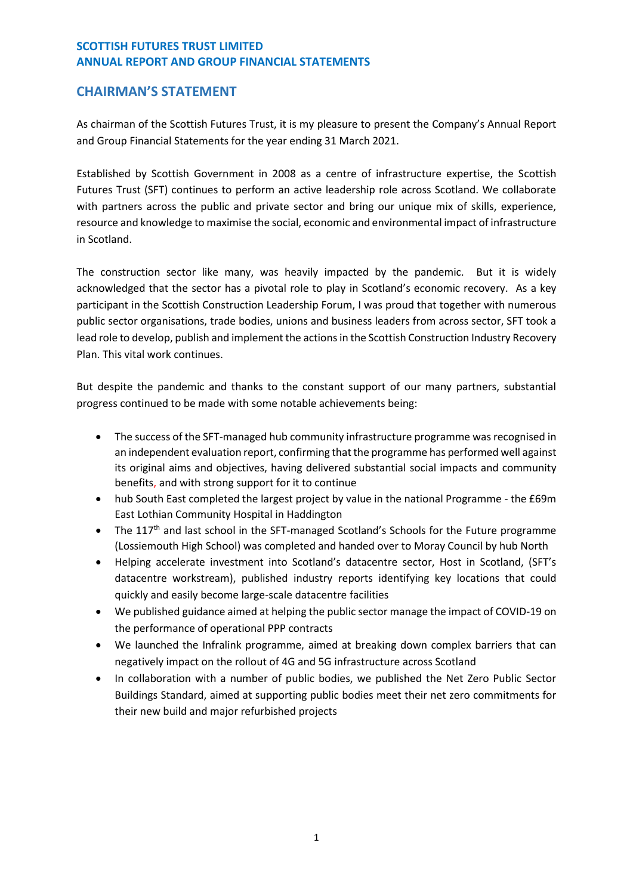## <span id="page-2-0"></span>**CHAIRMAN'S STATEMENT**

As chairman of the Scottish Futures Trust, it is my pleasure to present the Company's Annual Report and Group Financial Statements for the year ending 31 March 2021.

Established by Scottish Government in 2008 as a centre of infrastructure expertise, the Scottish Futures Trust (SFT) continues to perform an active leadership role across Scotland. We collaborate with partners across the public and private sector and bring our unique mix of skills, experience, resource and knowledge to maximise the social, economic and environmental impact of infrastructure in Scotland.

The construction sector like many, was heavily impacted by the pandemic. But it is widely acknowledged that the sector has a pivotal role to play in Scotland's economic recovery. As a key participant in the Scottish Construction Leadership Forum, I was proud that together with numerous public sector organisations, trade bodies, unions and business leaders from across sector, SFT took a lead role to develop, publish and implement the actions in the Scottish Construction Industry Recovery Plan. This vital work continues.

But despite the pandemic and thanks to the constant support of our many partners, substantial progress continued to be made with some notable achievements being:

- The success of the SFT-managed hub community infrastructure programme was recognised in an independent evaluation report, confirming that the programme has performed well against its original aims and objectives, having delivered substantial social impacts and community benefits, and with strong support for it to continue
- hub South East completed the largest project by value in the national Programme the £69m East Lothian Community Hospital in Haddington
- The  $117<sup>th</sup>$  and last school in the SFT-managed Scotland's Schools for the Future programme (Lossiemouth High School) was completed and handed over to Moray Council by hub North
- Helping accelerate investment into Scotland's datacentre sector, Host in Scotland, (SFT's datacentre workstream), published industry reports identifying key locations that could quickly and easily become large-scale datacentre facilities
- We published guidance aimed at helping the public sector manage the impact of COVID-19 on the performance of operational PPP contracts
- We launched the Infralink programme, aimed at breaking down complex barriers that can negatively impact on the rollout of 4G and 5G infrastructure across Scotland
- In collaboration with a number of public bodies, we published the Net Zero Public Sector Buildings Standard, aimed at supporting public bodies meet their net zero commitments for their new build and major refurbished projects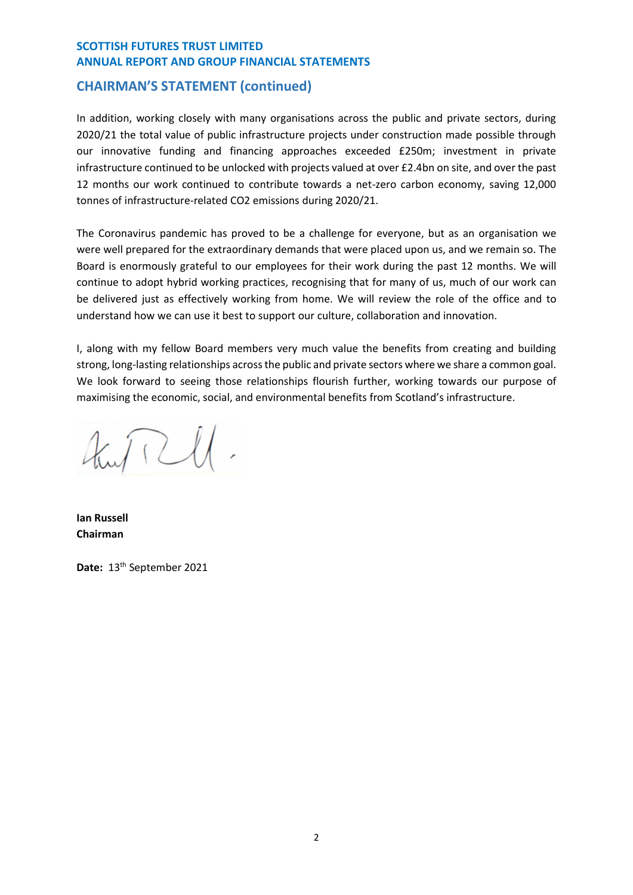## **CHAIRMAN'S STATEMENT (continued)**

In addition, working closely with many organisations across the public and private sectors, during 2020/21 the total value of public infrastructure projects under construction made possible through our innovative funding and financing approaches exceeded £250m; investment in private infrastructure continued to be unlocked with projects valued at over £2.4bn on site, and over the past 12 months our work continued to contribute towards a net-zero carbon economy, saving 12,000 tonnes of infrastructure-related CO2 emissions during 2020/21.

The Coronavirus pandemic has proved to be a challenge for everyone, but as an organisation we were well prepared for the extraordinary demands that were placed upon us, and we remain so. The Board is enormously grateful to our employees for their work during the past 12 months. We will continue to adopt hybrid working practices, recognising that for many of us, much of our work can be delivered just as effectively working from home. We will review the role of the office and to understand how we can use it best to support our culture, collaboration and innovation.

I, along with my fellow Board members very much value the benefits from creating and building strong, long-lasting relationships across the public and private sectors where we share a common goal. We look forward to seeing those relationships flourish further, working towards our purpose of maximising the economic, social, and environmental benefits from Scotland's infrastructure.

 $4\pi\Omega U$ .

**Ian Russell Chairman** 

Date: 13<sup>th</sup> September 2021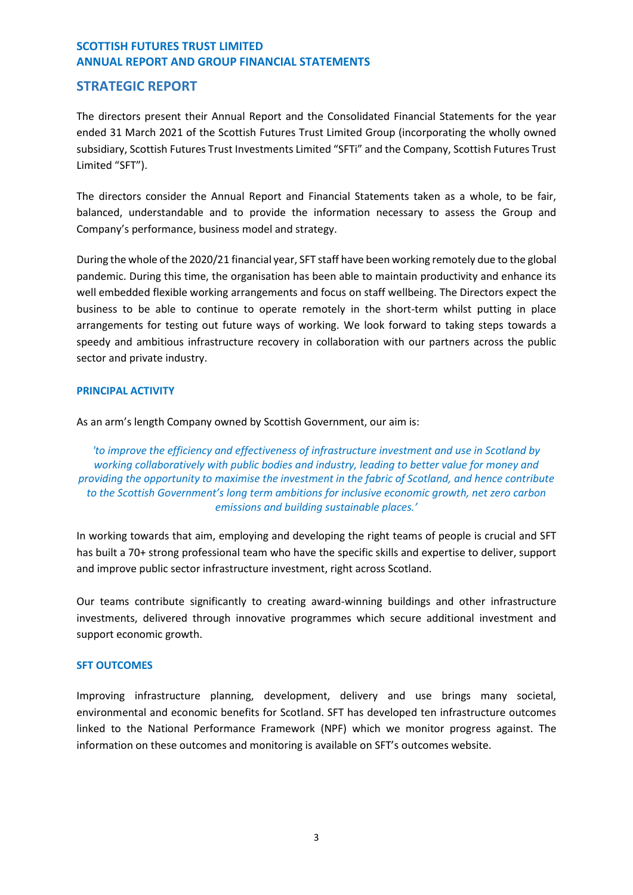## <span id="page-4-0"></span>**STRATEGIC REPORT**

The directors present their Annual Report and the Consolidated Financial Statements for the year ended 31 March 2021 of the Scottish Futures Trust Limited Group (incorporating the wholly owned subsidiary, Scottish Futures Trust Investments Limited "SFTi" and the Company, Scottish Futures Trust Limited "SFT").

The directors consider the Annual Report and Financial Statements taken as a whole, to be fair, balanced, understandable and to provide the information necessary to assess the Group and Company's performance, business model and strategy.

During the whole of the 2020/21 financial year, SFT staff have been working remotely due to the global pandemic. During this time, the organisation has been able to maintain productivity and enhance its well embedded flexible working arrangements and focus on staff wellbeing. The Directors expect the business to be able to continue to operate remotely in the short-term whilst putting in place arrangements for testing out future ways of working. We look forward to taking steps towards a speedy and ambitious infrastructure recovery in collaboration with our partners across the public sector and private industry.

## **PRINCIPAL ACTIVITY**

As an arm's length Company owned by Scottish Government, our aim is:

*'to improve the efficiency and effectiveness of infrastructure investment and use in Scotland by working collaboratively with public bodies and industry, leading to better value for money and providing the opportunity to maximise the investment in the fabric of Scotland, and hence contribute to the Scottish Government's long term ambitions for inclusive economic growth, net zero carbon emissions and building sustainable places.'*

In working towards that aim, employing and developing the right teams of people is crucial and SFT has built a 70+ strong professional team who have the specific skills and expertise to deliver, support and improve public sector infrastructure investment, right across Scotland.

Our teams contribute significantly to creating award-winning buildings and other infrastructure investments, delivered through innovative programmes which secure additional investment and support economic growth.

#### **SFT OUTCOMES**

Improving infrastructure planning, development, delivery and use brings many societal, environmental and economic benefits for Scotland. SFT has developed ten infrastructure outcomes linked to the National Performance Framework (NPF) which we monitor progress against. The information on these outcomes and monitoring is available on SFT's outcomes website.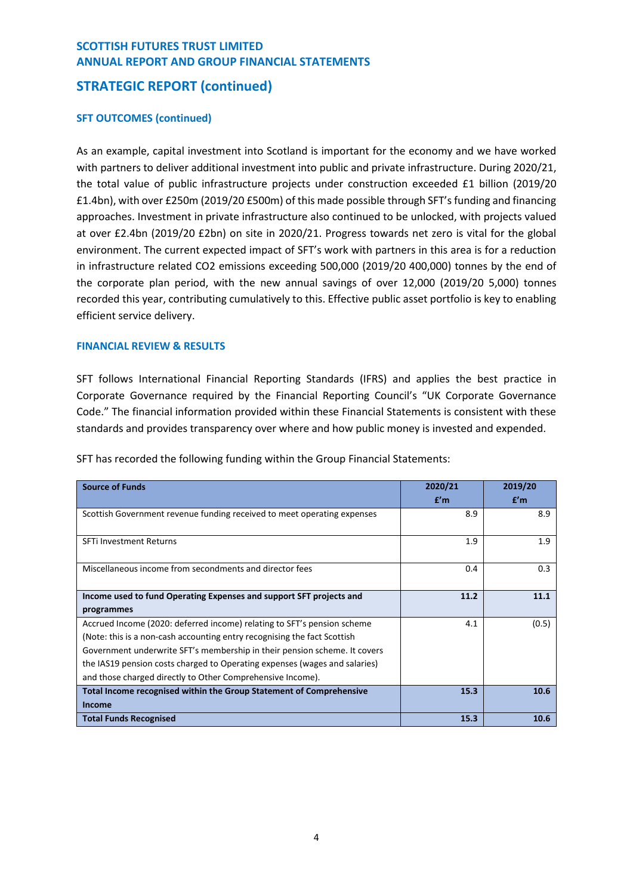# **STRATEGIC REPORT (continued)**

## **SFT OUTCOMES (continued)**

As an example, capital investment into Scotland is important for the economy and we have worked with partners to deliver additional investment into public and private infrastructure. During 2020/21, the total value of public infrastructure projects under construction exceeded £1 billion (2019/20 £1.4bn), with over £250m (2019/20 £500m) of this made possible through SFT's funding and financing approaches. Investment in private infrastructure also continued to be unlocked, with projects valued at over £2.4bn (2019/20 £2bn) on site in 2020/21. Progress towards net zero is vital for the global environment. The current expected impact of SFT's work with partners in this area is for a reduction in infrastructure related CO2 emissions exceeding 500,000 (2019/20 400,000) tonnes by the end of the corporate plan period, with the new annual savings of over 12,000 (2019/20 5,000) tonnes recorded this year, contributing cumulatively to this. Effective public asset portfolio is key to enabling efficient service delivery.

## **FINANCIAL REVIEW & RESULTS**

SFT follows International Financial Reporting Standards (IFRS) and applies the best practice in Corporate Governance required by the Financial Reporting Council's "UK Corporate Governance Code." The financial information provided within these Financial Statements is consistent with these standards and provides transparency over where and how public money is invested and expended.

SFT has recorded the following funding within the Group Financial Statements:

| <b>Source of Funds</b>                                                     | 2020/21 | 2019/20 |
|----------------------------------------------------------------------------|---------|---------|
|                                                                            | f'm     | f'm     |
| Scottish Government revenue funding received to meet operating expenses    | 8.9     | 8.9     |
| <b>SFTi Investment Returns</b>                                             | 1.9     | 1.9     |
| Miscellaneous income from secondments and director fees                    | 0.4     | 0.3     |
| Income used to fund Operating Expenses and support SFT projects and        | 11.2    | 11.1    |
| programmes                                                                 |         |         |
| Accrued Income (2020: deferred income) relating to SFT's pension scheme    | 4.1     | (0.5)   |
| (Note: this is a non-cash accounting entry recognising the fact Scottish   |         |         |
| Government underwrite SFT's membership in their pension scheme. It covers  |         |         |
| the IAS19 pension costs charged to Operating expenses (wages and salaries) |         |         |
| and those charged directly to Other Comprehensive Income).                 |         |         |
| Total Income recognised within the Group Statement of Comprehensive        | 15.3    | 10.6    |
| <b>Income</b>                                                              |         |         |
| <b>Total Funds Recognised</b>                                              | 15.3    | 10.6    |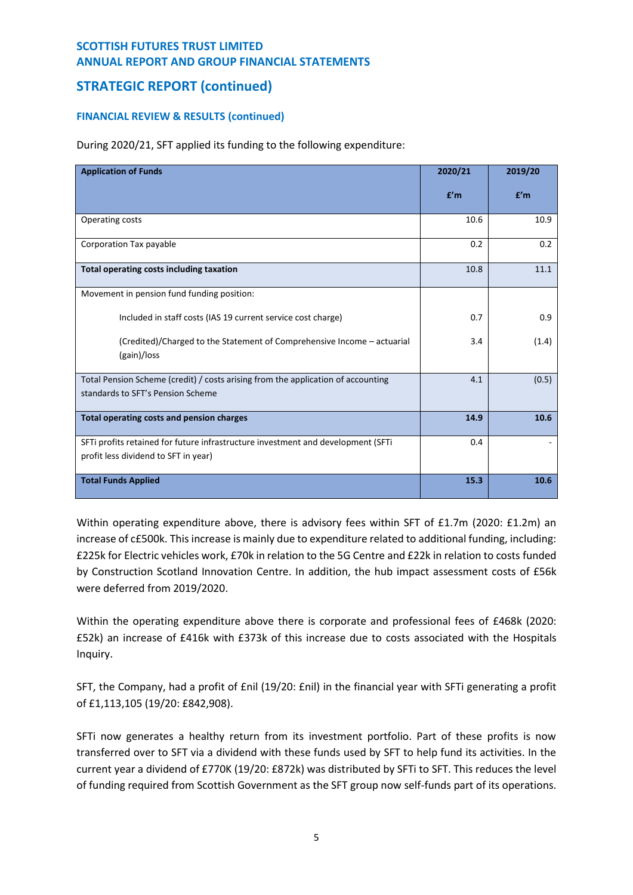# **STRATEGIC REPORT (continued)**

## **FINANCIAL REVIEW & RESULTS (continued)**

During 2020/21, SFT applied its funding to the following expenditure:

| <b>Application of Funds</b>                                                                                              | 2020/21 | 2019/20 |
|--------------------------------------------------------------------------------------------------------------------------|---------|---------|
|                                                                                                                          | f'm     | f'm     |
| Operating costs                                                                                                          | 10.6    | 10.9    |
| Corporation Tax payable                                                                                                  | 0.2     | 0.2     |
| Total operating costs including taxation                                                                                 | 10.8    | 11.1    |
| Movement in pension fund funding position:                                                                               |         |         |
| Included in staff costs (IAS 19 current service cost charge)                                                             | 0.7     | 0.9     |
| (Credited)/Charged to the Statement of Comprehensive Income – actuarial<br>(gain)/loss                                   | 3.4     | (1.4)   |
| Total Pension Scheme (credit) / costs arising from the application of accounting<br>standards to SFT's Pension Scheme    | 4.1     | (0.5)   |
| <b>Total operating costs and pension charges</b>                                                                         | 14.9    | 10.6    |
| SFTi profits retained for future infrastructure investment and development (SFTi<br>profit less dividend to SFT in year) | 0.4     |         |
| <b>Total Funds Applied</b>                                                                                               | 15.3    | 10.6    |

Within operating expenditure above, there is advisory fees within SFT of £1.7m (2020: £1.2m) an increase of c£500k. This increase is mainly due to expenditure related to additional funding, including: £225k for Electric vehicles work, £70k in relation to the 5G Centre and £22k in relation to costs funded by Construction Scotland Innovation Centre. In addition, the hub impact assessment costs of £56k were deferred from 2019/2020.

Within the operating expenditure above there is corporate and professional fees of £468k (2020: £52k) an increase of £416k with £373k of this increase due to costs associated with the Hospitals Inquiry.

SFT, the Company, had a profit of £nil (19/20: £nil) in the financial year with SFTi generating a profit of £1,113,105 (19/20: £842,908).

SFTi now generates a healthy return from its investment portfolio. Part of these profits is now transferred over to SFT via a dividend with these funds used by SFT to help fund its activities. In the current year a dividend of £770K (19/20: £872k) was distributed by SFTi to SFT. This reduces the level of funding required from Scottish Government as the SFT group now self-funds part of its operations.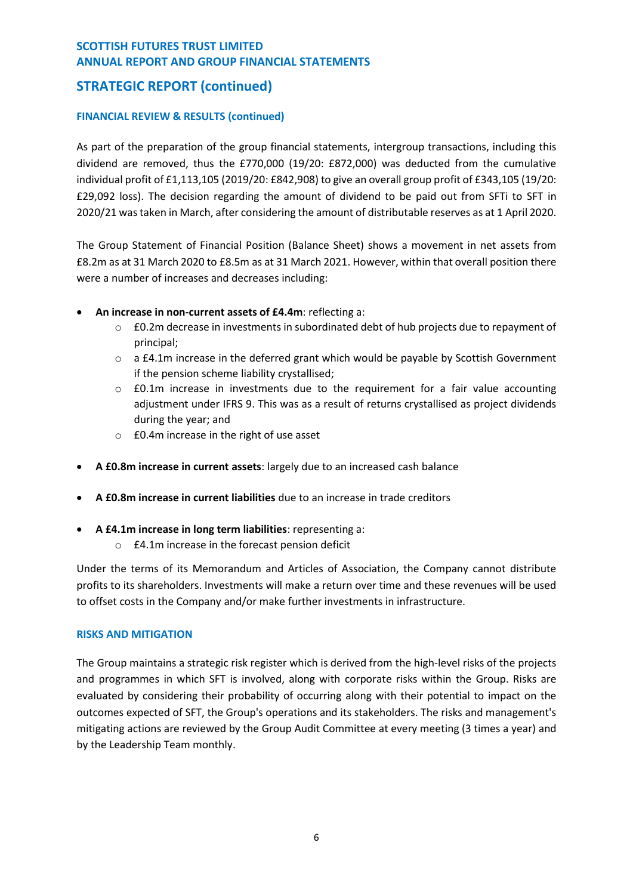# **STRATEGIC REPORT (continued)**

## **FINANCIAL REVIEW & RESULTS (continued)**

As part of the preparation of the group financial statements, intergroup transactions, including this dividend are removed, thus the £770,000 (19/20: £872,000) was deducted from the cumulative individual profit of £1,113,105 (2019/20: £842,908) to give an overall group profit of £343,105 (19/20: £29,092 loss). The decision regarding the amount of dividend to be paid out from SFTi to SFT in 2020/21 was taken in March, after considering the amount of distributable reserves as at 1 April 2020.

The Group Statement of Financial Position (Balance Sheet) shows a movement in net assets from £8.2m as at 31 March 2020 to £8.5m as at 31 March 2021. However, within that overall position there were a number of increases and decreases including:

- **An increase in non-current assets of £4.4m**: reflecting a:
	- o £0.2m decrease in investments in subordinated debt of hub projects due to repayment of principal;
	- $\circ$  a £4.1m increase in the deferred grant which would be payable by Scottish Government if the pension scheme liability crystallised;
	- o £0.1m increase in investments due to the requirement for a fair value accounting adjustment under IFRS 9. This was as a result of returns crystallised as project dividends during the year; and
	- o £0.4m increase in the right of use asset
- **A £0.8m increase in current assets**: largely due to an increased cash balance
- **A £0.8m increase in current liabilities** due to an increase in trade creditors
- **A £4.1m increase in long term liabilities**: representing a:
	- o £4.1m increase in the forecast pension deficit

Under the terms of its Memorandum and Articles of Association, the Company cannot distribute profits to its shareholders. Investments will make a return over time and these revenues will be used to offset costs in the Company and/or make further investments in infrastructure.

## **RISKS AND MITIGATION**

The Group maintains a strategic risk register which is derived from the high-level risks of the projects and programmes in which SFT is involved, along with corporate risks within the Group. Risks are evaluated by considering their probability of occurring along with their potential to impact on the outcomes expected of SFT, the Group's operations and its stakeholders. The risks and management's mitigating actions are reviewed by the Group Audit Committee at every meeting (3 times a year) and by the Leadership Team monthly.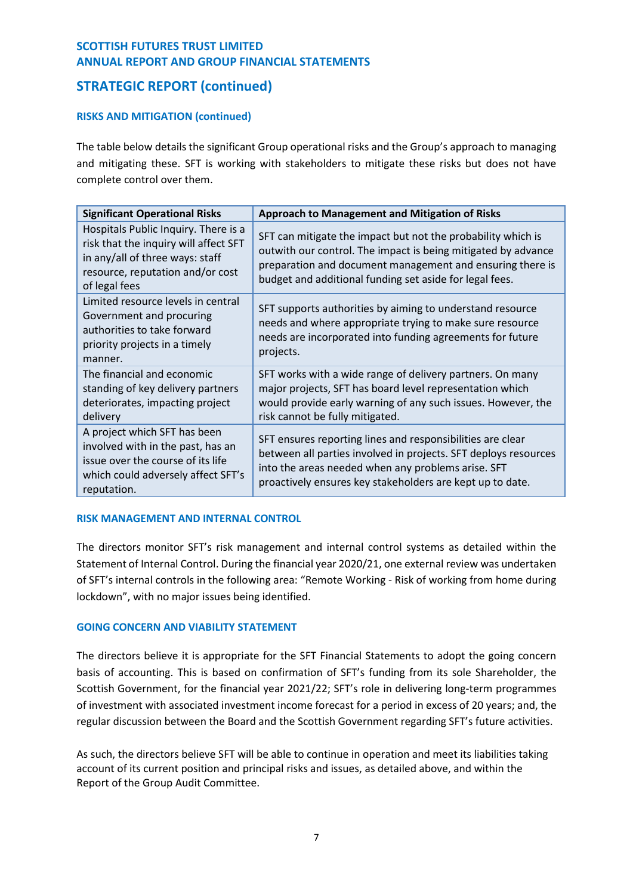# **STRATEGIC REPORT (continued)**

## **RISKS AND MITIGATION (continued)**

The table below details the significant Group operational risks and the Group's approach to managing and mitigating these. SFT is working with stakeholders to mitigate these risks but does not have complete control over them.

| <b>Significant Operational Risks</b>                                                                                                                                  | <b>Approach to Management and Mitigation of Risks</b>                                                                                                                                                                                                 |
|-----------------------------------------------------------------------------------------------------------------------------------------------------------------------|-------------------------------------------------------------------------------------------------------------------------------------------------------------------------------------------------------------------------------------------------------|
| Hospitals Public Inquiry. There is a<br>risk that the inquiry will affect SFT<br>in any/all of three ways: staff<br>resource, reputation and/or cost<br>of legal fees | SFT can mitigate the impact but not the probability which is<br>outwith our control. The impact is being mitigated by advance<br>preparation and document management and ensuring there is<br>budget and additional funding set aside for legal fees. |
| Limited resource levels in central<br>Government and procuring<br>authorities to take forward<br>priority projects in a timely<br>manner.                             | SFT supports authorities by aiming to understand resource<br>needs and where appropriate trying to make sure resource<br>needs are incorporated into funding agreements for future<br>projects.                                                       |
| The financial and economic<br>standing of key delivery partners<br>deteriorates, impacting project<br>delivery                                                        | SFT works with a wide range of delivery partners. On many<br>major projects, SFT has board level representation which<br>would provide early warning of any such issues. However, the<br>risk cannot be fully mitigated.                              |
| A project which SFT has been<br>involved with in the past, has an<br>issue over the course of its life<br>which could adversely affect SFT's<br>reputation.           | SFT ensures reporting lines and responsibilities are clear<br>between all parties involved in projects. SFT deploys resources<br>into the areas needed when any problems arise. SFT<br>proactively ensures key stakeholders are kept up to date.      |

## **RISK MANAGEMENT AND INTERNAL CONTROL**

The directors monitor SFT's risk management and internal control systems as detailed within the Statement of Internal Control. During the financial year 2020/21, one external review was undertaken of SFT's internal controls in the following area: "Remote Working - Risk of working from home during lockdown", with no major issues being identified.

## **GOING CONCERN AND VIABILITY STATEMENT**

The directors believe it is appropriate for the SFT Financial Statements to adopt the going concern basis of accounting. This is based on confirmation of SFT's funding from its sole Shareholder, the Scottish Government, for the financial year 2021/22; SFT's role in delivering long-term programmes of investment with associated investment income forecast for a period in excess of 20 years; and, the regular discussion between the Board and the Scottish Government regarding SFT's future activities.

As such, the directors believe SFT will be able to continue in operation and meet its liabilities taking account of its current position and principal risks and issues, as detailed above, and within the Report of the Group Audit Committee.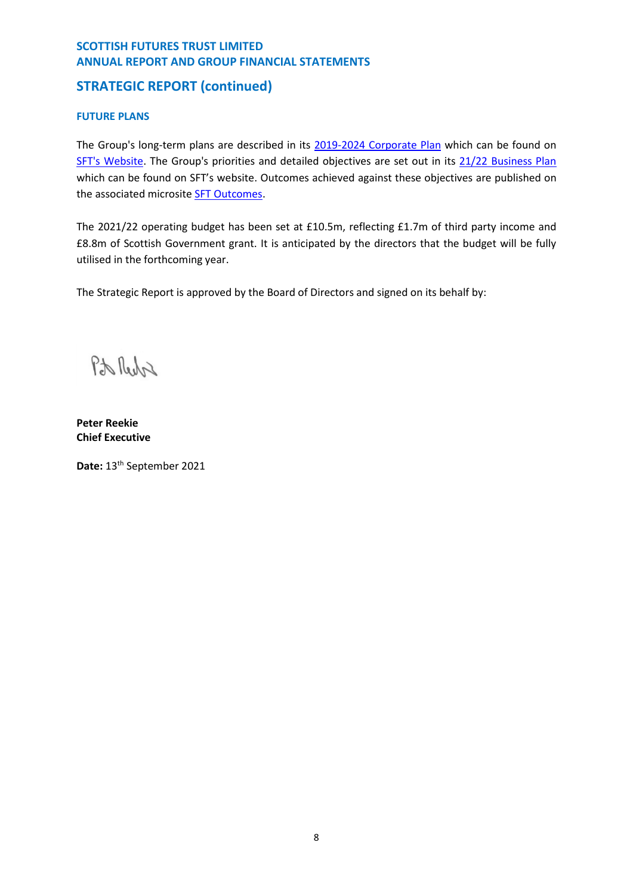# **STRATEGIC REPORT (continued)**

## **FUTURE PLANS**

The Group's long-term plans are described in its [2019-2024 Corporate Plan](https://www.scottishfuturestrust.org.uk/storage/uploads/corporateplan20192024a.pdf) which can be found on [SFT's Website.](https://www.scottishfuturestrust.org.uk/) The Group's priorities and detailed objectives are set out in its [21/22 Business Plan](https://content.yudu.com/web/1uxzj/0A444bk/SFTBusPlan202122/html/index.html?origin=reader) which can be found on SFT's website. Outcomes achieved against these objectives are published on the associated microsite [SFT Outcomes.](https://outcomes.scottishfuturestrust.org.uk/)

The 2021/22 operating budget has been set at £10.5m, reflecting £1.7m of third party income and £8.8m of Scottish Government grant. It is anticipated by the directors that the budget will be fully utilised in the forthcoming year.

The Strategic Report is approved by the Board of Directors and signed on its behalf by:

Pto Reche

**Peter Reekie Chief Executive**

**Date:** 13th September 2021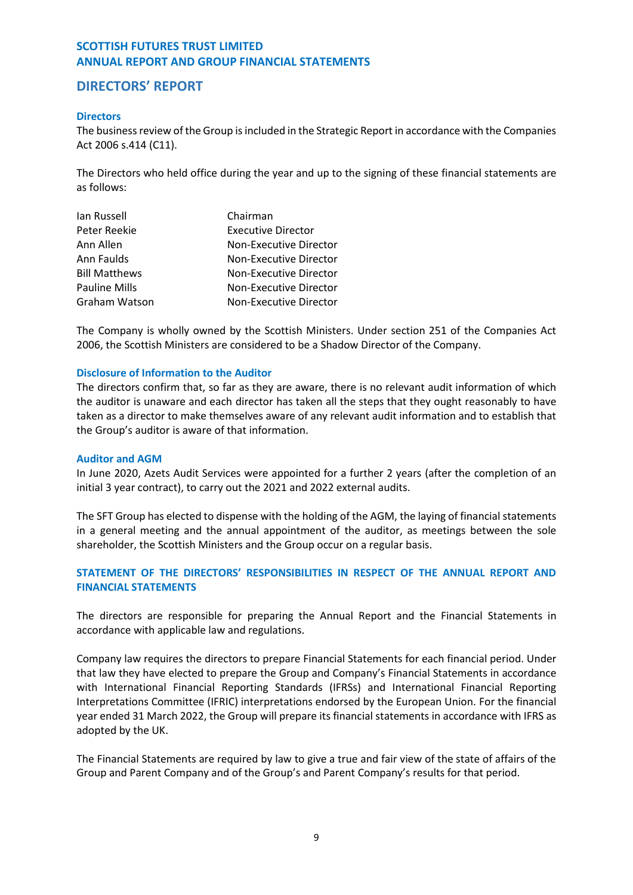## <span id="page-10-0"></span>**DIRECTORS' REPORT**

#### **Directors**

The business review of the Group is included in the Strategic Report in accordance with the Companies Act 2006 s.414 (C11).

The Directors who held office during the year and up to the signing of these financial statements are as follows:

| lan Russell          | Chairman                      |
|----------------------|-------------------------------|
| Peter Reekie         | <b>Executive Director</b>     |
| Ann Allen            | Non-Executive Director        |
| Ann Faulds           | Non-Executive Director        |
| <b>Bill Matthews</b> | Non-Executive Director        |
| <b>Pauline Mills</b> | Non-Executive Director        |
| Graham Watson        | <b>Non-Executive Director</b> |

The Company is wholly owned by the Scottish Ministers. Under section 251 of the Companies Act 2006, the Scottish Ministers are considered to be a Shadow Director of the Company.

#### **Disclosure of Information to the Auditor**

The directors confirm that, so far as they are aware, there is no relevant audit information of which the auditor is unaware and each director has taken all the steps that they ought reasonably to have taken as a director to make themselves aware of any relevant audit information and to establish that the Group's auditor is aware of that information.

#### **Auditor and AGM**

In June 2020, Azets Audit Services were appointed for a further 2 years (after the completion of an initial 3 year contract), to carry out the 2021 and 2022 external audits.

The SFT Group has elected to dispense with the holding of the AGM, the laying of financial statements in a general meeting and the annual appointment of the auditor, as meetings between the sole shareholder, the Scottish Ministers and the Group occur on a regular basis.

## **STATEMENT OF THE DIRECTORS' RESPONSIBILITIES IN RESPECT OF THE ANNUAL REPORT AND FINANCIAL STATEMENTS**

The directors are responsible for preparing the Annual Report and the Financial Statements in accordance with applicable law and regulations.

Company law requires the directors to prepare Financial Statements for each financial period. Under that law they have elected to prepare the Group and Company's Financial Statements in accordance with International Financial Reporting Standards (IFRSs) and International Financial Reporting Interpretations Committee (IFRIC) interpretations endorsed by the European Union. For the financial year ended 31 March 2022, the Group will prepare its financial statements in accordance with IFRS as adopted by the UK.

The Financial Statements are required by law to give a true and fair view of the state of affairs of the Group and Parent Company and of the Group's and Parent Company's results for that period.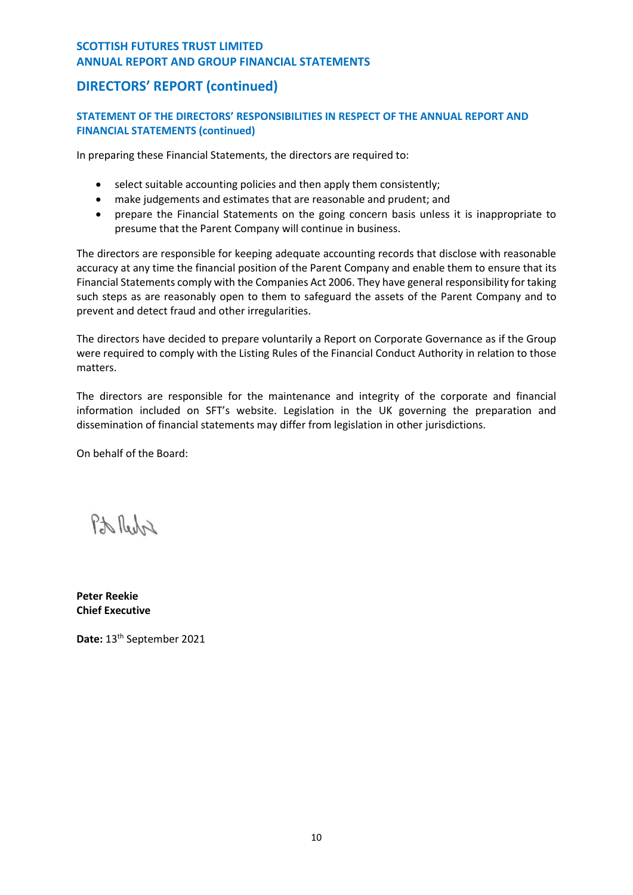# **DIRECTORS' REPORT (continued)**

## **STATEMENT OF THE DIRECTORS' RESPONSIBILITIES IN RESPECT OF THE ANNUAL REPORT AND FINANCIAL STATEMENTS (continued)**

In preparing these Financial Statements, the directors are required to:

- select suitable accounting policies and then apply them consistently;
- make judgements and estimates that are reasonable and prudent; and
- prepare the Financial Statements on the going concern basis unless it is inappropriate to presume that the Parent Company will continue in business.

The directors are responsible for keeping adequate accounting records that disclose with reasonable accuracy at any time the financial position of the Parent Company and enable them to ensure that its Financial Statements comply with the Companies Act 2006. They have general responsibility for taking such steps as are reasonably open to them to safeguard the assets of the Parent Company and to prevent and detect fraud and other irregularities.

The directors have decided to prepare voluntarily a Report on Corporate Governance as if the Group were required to comply with the Listing Rules of the Financial Conduct Authority in relation to those matters.

The directors are responsible for the maintenance and integrity of the corporate and financial information included on SFT's website. Legislation in the UK governing the preparation and dissemination of financial statements may differ from legislation in other jurisdictions.

On behalf of the Board:

ProlledA

**Peter Reekie Chief Executive**

Date: 13<sup>th</sup> September 2021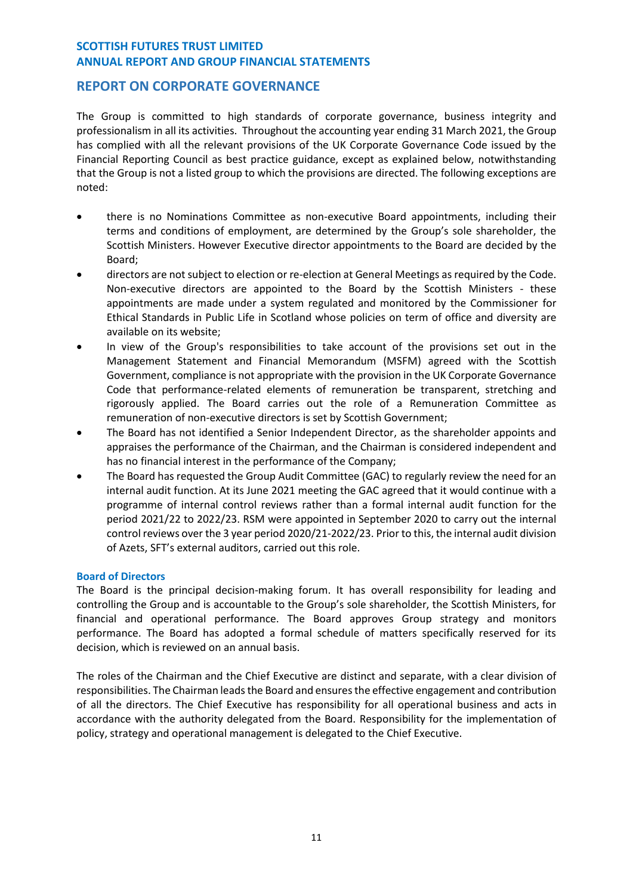## <span id="page-12-0"></span>**REPORT ON CORPORATE GOVERNANCE**

The Group is committed to high standards of corporate governance, business integrity and professionalism in all its activities. Throughout the accounting year ending 31 March 2021, the Group has complied with all the relevant provisions of the UK Corporate Governance Code issued by the Financial Reporting Council as best practice guidance, except as explained below, notwithstanding that the Group is not a listed group to which the provisions are directed. The following exceptions are noted:

- there is no Nominations Committee as non-executive Board appointments, including their terms and conditions of employment, are determined by the Group's sole shareholder, the Scottish Ministers. However Executive director appointments to the Board are decided by the Board;
- directors are not subject to election or re-election at General Meetings as required by the Code. Non-executive directors are appointed to the Board by the Scottish Ministers - these appointments are made under a system regulated and monitored by the Commissioner for Ethical Standards in Public Life in Scotland whose policies on term of office and diversity are available on its website;
- In view of the Group's responsibilities to take account of the provisions set out in the Management Statement and Financial Memorandum (MSFM) agreed with the Scottish Government, compliance is not appropriate with the provision in the UK Corporate Governance Code that performance-related elements of remuneration be transparent, stretching and rigorously applied. The Board carries out the role of a Remuneration Committee as remuneration of non-executive directors is set by Scottish Government;
- The Board has not identified a Senior Independent Director, as the shareholder appoints and appraises the performance of the Chairman, and the Chairman is considered independent and has no financial interest in the performance of the Company;
- The Board has requested the Group Audit Committee (GAC) to regularly review the need for an internal audit function. At its June 2021 meeting the GAC agreed that it would continue with a programme of internal control reviews rather than a formal internal audit function for the period 2021/22 to 2022/23. RSM were appointed in September 2020 to carry out the internal control reviews over the 3 year period 2020/21-2022/23. Prior to this, the internal audit division of Azets, SFT's external auditors, carried out this role.

## **Board of Directors**

The Board is the principal decision-making forum. It has overall responsibility for leading and controlling the Group and is accountable to the Group's sole shareholder, the Scottish Ministers, for financial and operational performance. The Board approves Group strategy and monitors performance. The Board has adopted a formal schedule of matters specifically reserved for its decision, which is reviewed on an annual basis.

The roles of the Chairman and the Chief Executive are distinct and separate, with a clear division of responsibilities. The Chairman leads the Board and ensures the effective engagement and contribution of all the directors. The Chief Executive has responsibility for all operational business and acts in accordance with the authority delegated from the Board. Responsibility for the implementation of policy, strategy and operational management is delegated to the Chief Executive.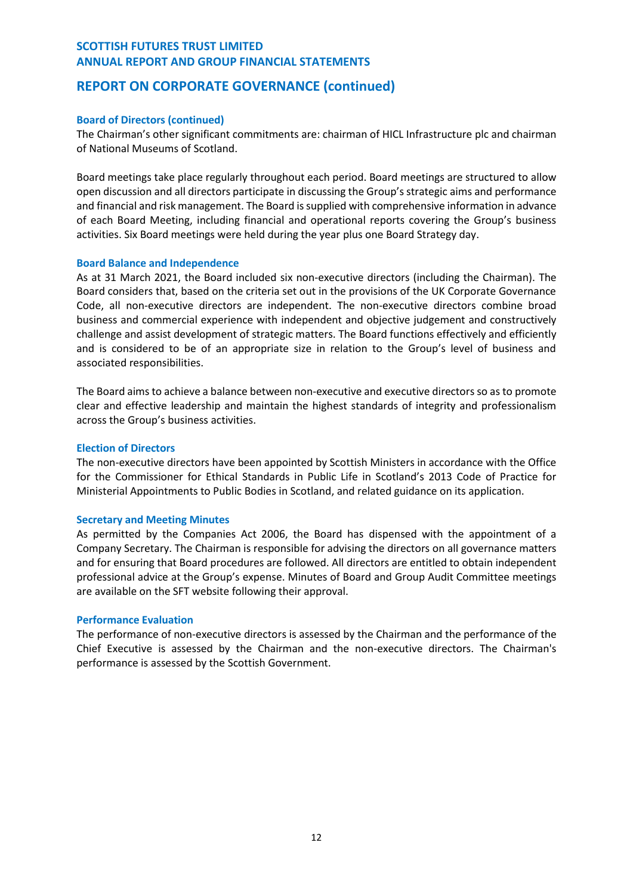# **REPORT ON CORPORATE GOVERNANCE (continued)**

#### **Board of Directors (continued)**

The Chairman's other significant commitments are: chairman of HICL Infrastructure plc and chairman of National Museums of Scotland.

Board meetings take place regularly throughout each period. Board meetings are structured to allow open discussion and all directors participate in discussing the Group's strategic aims and performance and financial and risk management. The Board is supplied with comprehensive information in advance of each Board Meeting, including financial and operational reports covering the Group's business activities. Six Board meetings were held during the year plus one Board Strategy day.

#### **Board Balance and Independence**

As at 31 March 2021, the Board included six non-executive directors (including the Chairman). The Board considers that, based on the criteria set out in the provisions of the UK Corporate Governance Code, all non-executive directors are independent. The non-executive directors combine broad business and commercial experience with independent and objective judgement and constructively challenge and assist development of strategic matters. The Board functions effectively and efficiently and is considered to be of an appropriate size in relation to the Group's level of business and associated responsibilities.

The Board aims to achieve a balance between non-executive and executive directors so as to promote clear and effective leadership and maintain the highest standards of integrity and professionalism across the Group's business activities.

#### **Election of Directors**

The non-executive directors have been appointed by Scottish Ministers in accordance with the Office for the Commissioner for Ethical Standards in Public Life in Scotland's 2013 Code of Practice for Ministerial Appointments to Public Bodies in Scotland, and related guidance on its application.

#### **Secretary and Meeting Minutes**

As permitted by the Companies Act 2006, the Board has dispensed with the appointment of a Company Secretary. The Chairman is responsible for advising the directors on all governance matters and for ensuring that Board procedures are followed. All directors are entitled to obtain independent professional advice at the Group's expense. Minutes of Board and Group Audit Committee meetings are available on the SFT website following their approval.

#### **Performance Evaluation**

The performance of non-executive directors is assessed by the Chairman and the performance of the Chief Executive is assessed by the Chairman and the non-executive directors. The Chairman's performance is assessed by the Scottish Government.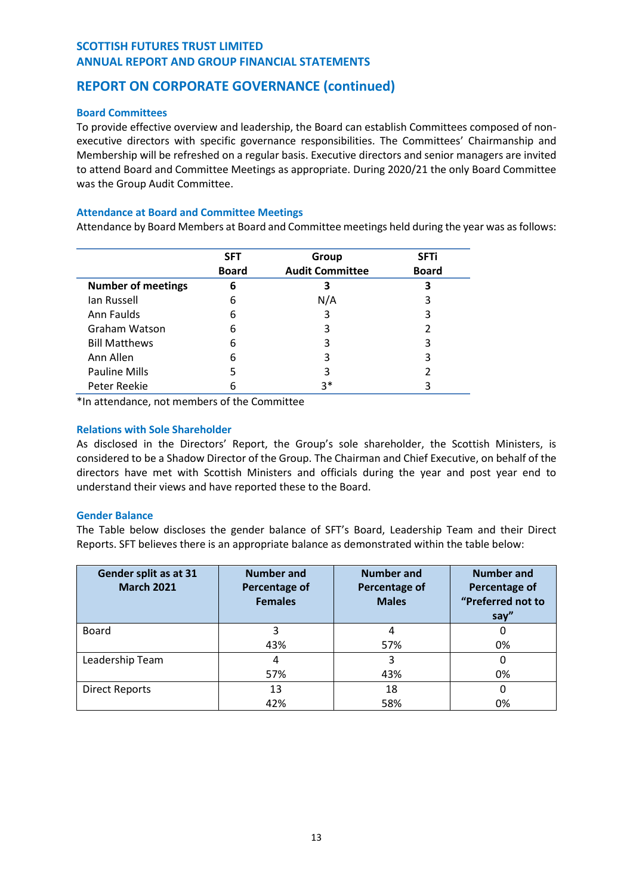# **REPORT ON CORPORATE GOVERNANCE (continued)**

#### **Board Committees**

To provide effective overview and leadership, the Board can establish Committees composed of nonexecutive directors with specific governance responsibilities. The Committees' Chairmanship and Membership will be refreshed on a regular basis. Executive directors and senior managers are invited to attend Board and Committee Meetings as appropriate. During 2020/21 the only Board Committee was the Group Audit Committee.

#### **Attendance at Board and Committee Meetings**

Attendance by Board Members at Board and Committee meetings held during the year was as follows:

|                           | <b>SFT</b>   | Group                  | <b>SFTi</b>  |
|---------------------------|--------------|------------------------|--------------|
|                           | <b>Board</b> | <b>Audit Committee</b> | <b>Board</b> |
| <b>Number of meetings</b> | 6            | 3                      | 3            |
| Ian Russell               | 6            | N/A                    | 3            |
| Ann Faulds                | 6            | 3                      | 3            |
| Graham Watson             | 6            | 3                      |              |
| <b>Bill Matthews</b>      | 6            | 3                      | 3            |
| Ann Allen                 | 6            | 3                      | 3            |
| <b>Pauline Mills</b>      |              | 3                      |              |
| Peter Reekie              | 6            | 3*                     |              |

\*In attendance, not members of the Committee

## **Relations with Sole Shareholder**

As disclosed in the Directors' Report, the Group's sole shareholder, the Scottish Ministers, is considered to be a Shadow Director of the Group. The Chairman and Chief Executive, on behalf of the directors have met with Scottish Ministers and officials during the year and post year end to understand their views and have reported these to the Board.

#### **Gender Balance**

The Table below discloses the gender balance of SFT's Board, Leadership Team and their Direct Reports. SFT believes there is an appropriate balance as demonstrated within the table below:

| Gender split as at 31<br><b>March 2021</b> | <b>Number and</b><br>Percentage of<br><b>Females</b> | <b>Number and</b><br>Percentage of<br><b>Males</b> | <b>Number and</b><br>Percentage of<br>"Preferred not to<br>say" |
|--------------------------------------------|------------------------------------------------------|----------------------------------------------------|-----------------------------------------------------------------|
| <b>Board</b>                               |                                                      |                                                    |                                                                 |
|                                            | 43%                                                  | 57%                                                | 0%                                                              |
| Leadership Team                            | 4                                                    | 3                                                  |                                                                 |
|                                            | 57%                                                  | 43%                                                | 0%                                                              |
| <b>Direct Reports</b>                      | 13                                                   | 18                                                 | 0                                                               |
|                                            | 42%                                                  | 58%                                                | 0%                                                              |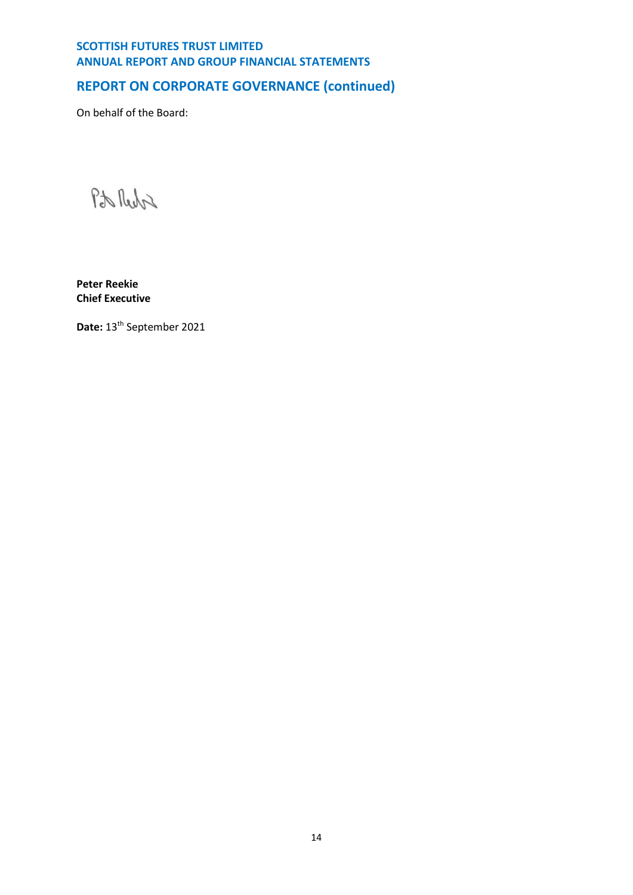# **REPORT ON CORPORATE GOVERNANCE (continued)**

On behalf of the Board:

Pto Redos

**Peter Reekie Chief Executive**

Date: 13<sup>th</sup> September 2021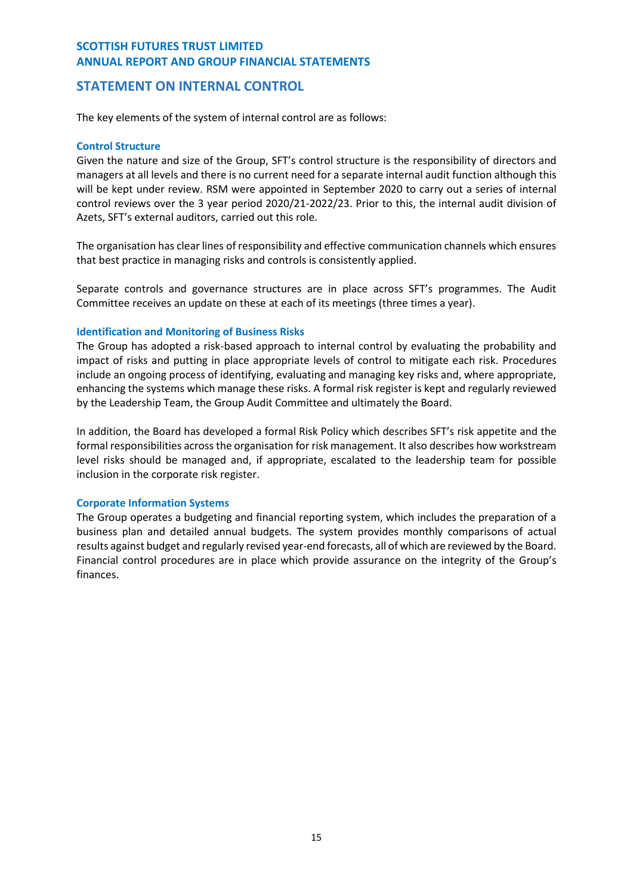## <span id="page-16-0"></span>**STATEMENT ON INTERNAL CONTROL**

The key elements of the system of internal control are as follows:

#### **Control Structure**

Given the nature and size of the Group, SFT's control structure is the responsibility of directors and managers at all levels and there is no current need for a separate internal audit function although this will be kept under review. RSM were appointed in September 2020 to carry out a series of internal control reviews over the 3 year period 2020/21-2022/23. Prior to this, the internal audit division of Azets, SFT's external auditors, carried out this role.

The organisation has clear lines of responsibility and effective communication channels which ensures that best practice in managing risks and controls is consistently applied.

Separate controls and governance structures are in place across SFT's programmes. The Audit Committee receives an update on these at each of its meetings (three times a year).

## **Identification and Monitoring of Business Risks**

The Group has adopted a risk-based approach to internal control by evaluating the probability and impact of risks and putting in place appropriate levels of control to mitigate each risk. Procedures include an ongoing process of identifying, evaluating and managing key risks and, where appropriate, enhancing the systems which manage these risks. A formal risk register is kept and regularly reviewed by the Leadership Team, the Group Audit Committee and ultimately the Board.

In addition, the Board has developed a formal Risk Policy which describes SFT's risk appetite and the formal responsibilities across the organisation for risk management. It also describes how workstream level risks should be managed and, if appropriate, escalated to the leadership team for possible inclusion in the corporate risk register.

#### **Corporate Information Systems**

The Group operates a budgeting and financial reporting system, which includes the preparation of a business plan and detailed annual budgets. The system provides monthly comparisons of actual results against budget and regularly revised year-end forecasts, all of which are reviewed by the Board. Financial control procedures are in place which provide assurance on the integrity of the Group's finances.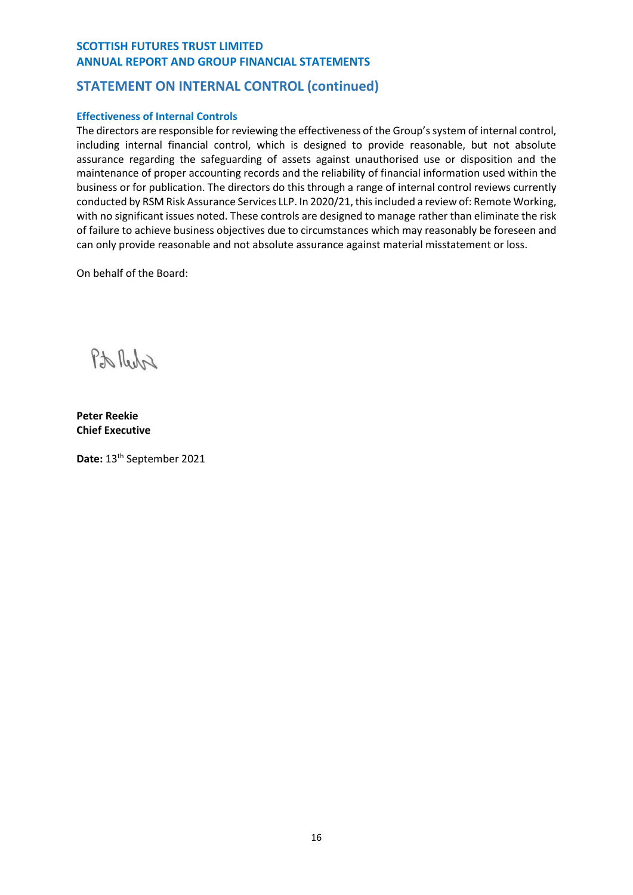# **STATEMENT ON INTERNAL CONTROL (continued)**

## **Effectiveness of Internal Controls**

The directors are responsible for reviewing the effectiveness of the Group's system of internal control, including internal financial control, which is designed to provide reasonable, but not absolute assurance regarding the safeguarding of assets against unauthorised use or disposition and the maintenance of proper accounting records and the reliability of financial information used within the business or for publication. The directors do this through a range of internal control reviews currently conducted by RSM Risk Assurance Services LLP. In 2020/21, this included a review of: Remote Working, with no significant issues noted. These controls are designed to manage rather than eliminate the risk of failure to achieve business objectives due to circumstances which may reasonably be foreseen and can only provide reasonable and not absolute assurance against material misstatement or loss.

On behalf of the Board:

Pr Redre

**Peter Reekie Chief Executive**

**Date:** 13th September 2021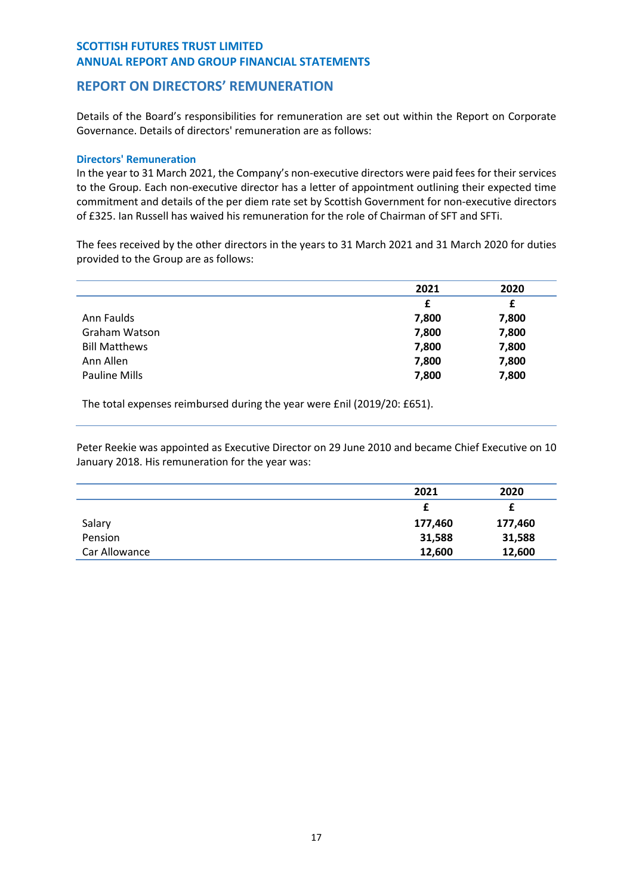## <span id="page-18-0"></span>**REPORT ON DIRECTORS' REMUNERATION**

Details of the Board's responsibilities for remuneration are set out within the Report on Corporate Governance. Details of directors' remuneration are as follows:

#### **Directors' Remuneration**

In the year to 31 March 2021, the Company's non-executive directors were paid fees for their services to the Group. Each non-executive director has a letter of appointment outlining their expected time commitment and details of the per diem rate set by Scottish Government for non-executive directors of £325. Ian Russell has waived his remuneration for the role of Chairman of SFT and SFTi.

The fees received by the other directors in the years to 31 March 2021 and 31 March 2020 for duties provided to the Group are as follows:

|                      | 2021  | 2020  |
|----------------------|-------|-------|
|                      | £     | £     |
| Ann Faulds           | 7,800 | 7,800 |
| Graham Watson        | 7,800 | 7,800 |
| <b>Bill Matthews</b> | 7,800 | 7,800 |
| Ann Allen            | 7,800 | 7,800 |
| Pauline Mills        | 7,800 | 7,800 |

The total expenses reimbursed during the year were £nil (2019/20: £651).

Peter Reekie was appointed as Executive Director on 29 June 2010 and became Chief Executive on 10 January 2018. His remuneration for the year was:

|               | 2021    | 2020    |
|---------------|---------|---------|
|               |         |         |
| Salary        | 177,460 | 177,460 |
| Pension       | 31,588  | 31,588  |
| Car Allowance | 12,600  | 12,600  |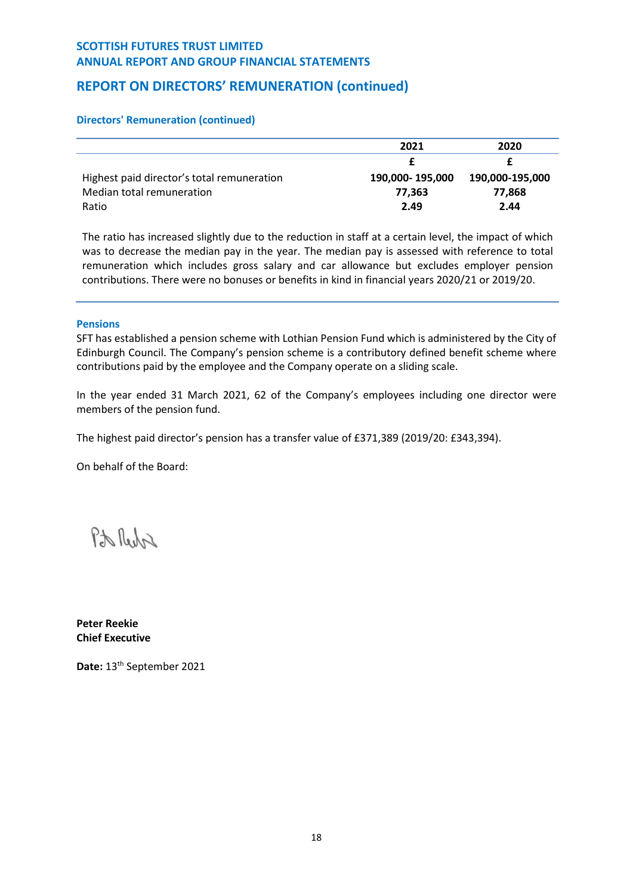## **REPORT ON DIRECTORS' REMUNERATION (continued)**

#### **Directors' Remuneration (continued)**

|                                            | 2021            | 2020            |
|--------------------------------------------|-----------------|-----------------|
|                                            |                 |                 |
| Highest paid director's total remuneration | 190,000-195,000 | 190,000-195,000 |
| Median total remuneration                  | 77.363          | 77,868          |
| Ratio                                      | 2.49            | 2.44            |

The ratio has increased slightly due to the reduction in staff at a certain level, the impact of which was to decrease the median pay in the year. The median pay is assessed with reference to total remuneration which includes gross salary and car allowance but excludes employer pension contributions. There were no bonuses or benefits in kind in financial years 2020/21 or 2019/20.

#### **Pensions**

SFT has established a pension scheme with Lothian Pension Fund which is administered by the City of Edinburgh Council. The Company's pension scheme is a contributory defined benefit scheme where contributions paid by the employee and the Company operate on a sliding scale.

In the year ended 31 March 2021, 62 of the Company's employees including one director were members of the pension fund.

The highest paid director's pension has a transfer value of £371,389 (2019/20: £343,394).

On behalf of the Board:

Pto Reche

**Peter Reekie Chief Executive**

**Date:** 13th September 2021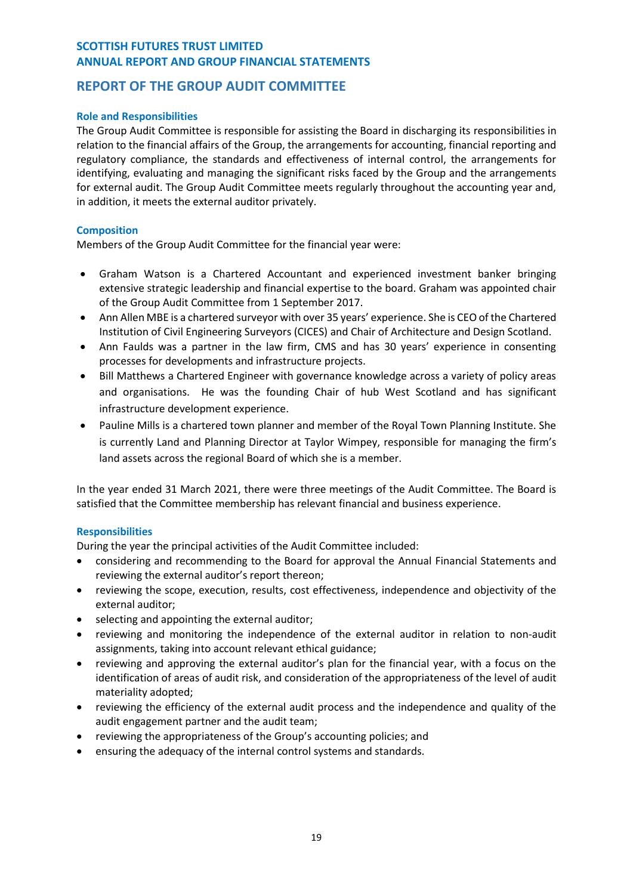## <span id="page-20-0"></span>**REPORT OF THE GROUP AUDIT COMMITTEE**

## **Role and Responsibilities**

The Group Audit Committee is responsible for assisting the Board in discharging its responsibilities in relation to the financial affairs of the Group, the arrangements for accounting, financial reporting and regulatory compliance, the standards and effectiveness of internal control, the arrangements for identifying, evaluating and managing the significant risks faced by the Group and the arrangements for external audit. The Group Audit Committee meets regularly throughout the accounting year and, in addition, it meets the external auditor privately.

## **Composition**

Members of the Group Audit Committee for the financial year were:

- Graham Watson is a Chartered Accountant and experienced investment banker bringing extensive strategic leadership and financial expertise to the board. Graham was appointed chair of the Group Audit Committee from 1 September 2017.
- Ann Allen MBE is a chartered surveyor with over 35 years' experience. She is CEO of the Chartered Institution of Civil Engineering Surveyors (CICES) and Chair of Architecture and Design Scotland.
- Ann Faulds was a partner in the law firm, CMS and has 30 years' experience in consenting processes for developments and infrastructure projects.
- Bill Matthews a Chartered Engineer with governance knowledge across a variety of policy areas and organisations. He was the founding Chair of hub West Scotland and has significant infrastructure development experience.
- Pauline Mills is a chartered town planner and member of the Royal Town Planning Institute. She is currently Land and Planning Director at Taylor Wimpey, responsible for managing the firm's land assets across the regional Board of which she is a member.

In the year ended 31 March 2021, there were three meetings of the Audit Committee. The Board is satisfied that the Committee membership has relevant financial and business experience.

## **Responsibilities**

During the year the principal activities of the Audit Committee included:

- considering and recommending to the Board for approval the Annual Financial Statements and reviewing the external auditor's report thereon;
- reviewing the scope, execution, results, cost effectiveness, independence and objectivity of the external auditor;
- selecting and appointing the external auditor;
- reviewing and monitoring the independence of the external auditor in relation to non-audit assignments, taking into account relevant ethical guidance;
- reviewing and approving the external auditor's plan for the financial year, with a focus on the identification of areas of audit risk, and consideration of the appropriateness of the level of audit materiality adopted;
- reviewing the efficiency of the external audit process and the independence and quality of the audit engagement partner and the audit team;
- reviewing the appropriateness of the Group's accounting policies; and
- ensuring the adequacy of the internal control systems and standards.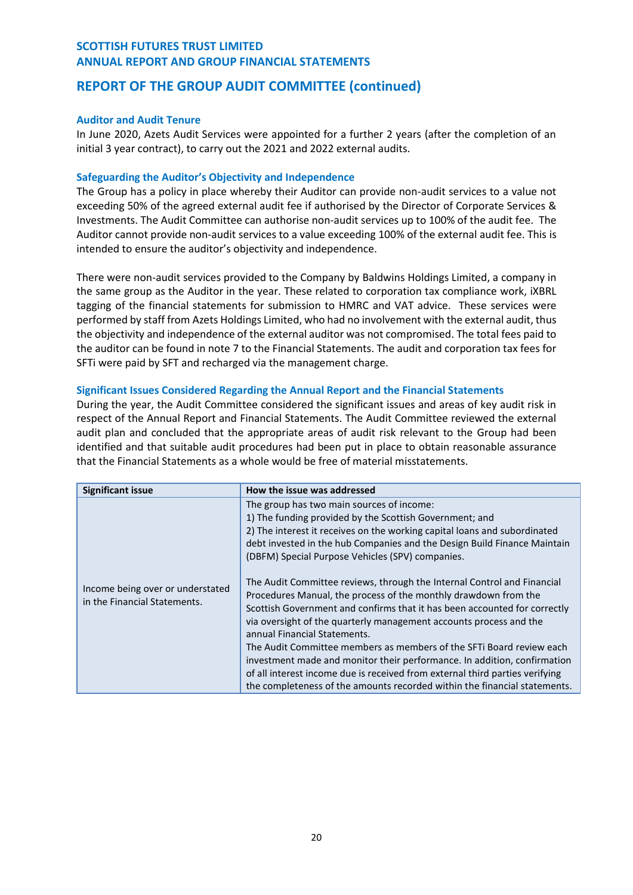# **REPORT OF THE GROUP AUDIT COMMITTEE (continued)**

#### **Auditor and Audit Tenure**

In June 2020, Azets Audit Services were appointed for a further 2 years (after the completion of an initial 3 year contract), to carry out the 2021 and 2022 external audits.

#### **Safeguarding the Auditor's Objectivity and Independence**

The Group has a policy in place whereby their Auditor can provide non-audit services to a value not exceeding 50% of the agreed external audit fee if authorised by the Director of Corporate Services & Investments. The Audit Committee can authorise non-audit services up to 100% of the audit fee. The Auditor cannot provide non-audit services to a value exceeding 100% of the external audit fee. This is intended to ensure the auditor's objectivity and independence.

There were non-audit services provided to the Company by Baldwins Holdings Limited, a company in the same group as the Auditor in the year. These related to corporation tax compliance work, iXBRL tagging of the financial statements for submission to HMRC and VAT advice. These services were performed by staff from Azets Holdings Limited, who had no involvement with the external audit, thus the objectivity and independence of the external auditor was not compromised. The total fees paid to the auditor can be found in note 7 to the Financial Statements. The audit and corporation tax fees for SFTi were paid by SFT and recharged via the management charge.

## **Significant Issues Considered Regarding the Annual Report and the Financial Statements**

During the year, the Audit Committee considered the significant issues and areas of key audit risk in respect of the Annual Report and Financial Statements. The Audit Committee reviewed the external audit plan and concluded that the appropriate areas of audit risk relevant to the Group had been identified and that suitable audit procedures had been put in place to obtain reasonable assurance that the Financial Statements as a whole would be free of material misstatements.

| <b>Significant issue</b>                                         | How the issue was addressed                                                                                                                                                                                                                                                                                                                                                                                                                                                                                                                                                                                                                                                                                                                                                                                                                                                                                                                                         |
|------------------------------------------------------------------|---------------------------------------------------------------------------------------------------------------------------------------------------------------------------------------------------------------------------------------------------------------------------------------------------------------------------------------------------------------------------------------------------------------------------------------------------------------------------------------------------------------------------------------------------------------------------------------------------------------------------------------------------------------------------------------------------------------------------------------------------------------------------------------------------------------------------------------------------------------------------------------------------------------------------------------------------------------------|
| Income being over or understated<br>in the Financial Statements. | The group has two main sources of income:<br>1) The funding provided by the Scottish Government; and<br>2) The interest it receives on the working capital loans and subordinated<br>debt invested in the hub Companies and the Design Build Finance Maintain<br>(DBFM) Special Purpose Vehicles (SPV) companies.<br>The Audit Committee reviews, through the Internal Control and Financial<br>Procedures Manual, the process of the monthly drawdown from the<br>Scottish Government and confirms that it has been accounted for correctly<br>via oversight of the quarterly management accounts process and the<br>annual Financial Statements.<br>The Audit Committee members as members of the SFTi Board review each<br>investment made and monitor their performance. In addition, confirmation<br>of all interest income due is received from external third parties verifying<br>the completeness of the amounts recorded within the financial statements. |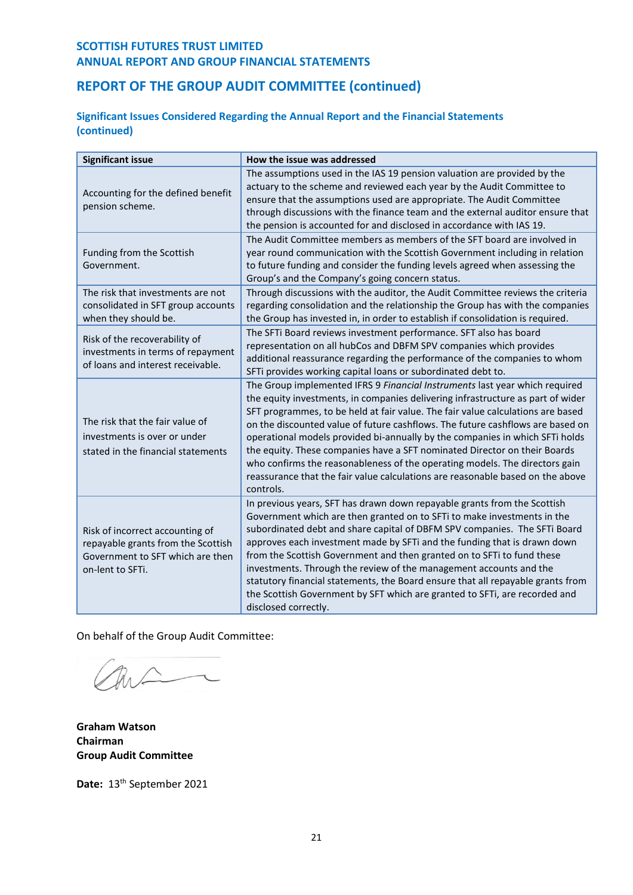# **REPORT OF THE GROUP AUDIT COMMITTEE (continued)**

**Significant Issues Considered Regarding the Annual Report and the Financial Statements (continued)**

| <b>Significant issue</b>                                                                                                      | How the issue was addressed                                                                                                                                                                                                                                                                                                                                                                                                                                                                                                                                                                                                                                                    |
|-------------------------------------------------------------------------------------------------------------------------------|--------------------------------------------------------------------------------------------------------------------------------------------------------------------------------------------------------------------------------------------------------------------------------------------------------------------------------------------------------------------------------------------------------------------------------------------------------------------------------------------------------------------------------------------------------------------------------------------------------------------------------------------------------------------------------|
| Accounting for the defined benefit<br>pension scheme.                                                                         | The assumptions used in the IAS 19 pension valuation are provided by the<br>actuary to the scheme and reviewed each year by the Audit Committee to<br>ensure that the assumptions used are appropriate. The Audit Committee<br>through discussions with the finance team and the external auditor ensure that<br>the pension is accounted for and disclosed in accordance with IAS 19.                                                                                                                                                                                                                                                                                         |
| Funding from the Scottish<br>Government.                                                                                      | The Audit Committee members as members of the SFT board are involved in<br>year round communication with the Scottish Government including in relation<br>to future funding and consider the funding levels agreed when assessing the<br>Group's and the Company's going concern status.                                                                                                                                                                                                                                                                                                                                                                                       |
| The risk that investments are not<br>consolidated in SFT group accounts<br>when they should be.                               | Through discussions with the auditor, the Audit Committee reviews the criteria<br>regarding consolidation and the relationship the Group has with the companies<br>the Group has invested in, in order to establish if consolidation is required.                                                                                                                                                                                                                                                                                                                                                                                                                              |
| Risk of the recoverability of<br>investments in terms of repayment<br>of loans and interest receivable.                       | The SFTi Board reviews investment performance. SFT also has board<br>representation on all hubCos and DBFM SPV companies which provides<br>additional reassurance regarding the performance of the companies to whom<br>SFTi provides working capital loans or subordinated debt to.                                                                                                                                                                                                                                                                                                                                                                                           |
| The risk that the fair value of<br>investments is over or under<br>stated in the financial statements                         | The Group implemented IFRS 9 Financial Instruments last year which required<br>the equity investments, in companies delivering infrastructure as part of wider<br>SFT programmes, to be held at fair value. The fair value calculations are based<br>on the discounted value of future cashflows. The future cashflows are based on<br>operational models provided bi-annually by the companies in which SFTi holds<br>the equity. These companies have a SFT nominated Director on their Boards<br>who confirms the reasonableness of the operating models. The directors gain<br>reassurance that the fair value calculations are reasonable based on the above<br>controls. |
| Risk of incorrect accounting of<br>repayable grants from the Scottish<br>Government to SFT which are then<br>on-lent to SFTi. | In previous years, SFT has drawn down repayable grants from the Scottish<br>Government which are then granted on to SFTi to make investments in the<br>subordinated debt and share capital of DBFM SPV companies. The SFTi Board<br>approves each investment made by SFTi and the funding that is drawn down<br>from the Scottish Government and then granted on to SFTi to fund these<br>investments. Through the review of the management accounts and the<br>statutory financial statements, the Board ensure that all repayable grants from<br>the Scottish Government by SFT which are granted to SFTi, are recorded and<br>disclosed correctly.                          |

On behalf of the Group Audit Committee:

**Graham Watson Chairman Group Audit Committee**

**Date:** 13th September 2021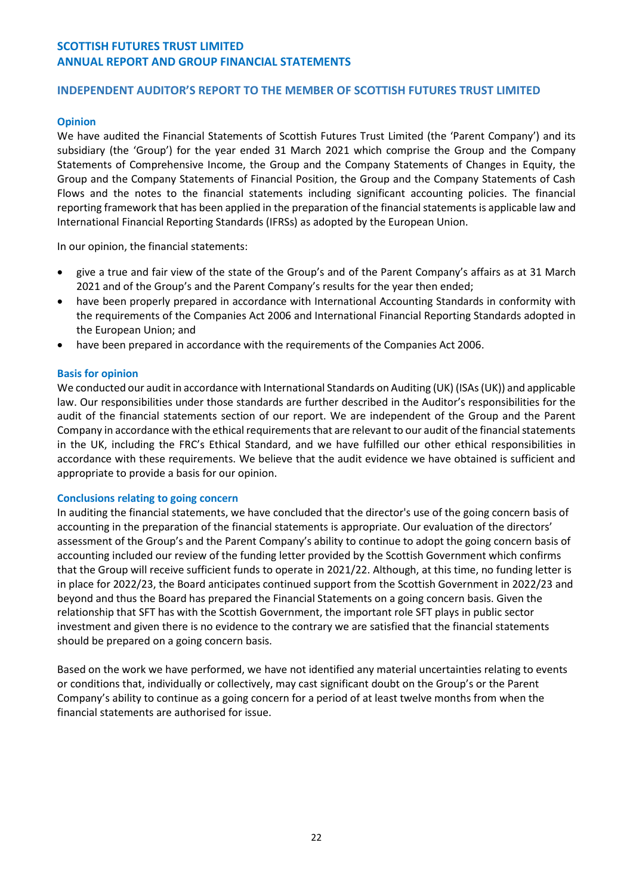## <span id="page-23-0"></span>**INDEPENDENT AUDITOR'S REPORT TO THE MEMBER OF SCOTTISH FUTURES TRUST LIMITED**

#### **Opinion**

We have audited the Financial Statements of Scottish Futures Trust Limited (the 'Parent Company') and its subsidiary (the 'Group') for the year ended 31 March 2021 which comprise the Group and the Company Statements of Comprehensive Income, the Group and the Company Statements of Changes in Equity, the Group and the Company Statements of Financial Position, the Group and the Company Statements of Cash Flows and the notes to the financial statements including significant accounting policies. The financial reporting framework that has been applied in the preparation of the financial statements is applicable law and International Financial Reporting Standards (IFRSs) as adopted by the European Union.

In our opinion, the financial statements:

- give a true and fair view of the state of the Group's and of the Parent Company's affairs as at 31 March 2021 and of the Group's and the Parent Company's results for the year then ended;
- have been properly prepared in accordance with International Accounting Standards in conformity with the requirements of the Companies Act 2006 and International Financial Reporting Standards adopted in the European Union; and
- have been prepared in accordance with the requirements of the Companies Act 2006.

#### **Basis for opinion**

We conducted our audit in accordance with International Standards on Auditing (UK) (ISAs (UK)) and applicable law. Our responsibilities under those standards are further described in the Auditor's responsibilities for the audit of the financial statements section of our report. We are independent of the Group and the Parent Company in accordance with the ethical requirements that are relevant to our audit of the financial statements in the UK, including the FRC's Ethical Standard, and we have fulfilled our other ethical responsibilities in accordance with these requirements. We believe that the audit evidence we have obtained is sufficient and appropriate to provide a basis for our opinion.

#### **Conclusions relating to going concern**

In auditing the financial statements, we have concluded that the director's use of the going concern basis of accounting in the preparation of the financial statements is appropriate. Our evaluation of the directors' assessment of the Group's and the Parent Company's ability to continue to adopt the going concern basis of accounting included our review of the funding letter provided by the Scottish Government which confirms that the Group will receive sufficient funds to operate in 2021/22. Although, at this time, no funding letter is in place for 2022/23, the Board anticipates continued support from the Scottish Government in 2022/23 and beyond and thus the Board has prepared the Financial Statements on a going concern basis. Given the relationship that SFT has with the Scottish Government, the important role SFT plays in public sector investment and given there is no evidence to the contrary we are satisfied that the financial statements should be prepared on a going concern basis.

Based on the work we have performed, we have not identified any material uncertainties relating to events or conditions that, individually or collectively, may cast significant doubt on the Group's or the Parent Company's ability to continue as a going concern for a period of at least twelve months from when the financial statements are authorised for issue.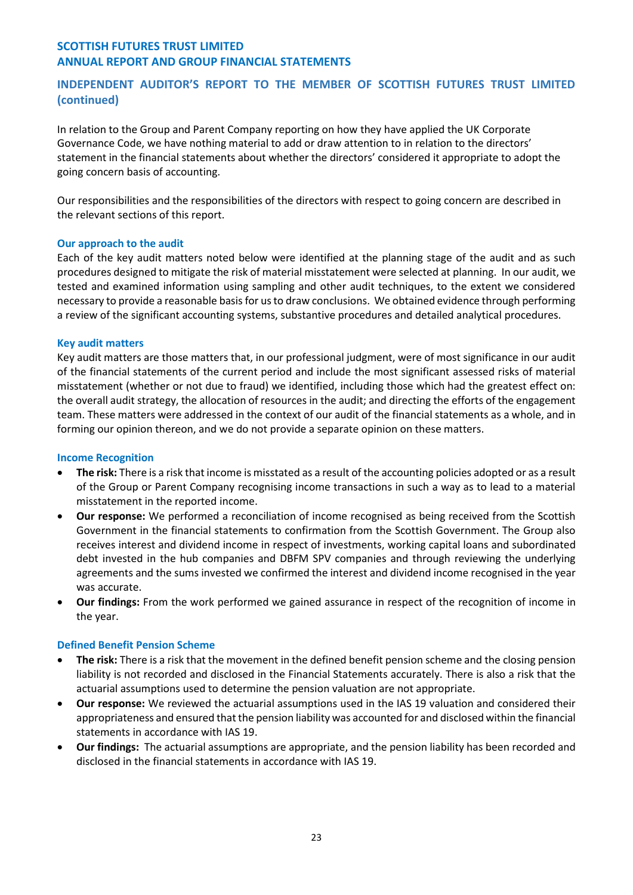## **INDEPENDENT AUDITOR'S REPORT TO THE MEMBER OF SCOTTISH FUTURES TRUST LIMITED (continued)**

In relation to the Group and Parent Company reporting on how they have applied the UK Corporate Governance Code, we have nothing material to add or draw attention to in relation to the directors' statement in the financial statements about whether the directors' considered it appropriate to adopt the going concern basis of accounting.

Our responsibilities and the responsibilities of the directors with respect to going concern are described in the relevant sections of this report.

#### **Our approach to the audit**

Each of the key audit matters noted below were identified at the planning stage of the audit and as such procedures designed to mitigate the risk of material misstatement were selected at planning. In our audit, we tested and examined information using sampling and other audit techniques, to the extent we considered necessary to provide a reasonable basis for us to draw conclusions. We obtained evidence through performing a review of the significant accounting systems, substantive procedures and detailed analytical procedures.

#### **Key audit matters**

Key audit matters are those matters that, in our professional judgment, were of most significance in our audit of the financial statements of the current period and include the most significant assessed risks of material misstatement (whether or not due to fraud) we identified, including those which had the greatest effect on: the overall audit strategy, the allocation of resources in the audit; and directing the efforts of the engagement team. These matters were addressed in the context of our audit of the financial statements as a whole, and in forming our opinion thereon, and we do not provide a separate opinion on these matters.

#### **Income Recognition**

- **The risk:** There is a risk that income is misstated as a result of the accounting policies adopted or as a result of the Group or Parent Company recognising income transactions in such a way as to lead to a material misstatement in the reported income.
- **Our response:** We performed a reconciliation of income recognised as being received from the Scottish Government in the financial statements to confirmation from the Scottish Government. The Group also receives interest and dividend income in respect of investments, working capital loans and subordinated debt invested in the hub companies and DBFM SPV companies and through reviewing the underlying agreements and the sums invested we confirmed the interest and dividend income recognised in the year was accurate.
- **Our findings:** From the work performed we gained assurance in respect of the recognition of income in the year.

#### **Defined Benefit Pension Scheme**

- **The risk:** There is a risk that the movement in the defined benefit pension scheme and the closing pension liability is not recorded and disclosed in the Financial Statements accurately. There is also a risk that the actuarial assumptions used to determine the pension valuation are not appropriate.
- **Our response:** We reviewed the actuarial assumptions used in the IAS 19 valuation and considered their appropriateness and ensured that the pension liability was accounted for and disclosed within the financial statements in accordance with IAS 19.
- **Our findings:** The actuarial assumptions are appropriate, and the pension liability has been recorded and disclosed in the financial statements in accordance with IAS 19.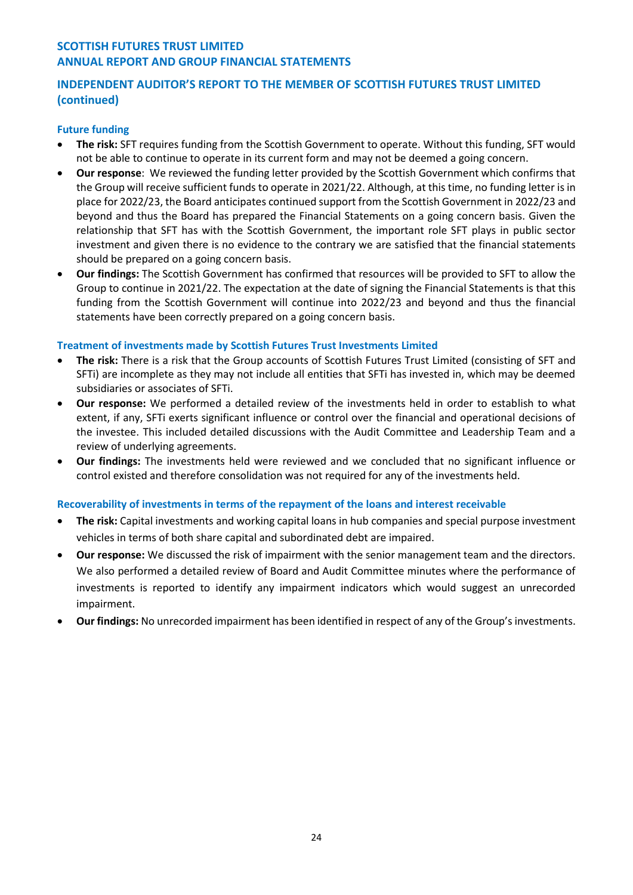## **INDEPENDENT AUDITOR'S REPORT TO THE MEMBER OF SCOTTISH FUTURES TRUST LIMITED (continued)**

## **Future funding**

- **The risk:** SFT requires funding from the Scottish Government to operate. Without this funding, SFT would not be able to continue to operate in its current form and may not be deemed a going concern.
- **Our response**: We reviewed the funding letter provided by the Scottish Government which confirms that the Group will receive sufficient funds to operate in 2021/22. Although, at this time, no funding letter is in place for 2022/23, the Board anticipates continued support from the Scottish Government in 2022/23 and beyond and thus the Board has prepared the Financial Statements on a going concern basis. Given the relationship that SFT has with the Scottish Government, the important role SFT plays in public sector investment and given there is no evidence to the contrary we are satisfied that the financial statements should be prepared on a going concern basis.
- **Our findings:** The Scottish Government has confirmed that resources will be provided to SFT to allow the Group to continue in 2021/22. The expectation at the date of signing the Financial Statements is that this funding from the Scottish Government will continue into 2022/23 and beyond and thus the financial statements have been correctly prepared on a going concern basis.

## **Treatment of investments made by Scottish Futures Trust Investments Limited**

- **The risk:** There is a risk that the Group accounts of Scottish Futures Trust Limited (consisting of SFT and SFTi) are incomplete as they may not include all entities that SFTi has invested in, which may be deemed subsidiaries or associates of SFTi.
- **Our response:** We performed a detailed review of the investments held in order to establish to what extent, if any, SFTi exerts significant influence or control over the financial and operational decisions of the investee. This included detailed discussions with the Audit Committee and Leadership Team and a review of underlying agreements.
- **Our findings:** The investments held were reviewed and we concluded that no significant influence or control existed and therefore consolidation was not required for any of the investments held.

#### **Recoverability of investments in terms of the repayment of the loans and interest receivable**

- **The risk:** Capital investments and working capital loans in hub companies and special purpose investment vehicles in terms of both share capital and subordinated debt are impaired.
- **Our response:** We discussed the risk of impairment with the senior management team and the directors. We also performed a detailed review of Board and Audit Committee minutes where the performance of investments is reported to identify any impairment indicators which would suggest an unrecorded impairment.
- **Our findings:** No unrecorded impairment has been identified in respect of any of the Group's investments.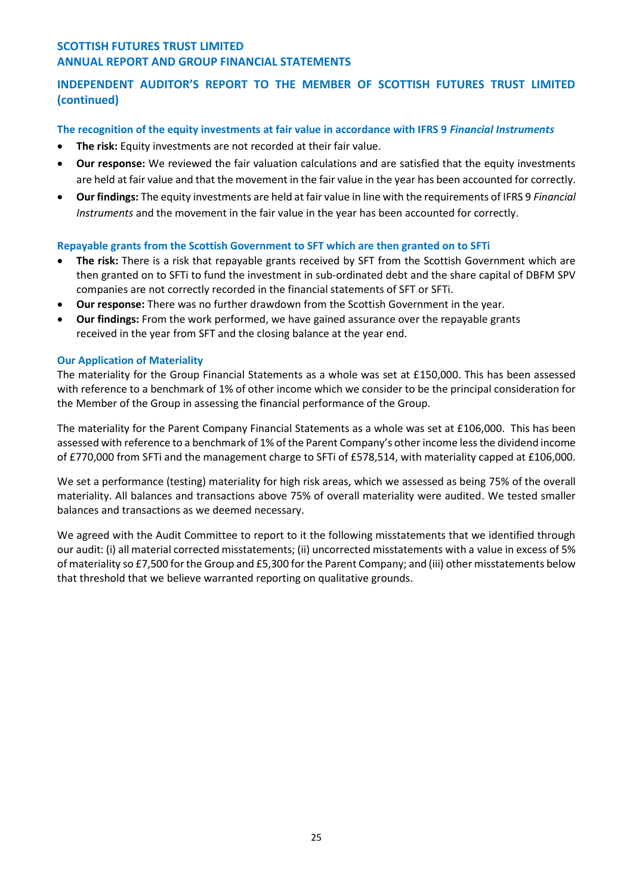## **INDEPENDENT AUDITOR'S REPORT TO THE MEMBER OF SCOTTISH FUTURES TRUST LIMITED (continued)**

## **The recognition of the equity investments at fair value in accordance with IFRS 9** *Financial Instruments*

- **The risk:** Equity investments are not recorded at their fair value.
- **Our response:** We reviewed the fair valuation calculations and are satisfied that the equity investments are held at fair value and that the movement in the fair value in the year has been accounted for correctly.
- **Our findings:** The equity investments are held at fair value in line with the requirements of IFRS 9 *Financial Instruments* and the movement in the fair value in the year has been accounted for correctly.

## **Repayable grants from the Scottish Government to SFT which are then granted on to SFTi**

- The risk: There is a risk that repayable grants received by SFT from the Scottish Government which are then granted on to SFTi to fund the investment in sub-ordinated debt and the share capital of DBFM SPV companies are not correctly recorded in the financial statements of SFT or SFTi.
- **Our response:** There was no further drawdown from the Scottish Government in the year.
- **Our findings:** From the work performed, we have gained assurance over the repayable grants received in the year from SFT and the closing balance at the year end.

#### **Our Application of Materiality**

The materiality for the Group Financial Statements as a whole was set at £150,000. This has been assessed with reference to a benchmark of 1% of other income which we consider to be the principal consideration for the Member of the Group in assessing the financial performance of the Group.

The materiality for the Parent Company Financial Statements as a whole was set at £106,000. This has been assessed with reference to a benchmark of 1% of the Parent Company's other income less the dividend income of £770,000 from SFTi and the management charge to SFTi of £578,514, with materiality capped at £106,000.

We set a performance (testing) materiality for high risk areas, which we assessed as being 75% of the overall materiality. All balances and transactions above 75% of overall materiality were audited. We tested smaller balances and transactions as we deemed necessary.

We agreed with the Audit Committee to report to it the following misstatements that we identified through our audit: (i) all material corrected misstatements; (ii) uncorrected misstatements with a value in excess of 5% of materiality so £7,500 for the Group and £5,300 for the Parent Company; and (iii) other misstatements below that threshold that we believe warranted reporting on qualitative grounds.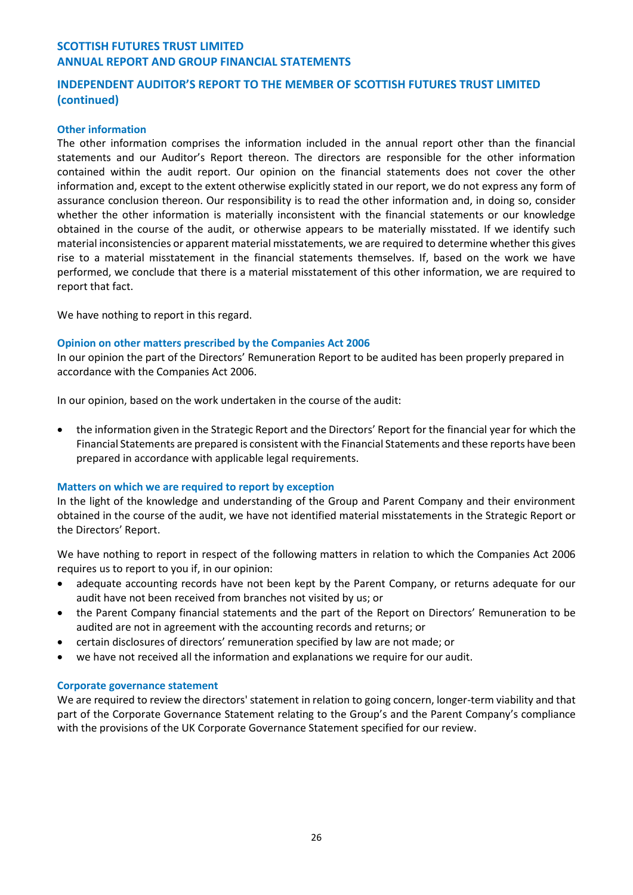## **INDEPENDENT AUDITOR'S REPORT TO THE MEMBER OF SCOTTISH FUTURES TRUST LIMITED (continued)**

#### **Other information**

The other information comprises the information included in the annual report other than the financial statements and our Auditor's Report thereon. The directors are responsible for the other information contained within the audit report. Our opinion on the financial statements does not cover the other information and, except to the extent otherwise explicitly stated in our report, we do not express any form of assurance conclusion thereon. Our responsibility is to read the other information and, in doing so, consider whether the other information is materially inconsistent with the financial statements or our knowledge obtained in the course of the audit, or otherwise appears to be materially misstated. If we identify such material inconsistencies or apparent material misstatements, we are required to determine whether this gives rise to a material misstatement in the financial statements themselves. If, based on the work we have performed, we conclude that there is a material misstatement of this other information, we are required to report that fact.

We have nothing to report in this regard.

## **Opinion on other matters prescribed by the Companies Act 2006**

In our opinion the part of the Directors' Remuneration Report to be audited has been properly prepared in accordance with the Companies Act 2006.

In our opinion, based on the work undertaken in the course of the audit:

• the information given in the Strategic Report and the Directors' Report for the financial year for which the Financial Statements are prepared is consistent with the Financial Statements and these reports have been prepared in accordance with applicable legal requirements.

#### **Matters on which we are required to report by exception**

In the light of the knowledge and understanding of the Group and Parent Company and their environment obtained in the course of the audit, we have not identified material misstatements in the Strategic Report or the Directors' Report.

We have nothing to report in respect of the following matters in relation to which the Companies Act 2006 requires us to report to you if, in our opinion:

- adequate accounting records have not been kept by the Parent Company, or returns adequate for our audit have not been received from branches not visited by us; or
- the Parent Company financial statements and the part of the Report on Directors' Remuneration to be audited are not in agreement with the accounting records and returns; or
- certain disclosures of directors' remuneration specified by law are not made; or
- we have not received all the information and explanations we require for our audit.

#### **Corporate governance statement**

We are required to review the directors' statement in relation to going concern, longer-term viability and that part of the Corporate Governance Statement relating to the Group's and the Parent Company's compliance with the provisions of the UK Corporate Governance Statement specified for our review.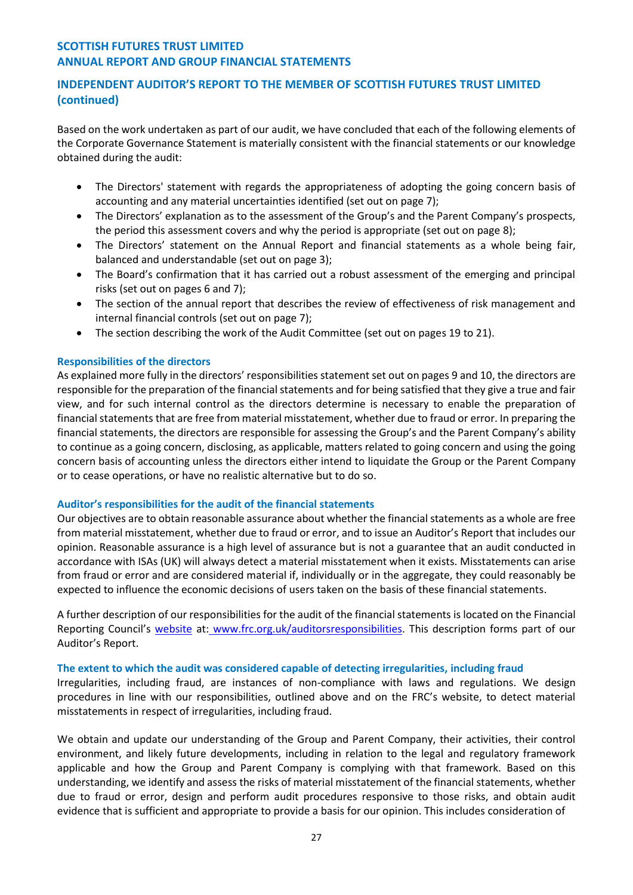## **INDEPENDENT AUDITOR'S REPORT TO THE MEMBER OF SCOTTISH FUTURES TRUST LIMITED (continued)**

Based on the work undertaken as part of our audit, we have concluded that each of the following elements of the Corporate Governance Statement is materially consistent with the financial statements or our knowledge obtained during the audit:

- The Directors' statement with regards the appropriateness of adopting the going concern basis of accounting and any material uncertainties identified (set out on page 7);
- The Directors' explanation as to the assessment of the Group's and the Parent Company's prospects, the period this assessment covers and why the period is appropriate (set out on page 8);
- The Directors' statement on the Annual Report and financial statements as a whole being fair, balanced and understandable (set out on page 3);
- The Board's confirmation that it has carried out a robust assessment of the emerging and principal risks (set out on pages 6 and 7);
- The section of the annual report that describes the review of effectiveness of risk management and internal financial controls (set out on page 7);
- The section describing the work of the Audit Committee (set out on pages 19 to 21).

## **Responsibilities of the directors**

As explained more fully in the directors' responsibilities statement set out on pages 9 and 10, the directors are responsible for the preparation of the financial statements and for being satisfied that they give a true and fair view, and for such internal control as the directors determine is necessary to enable the preparation of financial statements that are free from material misstatement, whether due to fraud or error. In preparing the financial statements, the directors are responsible for assessing the Group's and the Parent Company's ability to continue as a going concern, disclosing, as applicable, matters related to going concern and using the going concern basis of accounting unless the directors either intend to liquidate the Group or the Parent Company or to cease operations, or have no realistic alternative but to do so.

#### **Auditor's responsibilities for the audit of the financial statements**

Our objectives are to obtain reasonable assurance about whether the financial statements as a whole are free from material misstatement, whether due to fraud or error, and to issue an Auditor's Report that includes our opinion. Reasonable assurance is a high level of assurance but is not a guarantee that an audit conducted in accordance with ISAs (UK) will always detect a material misstatement when it exists. Misstatements can arise from fraud or error and are considered material if, individually or in the aggregate, they could reasonably be expected to influence the economic decisions of users taken on the basis of these financial statements.

A further description of our responsibilities for the audit of the financial statements is located on the Financial Reporting Council's [website](http://website/) at: www.frc.org.uk/auditorsresponsibilities. This description forms part of our Auditor's Report.

#### **The extent to which the audit was considered capable of detecting irregularities, including fraud**

Irregularities, including fraud, are instances of non-compliance with laws and regulations. We design procedures in line with our responsibilities, outlined above and on the FRC's website, to detect material misstatements in respect of irregularities, including fraud.

We obtain and update our understanding of the Group and Parent Company, their activities, their control environment, and likely future developments, including in relation to the legal and regulatory framework applicable and how the Group and Parent Company is complying with that framework. Based on this understanding, we identify and assess the risks of material misstatement of the financial statements, whether due to fraud or error, design and perform audit procedures responsive to those risks, and obtain audit evidence that is sufficient and appropriate to provide a basis for our opinion. This includes consideration of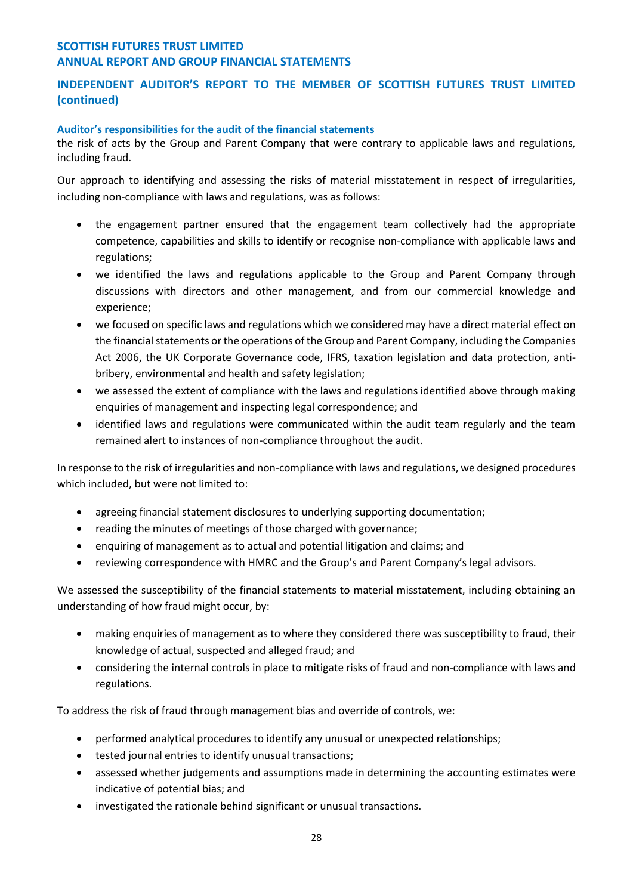## **INDEPENDENT AUDITOR'S REPORT TO THE MEMBER OF SCOTTISH FUTURES TRUST LIMITED (continued)**

## **Auditor's responsibilities for the audit of the financial statements**

the risk of acts by the Group and Parent Company that were contrary to applicable laws and regulations, including fraud.

Our approach to identifying and assessing the risks of material misstatement in respect of irregularities, including non-compliance with laws and regulations, was as follows:

- the engagement partner ensured that the engagement team collectively had the appropriate competence, capabilities and skills to identify or recognise non-compliance with applicable laws and regulations;
- we identified the laws and regulations applicable to the Group and Parent Company through discussions with directors and other management, and from our commercial knowledge and experience;
- we focused on specific laws and regulations which we considered may have a direct material effect on the financial statements or the operations of the Group and Parent Company, including the Companies Act 2006, the UK Corporate Governance code, IFRS, taxation legislation and data protection, antibribery, environmental and health and safety legislation;
- we assessed the extent of compliance with the laws and regulations identified above through making enquiries of management and inspecting legal correspondence; and
- identified laws and regulations were communicated within the audit team regularly and the team remained alert to instances of non-compliance throughout the audit.

In response to the risk of irregularities and non-compliance with laws and regulations, we designed procedures which included, but were not limited to:

- agreeing financial statement disclosures to underlying supporting documentation;
- reading the minutes of meetings of those charged with governance;
- enquiring of management as to actual and potential litigation and claims; and
- reviewing correspondence with HMRC and the Group's and Parent Company's legal advisors.

We assessed the susceptibility of the financial statements to material misstatement, including obtaining an understanding of how fraud might occur, by:

- making enquiries of management as to where they considered there was susceptibility to fraud, their knowledge of actual, suspected and alleged fraud; and
- considering the internal controls in place to mitigate risks of fraud and non-compliance with laws and regulations.

To address the risk of fraud through management bias and override of controls, we:

- performed analytical procedures to identify any unusual or unexpected relationships;
- tested journal entries to identify unusual transactions;
- assessed whether judgements and assumptions made in determining the accounting estimates were indicative of potential bias; and
- investigated the rationale behind significant or unusual transactions.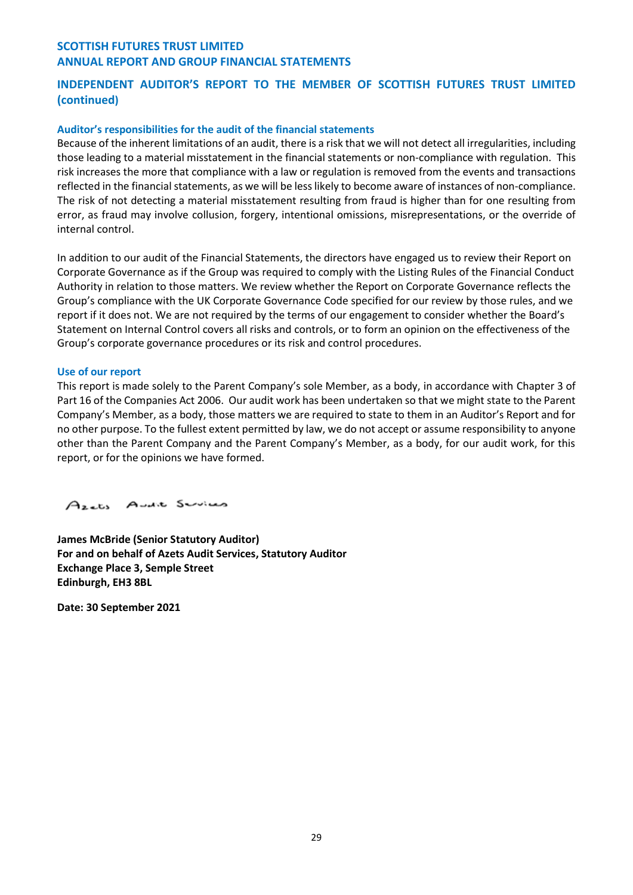## **INDEPENDENT AUDITOR'S REPORT TO THE MEMBER OF SCOTTISH FUTURES TRUST LIMITED (continued)**

#### **Auditor's responsibilities for the audit of the financial statements**

Because of the inherent limitations of an audit, there is a risk that we will not detect all irregularities, including those leading to a material misstatement in the financial statements or non-compliance with regulation. This risk increases the more that compliance with a law or regulation is removed from the events and transactions reflected in the financial statements, as we will be less likely to become aware of instances of non-compliance. The risk of not detecting a material misstatement resulting from fraud is higher than for one resulting from error, as fraud may involve collusion, forgery, intentional omissions, misrepresentations, or the override of internal control.

In addition to our audit of the Financial Statements, the directors have engaged us to review their Report on Corporate Governance as if the Group was required to comply with the Listing Rules of the Financial Conduct Authority in relation to those matters. We review whether the Report on Corporate Governance reflects the Group's compliance with the UK Corporate Governance Code specified for our review by those rules, and we report if it does not. We are not required by the terms of our engagement to consider whether the Board's Statement on Internal Control covers all risks and controls, or to form an opinion on the effectiveness of the Group's corporate governance procedures or its risk and control procedures.

#### **Use of our report**

This report is made solely to the Parent Company's sole Member, as a body, in accordance with Chapter 3 of Part 16 of the Companies Act 2006. Our audit work has been undertaken so that we might state to the Parent Company's Member, as a body, those matters we are required to state to them in an Auditor's Report and for no other purpose. To the fullest extent permitted by law, we do not accept or assume responsibility to anyone other than the Parent Company and the Parent Company's Member, as a body, for our audit work, for this report, or for the opinions we have formed.

Azets Audit Services

**James McBride (Senior Statutory Auditor) For and on behalf of Azets Audit Services, Statutory Auditor Exchange Place 3, Semple Street Edinburgh, EH3 8BL**

**Date: 30 September 2021**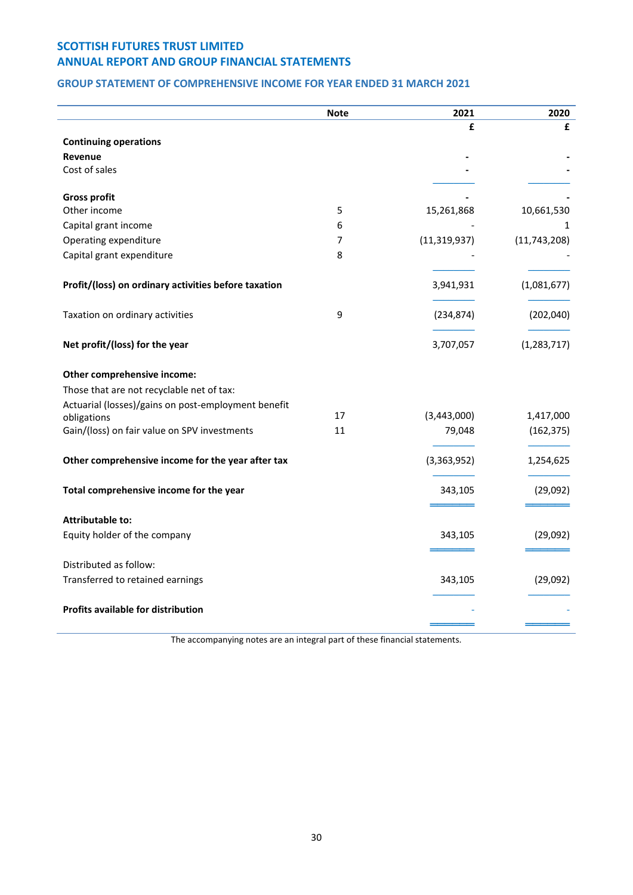## <span id="page-31-0"></span>**GROUP STATEMENT OF COMPREHENSIVE INCOME FOR YEAR ENDED 31 MARCH 2021**

|                                                      | <b>Note</b> | 2021           | 2020          |
|------------------------------------------------------|-------------|----------------|---------------|
|                                                      |             | £              | £             |
| <b>Continuing operations</b>                         |             |                |               |
| Revenue                                              |             |                |               |
| Cost of sales                                        |             |                |               |
| <b>Gross profit</b>                                  |             |                |               |
| Other income                                         | 5           | 15,261,868     | 10,661,530    |
| Capital grant income                                 | 6           |                | 1             |
| Operating expenditure                                | 7           | (11, 319, 937) | (11,743,208)  |
| Capital grant expenditure                            | 8           |                |               |
| Profit/(loss) on ordinary activities before taxation |             | 3,941,931      | (1,081,677)   |
| Taxation on ordinary activities                      | 9           | (234, 874)     | (202,040)     |
| Net profit/(loss) for the year                       |             | 3,707,057      | (1, 283, 717) |
| Other comprehensive income:                          |             |                |               |
| Those that are not recyclable net of tax:            |             |                |               |
| Actuarial (losses)/gains on post-employment benefit  |             |                |               |
| obligations                                          | 17          | (3,443,000)    | 1,417,000     |
| Gain/(loss) on fair value on SPV investments         | 11          | 79,048         | (162, 375)    |
| Other comprehensive income for the year after tax    |             | (3,363,952)    | 1,254,625     |
| Total comprehensive income for the year              |             | 343,105        | (29,092)      |
|                                                      |             |                |               |
| <b>Attributable to:</b>                              |             |                |               |
| Equity holder of the company                         |             | 343,105        | (29,092)      |
| Distributed as follow:                               |             |                |               |
| Transferred to retained earnings                     |             | 343,105        | (29,092)      |
| <b>Profits available for distribution</b>            |             |                |               |

The accompanying notes are an integral part of these financial statements.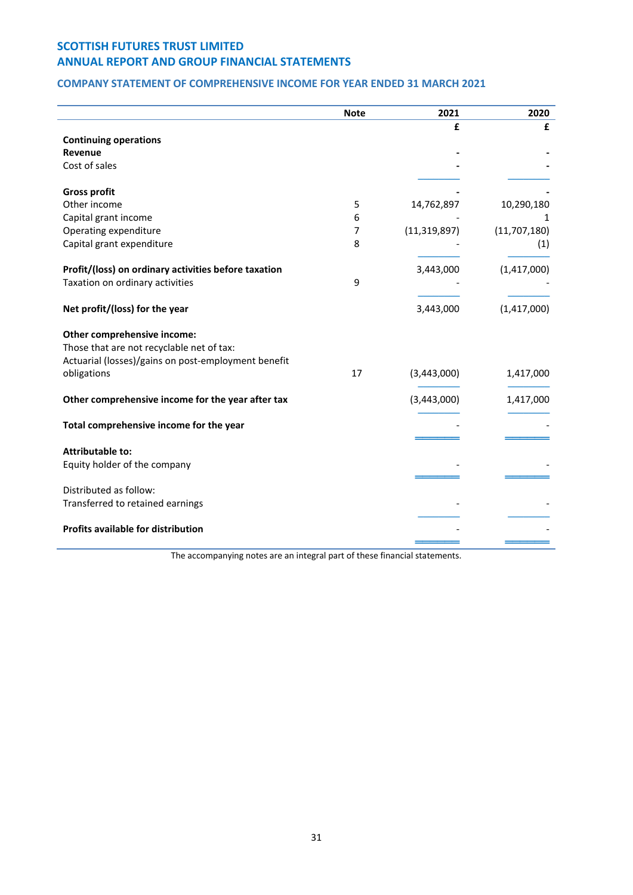## <span id="page-32-0"></span>**COMPANY STATEMENT OF COMPREHENSIVE INCOME FOR YEAR ENDED 31 MARCH 2021**

|                                                                                                                                 | <b>Note</b> | 2021           | 2020         |
|---------------------------------------------------------------------------------------------------------------------------------|-------------|----------------|--------------|
|                                                                                                                                 |             | £              | £            |
| <b>Continuing operations</b>                                                                                                    |             |                |              |
| Revenue                                                                                                                         |             |                |              |
| Cost of sales                                                                                                                   |             |                |              |
| <b>Gross profit</b>                                                                                                             |             |                |              |
| Other income                                                                                                                    | 5           | 14,762,897     | 10,290,180   |
| Capital grant income                                                                                                            | 6           |                |              |
| Operating expenditure                                                                                                           | 7           | (11, 319, 897) | (11,707,180) |
| Capital grant expenditure                                                                                                       | 8           |                | (1)          |
| Profit/(loss) on ordinary activities before taxation                                                                            |             | 3,443,000      | (1,417,000)  |
| Taxation on ordinary activities                                                                                                 | 9           |                |              |
| Net profit/(loss) for the year                                                                                                  |             | 3,443,000      | (1,417,000)  |
| Other comprehensive income:<br>Those that are not recyclable net of tax:<br>Actuarial (losses)/gains on post-employment benefit |             |                |              |
| obligations                                                                                                                     | 17          | (3,443,000)    | 1,417,000    |
| Other comprehensive income for the year after tax                                                                               |             | (3,443,000)    | 1,417,000    |
| Total comprehensive income for the year                                                                                         |             |                |              |
| <b>Attributable to:</b>                                                                                                         |             |                |              |
| Equity holder of the company                                                                                                    |             |                |              |
|                                                                                                                                 |             |                |              |
| Distributed as follow:                                                                                                          |             |                |              |
| Transferred to retained earnings                                                                                                |             |                |              |
|                                                                                                                                 |             |                |              |
| <b>Profits available for distribution</b>                                                                                       |             |                |              |
|                                                                                                                                 |             |                |              |

The accompanying notes are an integral part of these financial statements.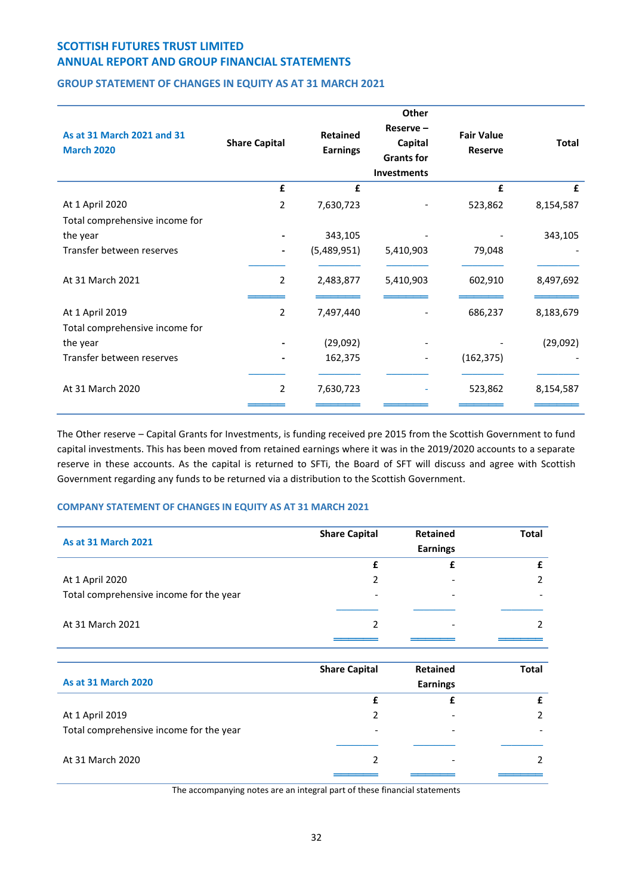#### <span id="page-33-0"></span>**GROUP STATEMENT OF CHANGES IN EQUITY AS AT 31 MARCH 2021**

| As at 31 March 2021 and 31<br><b>March 2020</b> | <b>Share Capital</b> | <b>Retained</b><br><b>Earnings</b> | Other<br>Reserve-<br>Capital<br><b>Grants for</b><br><b>Investments</b> | <b>Fair Value</b><br><b>Reserve</b> | <b>Total</b> |
|-------------------------------------------------|----------------------|------------------------------------|-------------------------------------------------------------------------|-------------------------------------|--------------|
|                                                 | £                    | £                                  |                                                                         | £                                   | £            |
| At 1 April 2020                                 | 2                    | 7,630,723                          |                                                                         | 523,862                             | 8,154,587    |
| Total comprehensive income for                  |                      |                                    |                                                                         |                                     |              |
| the year                                        |                      | 343,105                            |                                                                         |                                     | 343,105      |
| Transfer between reserves                       |                      | (5,489,951)                        | 5,410,903                                                               | 79,048                              |              |
|                                                 |                      |                                    |                                                                         |                                     |              |
| At 31 March 2021                                | 2                    | 2,483,877                          | 5,410,903                                                               | 602,910                             | 8,497,692    |
|                                                 |                      |                                    |                                                                         |                                     |              |
| At 1 April 2019                                 | 2                    | 7,497,440                          |                                                                         | 686,237                             | 8,183,679    |
| Total comprehensive income for                  |                      |                                    |                                                                         |                                     |              |
| the year                                        |                      | (29,092)                           |                                                                         |                                     | (29,092)     |
| Transfer between reserves                       |                      | 162,375                            |                                                                         | (162, 375)                          |              |
|                                                 |                      |                                    |                                                                         |                                     |              |
| At 31 March 2020                                | 2                    | 7,630,723                          |                                                                         | 523,862                             | 8,154,587    |
|                                                 |                      |                                    |                                                                         |                                     |              |

The Other reserve – Capital Grants for Investments, is funding received pre 2015 from the Scottish Government to fund capital investments. This has been moved from retained earnings where it was in the 2019/2020 accounts to a separate reserve in these accounts. As the capital is returned to SFTi, the Board of SFT will discuss and agree with Scottish Government regarding any funds to be returned via a distribution to the Scottish Government.

#### <span id="page-33-1"></span>**COMPANY STATEMENT OF CHANGES IN EQUITY AS AT 31 MARCH 2021**

| <b>As at 31 March 2021</b>              | <b>Share Capital</b>     | Retained<br><b>Earnings</b> | <b>Total</b> |
|-----------------------------------------|--------------------------|-----------------------------|--------------|
|                                         |                          |                             |              |
| At 1 April 2020                         |                          | $\overline{\phantom{0}}$    |              |
| Total comprehensive income for the year | $\overline{\phantom{a}}$ | $\overline{\phantom{a}}$    |              |
|                                         |                          |                             |              |
| At 31 March 2021                        |                          |                             |              |
|                                         |                          |                             |              |

| <b>As at 31 March 2020</b>              | <b>Share Capital</b>     | Retained<br><b>Earnings</b> | <b>Total</b> |
|-----------------------------------------|--------------------------|-----------------------------|--------------|
|                                         |                          |                             |              |
| At 1 April 2019                         | 2                        |                             |              |
| Total comprehensive income for the year | $\overline{\phantom{a}}$ |                             |              |
|                                         |                          |                             |              |
| At 31 March 2020                        |                          |                             |              |
|                                         |                          |                             |              |

The accompanying notes are an integral part of these financial statements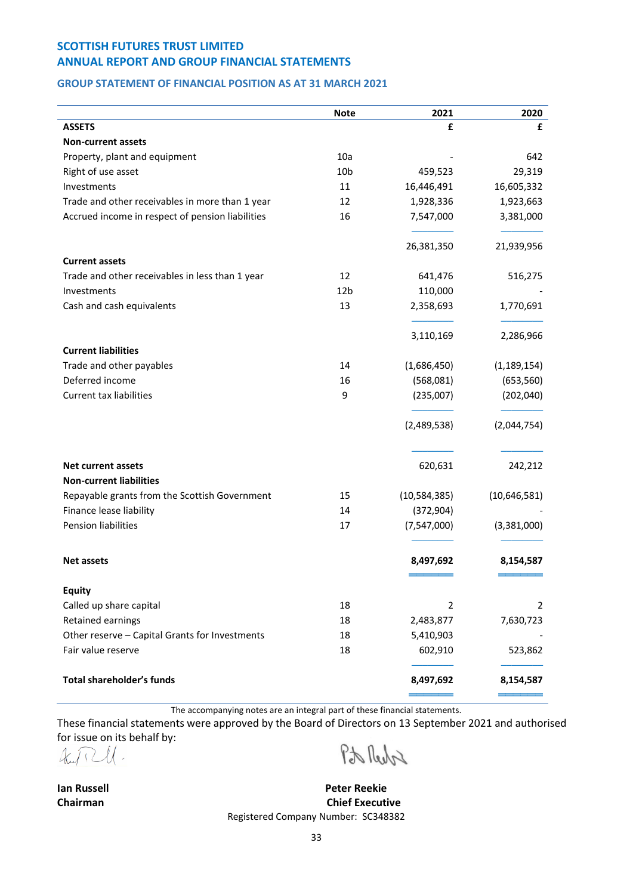#### <span id="page-34-0"></span>**GROUP STATEMENT OF FINANCIAL POSITION AS AT 31 MARCH 2021**

|                                                  | <b>Note</b>     | 2021           | 2020          |
|--------------------------------------------------|-----------------|----------------|---------------|
| <b>ASSETS</b>                                    |                 | £              | £             |
| <b>Non-current assets</b>                        |                 |                |               |
| Property, plant and equipment                    | 10a             |                | 642           |
| Right of use asset                               | 10 <sub>b</sub> | 459,523        | 29,319        |
| Investments                                      | 11              | 16,446,491     | 16,605,332    |
| Trade and other receivables in more than 1 year  | 12              | 1,928,336      | 1,923,663     |
| Accrued income in respect of pension liabilities | 16              | 7,547,000      | 3,381,000     |
|                                                  |                 | 26,381,350     | 21,939,956    |
| <b>Current assets</b>                            |                 |                |               |
| Trade and other receivables in less than 1 year  | 12              | 641,476        | 516,275       |
| Investments                                      | 12 <sub>b</sub> | 110,000        |               |
| Cash and cash equivalents                        | 13              | 2,358,693      | 1,770,691     |
|                                                  |                 | 3,110,169      | 2,286,966     |
| <b>Current liabilities</b>                       |                 |                |               |
| Trade and other payables                         | 14              | (1,686,450)    | (1, 189, 154) |
| Deferred income                                  | 16              | (568,081)      | (653, 560)    |
| <b>Current tax liabilities</b>                   | 9               | (235,007)      | (202,040)     |
|                                                  |                 | (2,489,538)    | (2,044,754)   |
| <b>Net current assets</b>                        |                 | 620,631        | 242,212       |
| <b>Non-current liabilities</b>                   |                 |                |               |
| Repayable grants from the Scottish Government    | 15              | (10, 584, 385) | (10,646,581)  |
| Finance lease liability                          | 14              | (372,904)      |               |
| Pension liabilities                              | 17              | (7,547,000)    | (3,381,000)   |
| <b>Net assets</b>                                |                 | 8,497,692      | 8,154,587     |
|                                                  |                 |                |               |
| <b>Equity</b>                                    |                 |                |               |
| Called up share capital                          | 18              | $\overline{2}$ | 2             |
| Retained earnings                                | 18              | 2,483,877      | 7,630,723     |
| Other reserve - Capital Grants for Investments   | 18              | 5,410,903      |               |
| Fair value reserve                               | 18              | 602,910        | 523,862       |
| Total shareholder's funds                        |                 | 8,497,692      | 8,154,587     |

The accompanying notes are an integral part of these financial statements.

These financial statements were approved by the Board of Directors on 13 September 2021 and authorised for issue on its behalf by:

 $44721.$ 

ProlledA

**Ian Russell Peter Reekie Chairman** Chairman Chief Executive Registered Company Number: SC348382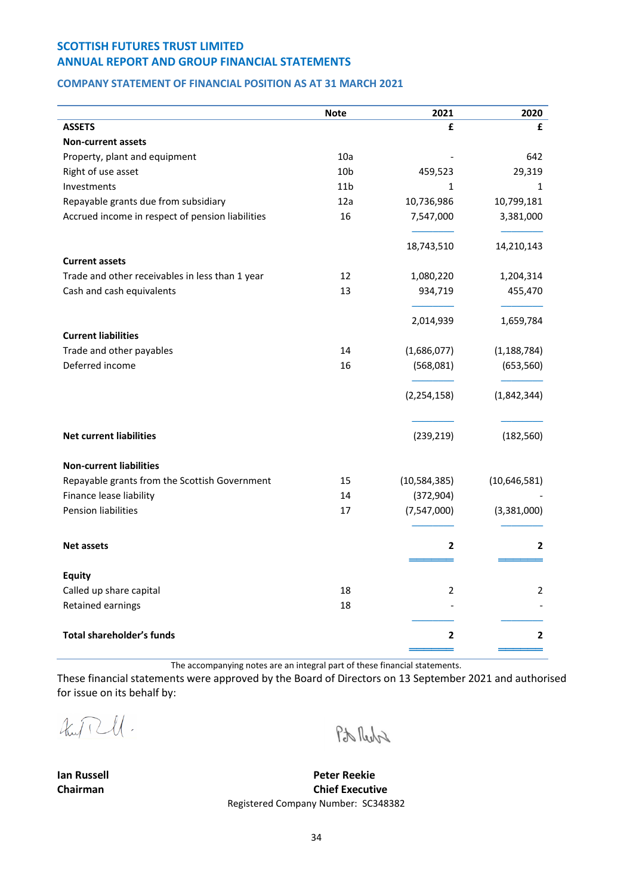#### <span id="page-35-0"></span>**COMPANY STATEMENT OF FINANCIAL POSITION AS AT 31 MARCH 2021**

|                                                  | <b>Note</b>     | 2021           | 2020           |
|--------------------------------------------------|-----------------|----------------|----------------|
| <b>ASSETS</b>                                    |                 | £              | £              |
| <b>Non-current assets</b>                        |                 |                |                |
| Property, plant and equipment                    | 10a             |                | 642            |
| Right of use asset                               | 10 <sub>b</sub> | 459,523        | 29,319         |
| Investments                                      | 11 <sub>b</sub> | 1              | 1              |
| Repayable grants due from subsidiary             | 12a             | 10,736,986     | 10,799,181     |
| Accrued income in respect of pension liabilities | 16              | 7,547,000      | 3,381,000      |
|                                                  |                 | 18,743,510     | 14,210,143     |
| <b>Current assets</b>                            |                 |                |                |
| Trade and other receivables in less than 1 year  | 12              | 1,080,220      | 1,204,314      |
| Cash and cash equivalents                        | 13              | 934,719        | 455,470        |
|                                                  |                 | 2,014,939      | 1,659,784      |
| <b>Current liabilities</b>                       |                 |                |                |
| Trade and other payables                         | 14              | (1,686,077)    | (1, 188, 784)  |
| Deferred income                                  | 16              | (568,081)      | (653, 560)     |
|                                                  |                 | (2, 254, 158)  | (1,842,344)    |
| <b>Net current liabilities</b>                   |                 | (239, 219)     | (182, 560)     |
| <b>Non-current liabilities</b>                   |                 |                |                |
| Repayable grants from the Scottish Government    | 15              | (10, 584, 385) | (10,646,581)   |
| Finance lease liability                          | 14              | (372,904)      |                |
| Pension liabilities                              | 17              | (7,547,000)    | (3,381,000)    |
| <b>Net assets</b>                                |                 | $\mathbf{z}$   | $\overline{2}$ |
|                                                  |                 |                |                |
| <b>Equity</b>                                    |                 |                |                |
| Called up share capital                          | 18              | 2              | 2              |
| Retained earnings                                | 18              |                |                |
| <b>Total shareholder's funds</b>                 |                 | 2              | $\mathbf{2}$   |

The accompanying notes are an integral part of these financial statements.

These financial statements were approved by the Board of Directors on 13 September 2021 and authorised for issue on its behalf by:

 $4\pi U.$ 

Pto Reda

**Ian Russell Peter Reekie Chairman** Chairman Chief Executive Registered Company Number: SC348382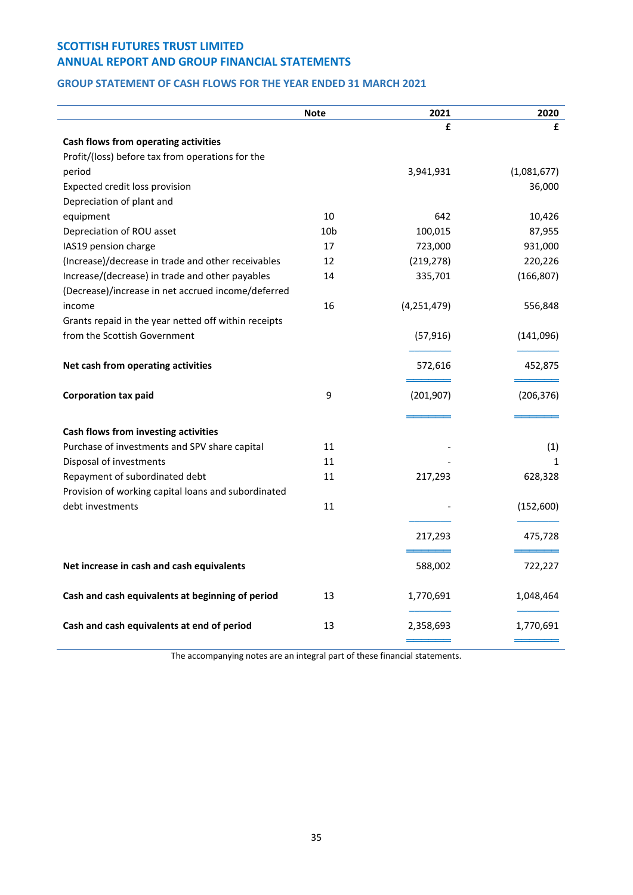### **GROUP STATEMENT OF CASH FLOWS FOR THE YEAR ENDED 31 MARCH 2021**

| Cash flows from operating activities                 |                 | £             | £           |
|------------------------------------------------------|-----------------|---------------|-------------|
|                                                      |                 |               |             |
|                                                      |                 |               |             |
| Profit/(loss) before tax from operations for the     |                 |               |             |
| period                                               |                 | 3,941,931     | (1,081,677) |
| Expected credit loss provision                       |                 |               | 36,000      |
| Depreciation of plant and                            |                 |               |             |
| equipment                                            | 10              | 642           | 10,426      |
| Depreciation of ROU asset                            | 10 <sub>b</sub> | 100,015       | 87,955      |
| IAS19 pension charge                                 | 17              | 723,000       | 931,000     |
| (Increase)/decrease in trade and other receivables   | 12              | (219, 278)    | 220,226     |
| Increase/(decrease) in trade and other payables      | 14              | 335,701       | (166, 807)  |
| (Decrease)/increase in net accrued income/deferred   |                 |               |             |
| income                                               | 16              | (4, 251, 479) | 556,848     |
| Grants repaid in the year netted off within receipts |                 |               |             |
| from the Scottish Government                         |                 | (57, 916)     | (141,096)   |
| Net cash from operating activities                   |                 | 572,616       | 452,875     |
| <b>Corporation tax paid</b>                          | 9               | (201, 907)    | (206, 376)  |
| Cash flows from investing activities                 |                 |               |             |
| Purchase of investments and SPV share capital        | 11              |               | (1)         |
| Disposal of investments                              | 11              |               | 1           |
| Repayment of subordinated debt                       | 11              | 217,293       | 628,328     |
| Provision of working capital loans and subordinated  |                 |               |             |
| debt investments                                     | 11              |               | (152,600)   |
|                                                      |                 |               |             |
|                                                      |                 | 217,293       | 475,728     |
| Net increase in cash and cash equivalents            |                 | 588,002       | 722,227     |
| Cash and cash equivalents at beginning of period     | 13              | 1,770,691     | 1,048,464   |
| Cash and cash equivalents at end of period           | 13              | 2,358,693     | 1,770,691   |

The accompanying notes are an integral part of these financial statements.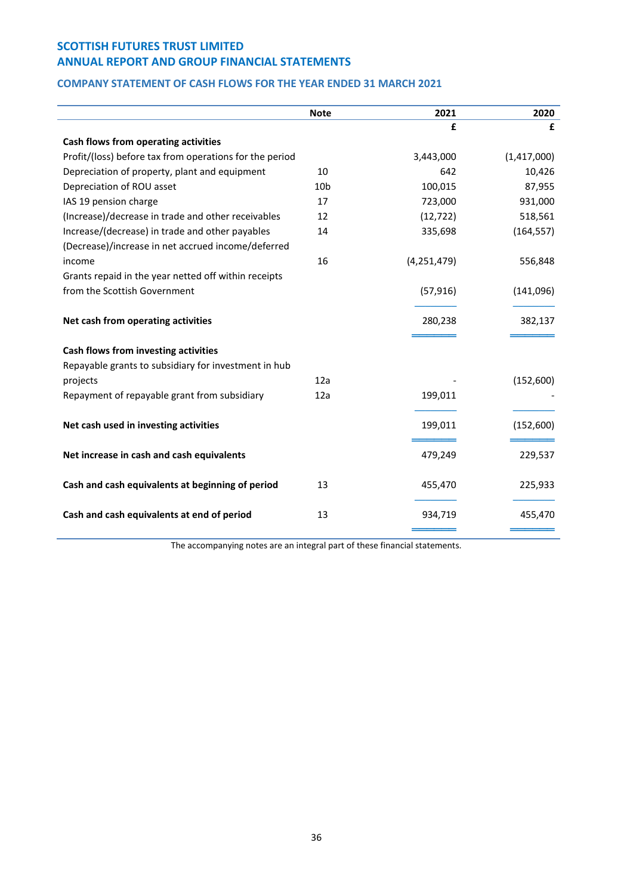### **COMPANY STATEMENT OF CASH FLOWS FOR THE YEAR ENDED 31 MARCH 2021**

|                                                         | <b>Note</b>     | 2021        | 2020        |
|---------------------------------------------------------|-----------------|-------------|-------------|
|                                                         |                 | £           | £           |
| Cash flows from operating activities                    |                 |             |             |
| Profit/(loss) before tax from operations for the period |                 | 3,443,000   | (1,417,000) |
| Depreciation of property, plant and equipment           | 10              | 642         | 10,426      |
| Depreciation of ROU asset                               | 10 <sub>b</sub> | 100,015     | 87,955      |
| IAS 19 pension charge                                   | 17              | 723,000     | 931,000     |
| (Increase)/decrease in trade and other receivables      | 12              | (12, 722)   | 518,561     |
| Increase/(decrease) in trade and other payables         | 14              | 335,698     | (164, 557)  |
| (Decrease)/increase in net accrued income/deferred      |                 |             |             |
| income                                                  | 16              | (4,251,479) | 556,848     |
| Grants repaid in the year netted off within receipts    |                 |             |             |
| from the Scottish Government                            |                 | (57, 916)   | (141,096)   |
|                                                         |                 |             |             |
| Net cash from operating activities                      |                 | 280,238     | 382,137     |
|                                                         |                 |             |             |
| Cash flows from investing activities                    |                 |             |             |
| Repayable grants to subsidiary for investment in hub    |                 |             |             |
| projects                                                | 12a             |             | (152,600)   |
| Repayment of repayable grant from subsidiary            | 12a             | 199,011     |             |
|                                                         |                 |             |             |
| Net cash used in investing activities                   |                 | 199,011     | (152, 600)  |
|                                                         |                 |             |             |
| Net increase in cash and cash equivalents               |                 | 479,249     | 229,537     |
|                                                         |                 |             |             |
| Cash and cash equivalents at beginning of period        | 13              | 455,470     | 225,933     |
|                                                         |                 |             |             |
| Cash and cash equivalents at end of period              | 13              | 934,719     | 455,470     |
|                                                         |                 |             |             |

The accompanying notes are an integral part of these financial statements.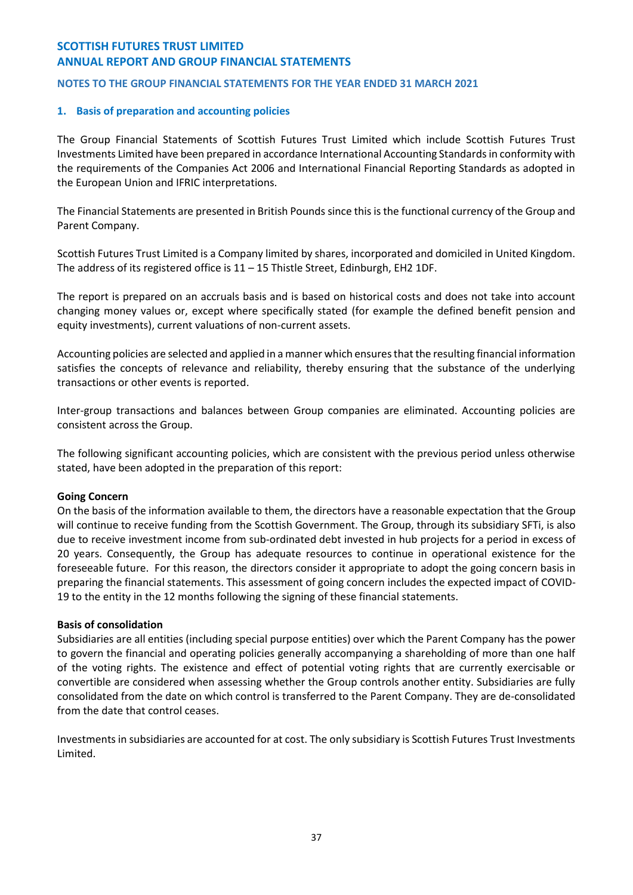#### **NOTES TO THE GROUP FINANCIAL STATEMENTS FOR THE YEAR ENDED 31 MARCH 2021**

### **1. Basis of preparation and accounting policies**

The Group Financial Statements of Scottish Futures Trust Limited which include Scottish Futures Trust Investments Limited have been prepared in accordance International Accounting Standards in conformity with the requirements of the Companies Act 2006 and International Financial Reporting Standards as adopted in the European Union and IFRIC interpretations.

The Financial Statements are presented in British Pounds since this is the functional currency of the Group and Parent Company.

Scottish Futures Trust Limited is a Company limited by shares, incorporated and domiciled in United Kingdom. The address of its registered office is 11 – 15 Thistle Street, Edinburgh, EH2 1DF.

The report is prepared on an accruals basis and is based on historical costs and does not take into account changing money values or, except where specifically stated (for example the defined benefit pension and equity investments), current valuations of non-current assets.

Accounting policies are selected and applied in a manner which ensures that the resulting financial information satisfies the concepts of relevance and reliability, thereby ensuring that the substance of the underlying transactions or other events is reported.

Inter-group transactions and balances between Group companies are eliminated. Accounting policies are consistent across the Group.

The following significant accounting policies, which are consistent with the previous period unless otherwise stated, have been adopted in the preparation of this report:

### **Going Concern**

On the basis of the information available to them, the directors have a reasonable expectation that the Group will continue to receive funding from the Scottish Government. The Group, through its subsidiary SFTi, is also due to receive investment income from sub-ordinated debt invested in hub projects for a period in excess of 20 years. Consequently, the Group has adequate resources to continue in operational existence for the foreseeable future. For this reason, the directors consider it appropriate to adopt the going concern basis in preparing the financial statements. This assessment of going concern includes the expected impact of COVID-19 to the entity in the 12 months following the signing of these financial statements.

### **Basis of consolidation**

Subsidiaries are all entities (including special purpose entities) over which the Parent Company has the power to govern the financial and operating policies generally accompanying a shareholding of more than one half of the voting rights. The existence and effect of potential voting rights that are currently exercisable or convertible are considered when assessing whether the Group controls another entity. Subsidiaries are fully consolidated from the date on which control is transferred to the Parent Company. They are de-consolidated from the date that control ceases.

Investments in subsidiaries are accounted for at cost. The only subsidiary is Scottish Futures Trust Investments Limited.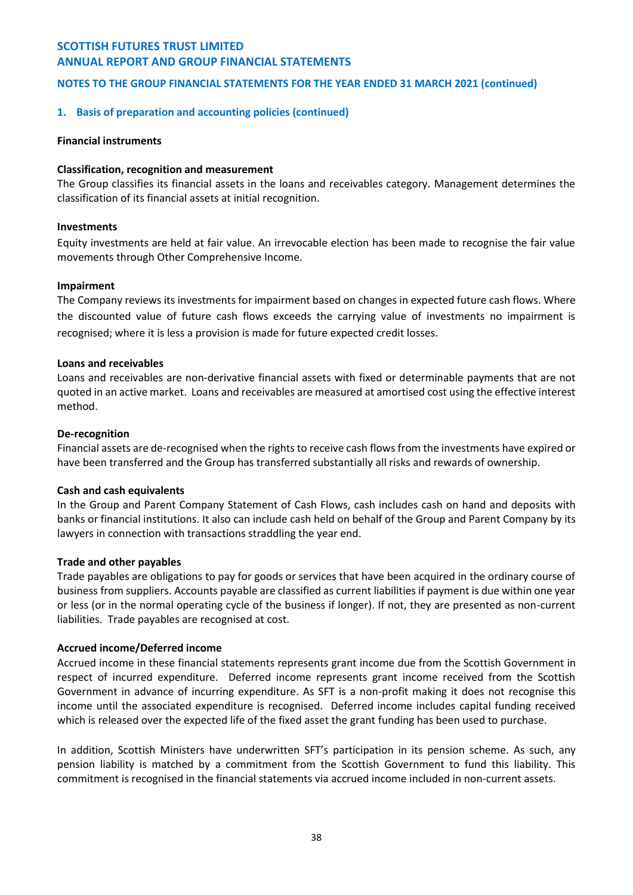### **NOTES TO THE GROUP FINANCIAL STATEMENTS FOR THE YEAR ENDED 31 MARCH 2021 (continued)**

### **1. Basis of preparation and accounting policies (continued)**

#### **Financial instruments**

#### **Classification, recognition and measurement**

The Group classifies its financial assets in the loans and receivables category. Management determines the classification of its financial assets at initial recognition.

#### **Investments**

Equity investments are held at fair value. An irrevocable election has been made to recognise the fair value movements through Other Comprehensive Income.

#### **Impairment**

The Company reviews its investments for impairment based on changes in expected future cash flows. Where the discounted value of future cash flows exceeds the carrying value of investments no impairment is recognised; where it is less a provision is made for future expected credit losses.

#### **Loans and receivables**

Loans and receivables are non-derivative financial assets with fixed or determinable payments that are not quoted in an active market. Loans and receivables are measured at amortised cost using the effective interest method.

#### **De-recognition**

Financial assets are de-recognised when the rights to receive cash flows from the investments have expired or have been transferred and the Group has transferred substantially all risks and rewards of ownership.

### **Cash and cash equivalents**

In the Group and Parent Company Statement of Cash Flows, cash includes cash on hand and deposits with banks or financial institutions. It also can include cash held on behalf of the Group and Parent Company by its lawyers in connection with transactions straddling the year end.

### **Trade and other payables**

Trade payables are obligations to pay for goods or services that have been acquired in the ordinary course of business from suppliers. Accounts payable are classified as current liabilities if payment is due within one year or less (or in the normal operating cycle of the business if longer). If not, they are presented as non-current liabilities. Trade payables are recognised at cost.

### **Accrued income/Deferred income**

Accrued income in these financial statements represents grant income due from the Scottish Government in respect of incurred expenditure. Deferred income represents grant income received from the Scottish Government in advance of incurring expenditure. As SFT is a non-profit making it does not recognise this income until the associated expenditure is recognised. Deferred income includes capital funding received which is released over the expected life of the fixed asset the grant funding has been used to purchase.

In addition, Scottish Ministers have underwritten SFT's participation in its pension scheme. As such, any pension liability is matched by a commitment from the Scottish Government to fund this liability. This commitment is recognised in the financial statements via accrued income included in non-current assets.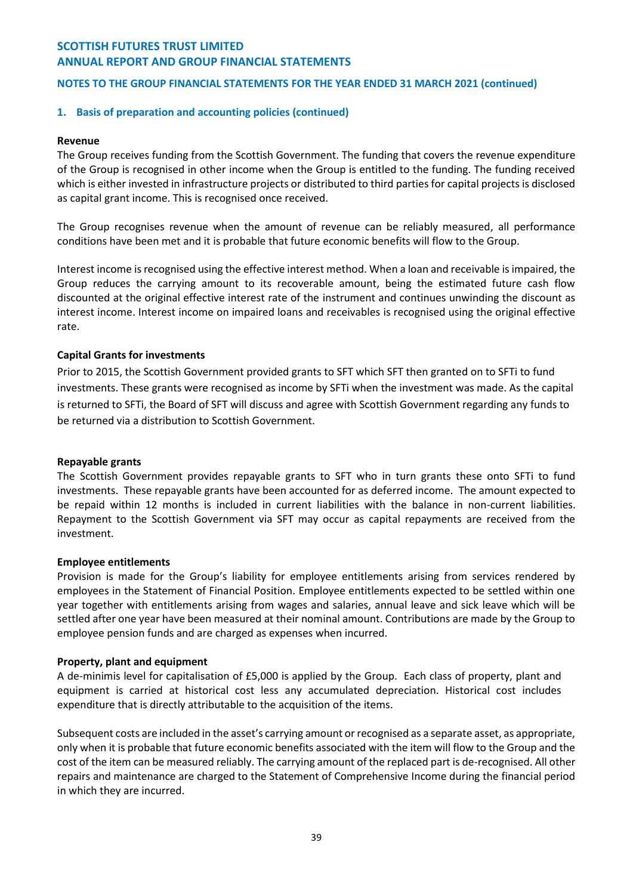### **NOTES TO THE GROUP FINANCIAL STATEMENTS FOR THE YEAR ENDED 31 MARCH 2021 (continued)**

### **1. Basis of preparation and accounting policies (continued)**

#### **Revenue**

The Group receives funding from the Scottish Government. The funding that covers the revenue expenditure of the Group is recognised in other income when the Group is entitled to the funding. The funding received which is either invested in infrastructure projects or distributed to third parties for capital projects is disclosed as capital grant income. This is recognised once received.

The Group recognises revenue when the amount of revenue can be reliably measured, all performance conditions have been met and it is probable that future economic benefits will flow to the Group.

Interest income is recognised using the effective interest method. When a loan and receivable is impaired, the Group reduces the carrying amount to its recoverable amount, being the estimated future cash flow discounted at the original effective interest rate of the instrument and continues unwinding the discount as interest income. Interest income on impaired loans and receivables is recognised using the original effective rate.

### **Capital Grants for investments**

Prior to 2015, the Scottish Government provided grants to SFT which SFT then granted on to SFTi to fund investments. These grants were recognised as income by SFTi when the investment was made. As the capital is returned to SFTi, the Board of SFT will discuss and agree with Scottish Government regarding any funds to be returned via a distribution to Scottish Government.

#### **Repayable grants**

The Scottish Government provides repayable grants to SFT who in turn grants these onto SFTi to fund investments. These repayable grants have been accounted for as deferred income. The amount expected to be repaid within 12 months is included in current liabilities with the balance in non-current liabilities. Repayment to the Scottish Government via SFT may occur as capital repayments are received from the investment.

#### **Employee entitlements**

Provision is made for the Group's liability for employee entitlements arising from services rendered by employees in the Statement of Financial Position. Employee entitlements expected to be settled within one year together with entitlements arising from wages and salaries, annual leave and sick leave which will be settled after one year have been measured at their nominal amount. Contributions are made by the Group to employee pension funds and are charged as expenses when incurred.

### **Property, plant and equipment**

A de-minimis level for capitalisation of £5,000 is applied by the Group. Each class of property, plant and equipment is carried at historical cost less any accumulated depreciation. Historical cost includes expenditure that is directly attributable to the acquisition of the items.

Subsequent costs are included in the asset's carrying amount or recognised as a separate asset, as appropriate, only when it is probable that future economic benefits associated with the item will flow to the Group and the cost of the item can be measured reliably. The carrying amount of the replaced part is de-recognised. All other repairs and maintenance are charged to the Statement of Comprehensive Income during the financial period in which they are incurred.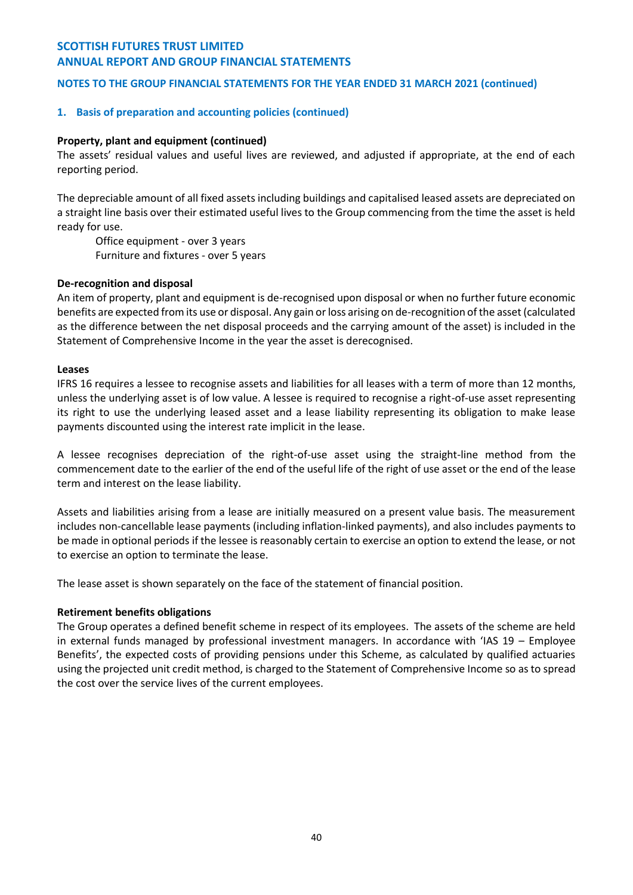### **NOTES TO THE GROUP FINANCIAL STATEMENTS FOR THE YEAR ENDED 31 MARCH 2021 (continued)**

#### **1. Basis of preparation and accounting policies (continued)**

#### **Property, plant and equipment (continued)**

The assets' residual values and useful lives are reviewed, and adjusted if appropriate, at the end of each reporting period.

The depreciable amount of all fixed assets including buildings and capitalised leased assets are depreciated on a straight line basis over their estimated useful lives to the Group commencing from the time the asset is held ready for use.

Office equipment - over 3 years Furniture and fixtures - over 5 years

#### **De-recognition and disposal**

An item of property, plant and equipment is de-recognised upon disposal or when no further future economic benefits are expected from its use or disposal. Any gain or loss arising on de-recognition of the asset (calculated as the difference between the net disposal proceeds and the carrying amount of the asset) is included in the Statement of Comprehensive Income in the year the asset is derecognised.

#### **Leases**

IFRS 16 requires a lessee to recognise assets and liabilities for all leases with a term of more than 12 months, unless the underlying asset is of low value. A lessee is required to recognise a right-of-use asset representing its right to use the underlying leased asset and a lease liability representing its obligation to make lease payments discounted using the interest rate implicit in the lease.

A lessee recognises depreciation of the right-of-use asset using the straight-line method from the commencement date to the earlier of the end of the useful life of the right of use asset or the end of the lease term and interest on the lease liability.

Assets and liabilities arising from a lease are initially measured on a present value basis. The measurement includes non-cancellable lease payments (including inflation-linked payments), and also includes payments to be made in optional periods if the lessee is reasonably certain to exercise an option to extend the lease, or not to exercise an option to terminate the lease.

The lease asset is shown separately on the face of the statement of financial position.

### **Retirement benefits obligations**

The Group operates a defined benefit scheme in respect of its employees. The assets of the scheme are held in external funds managed by professional investment managers. In accordance with 'IAS 19 – Employee Benefits', the expected costs of providing pensions under this Scheme, as calculated by qualified actuaries using the projected unit credit method, is charged to the Statement of Comprehensive Income so as to spread the cost over the service lives of the current employees.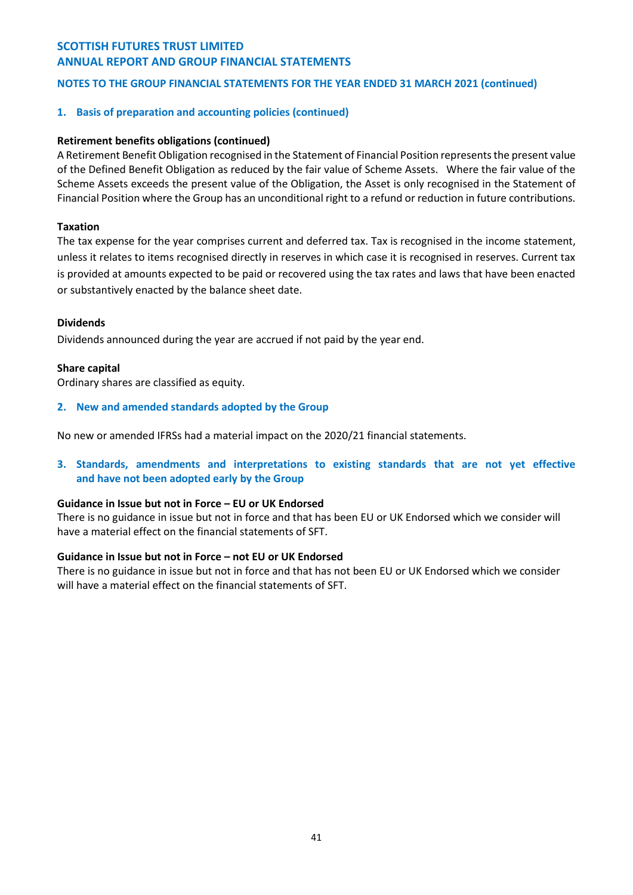### **NOTES TO THE GROUP FINANCIAL STATEMENTS FOR THE YEAR ENDED 31 MARCH 2021 (continued)**

### **1. Basis of preparation and accounting policies (continued)**

### **Retirement benefits obligations (continued)**

A Retirement Benefit Obligation recognised in the Statement of Financial Position represents the present value of the Defined Benefit Obligation as reduced by the fair value of Scheme Assets. Where the fair value of the Scheme Assets exceeds the present value of the Obligation, the Asset is only recognised in the Statement of Financial Position where the Group has an unconditional right to a refund or reduction in future contributions.

#### **Taxation**

The tax expense for the year comprises current and deferred tax. Tax is recognised in the income statement, unless it relates to items recognised directly in reserves in which case it is recognised in reserves. Current tax is provided at amounts expected to be paid or recovered using the tax rates and laws that have been enacted or substantively enacted by the balance sheet date.

#### **Dividends**

Dividends announced during the year are accrued if not paid by the year end.

#### **Share capital**

Ordinary shares are classified as equity.

### **2. New and amended standards adopted by the Group**

No new or amended IFRSs had a material impact on the 2020/21 financial statements.

### **3. Standards, amendments and interpretations to existing standards that are not yet effective and have not been adopted early by the Group**

#### **Guidance in Issue but not in Force – EU or UK Endorsed**

There is no guidance in issue but not in force and that has been EU or UK Endorsed which we consider will have a material effect on the financial statements of SFT.

#### **Guidance in Issue but not in Force – not EU or UK Endorsed**

There is no guidance in issue but not in force and that has not been EU or UK Endorsed which we consider will have a material effect on the financial statements of SFT.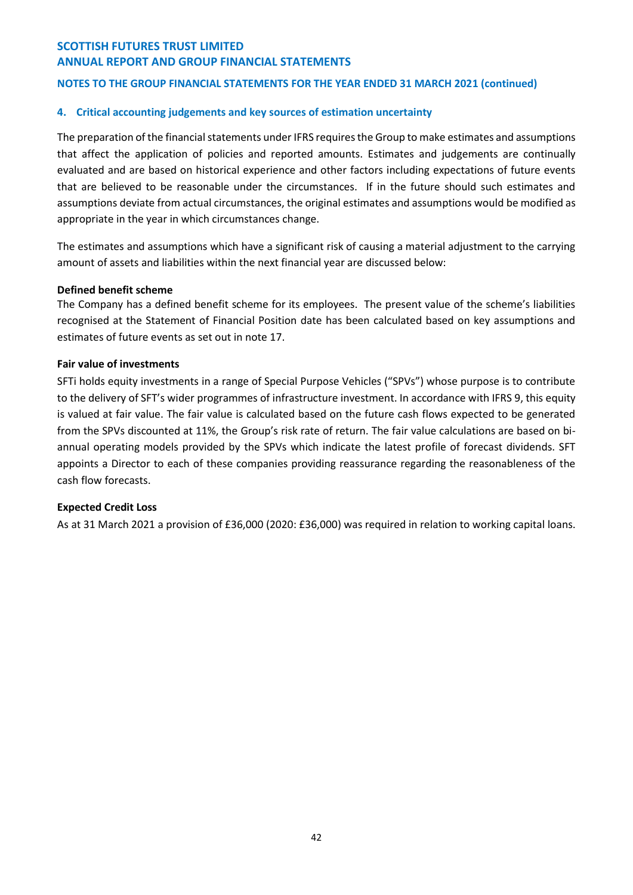### **NOTES TO THE GROUP FINANCIAL STATEMENTS FOR THE YEAR ENDED 31 MARCH 2021 (continued)**

### **4. Critical accounting judgements and key sources of estimation uncertainty**

The preparation of the financial statements under IFRS requires the Group to make estimates and assumptions that affect the application of policies and reported amounts. Estimates and judgements are continually evaluated and are based on historical experience and other factors including expectations of future events that are believed to be reasonable under the circumstances. If in the future should such estimates and assumptions deviate from actual circumstances, the original estimates and assumptions would be modified as appropriate in the year in which circumstances change.

The estimates and assumptions which have a significant risk of causing a material adjustment to the carrying amount of assets and liabilities within the next financial year are discussed below:

### **Defined benefit scheme**

The Company has a defined benefit scheme for its employees. The present value of the scheme's liabilities recognised at the Statement of Financial Position date has been calculated based on key assumptions and estimates of future events as set out in note 17.

#### **Fair value of investments**

SFTi holds equity investments in a range of Special Purpose Vehicles ("SPVs") whose purpose is to contribute to the delivery of SFT's wider programmes of infrastructure investment. In accordance with IFRS 9, this equity is valued at fair value. The fair value is calculated based on the future cash flows expected to be generated from the SPVs discounted at 11%, the Group's risk rate of return. The fair value calculations are based on biannual operating models provided by the SPVs which indicate the latest profile of forecast dividends. SFT appoints a Director to each of these companies providing reassurance regarding the reasonableness of the cash flow forecasts.

### **Expected Credit Loss**

As at 31 March 2021 a provision of £36,000 (2020: £36,000) was required in relation to working capital loans.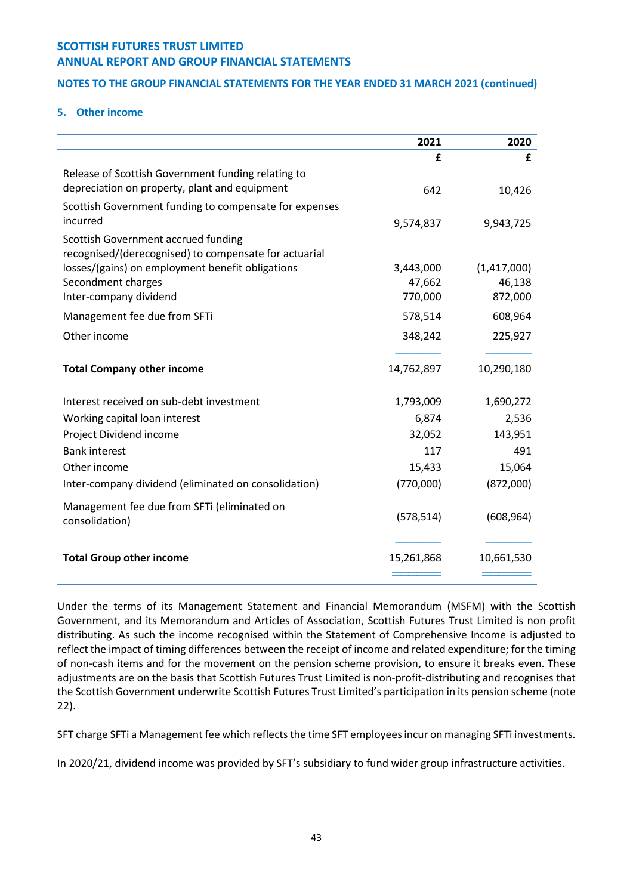### **NOTES TO THE GROUP FINANCIAL STATEMENTS FOR THE YEAR ENDED 31 MARCH 2021 (continued)**

#### **5. Other income**

|                                                        | 2021       | 2020        |
|--------------------------------------------------------|------------|-------------|
|                                                        | £          | £           |
| Release of Scottish Government funding relating to     |            |             |
| depreciation on property, plant and equipment          | 642        | 10,426      |
| Scottish Government funding to compensate for expenses |            |             |
| incurred                                               | 9,574,837  | 9,943,725   |
| Scottish Government accrued funding                    |            |             |
| recognised/(derecognised) to compensate for actuarial  |            |             |
| losses/(gains) on employment benefit obligations       | 3,443,000  | (1,417,000) |
| Secondment charges                                     | 47,662     | 46,138      |
| Inter-company dividend                                 | 770,000    | 872,000     |
| Management fee due from SFTi                           | 578,514    | 608,964     |
| Other income                                           | 348,242    | 225,927     |
|                                                        |            |             |
| <b>Total Company other income</b>                      | 14,762,897 | 10,290,180  |
| Interest received on sub-debt investment               | 1,793,009  | 1,690,272   |
| Working capital loan interest                          | 6,874      | 2,536       |
| Project Dividend income                                | 32,052     | 143,951     |
| <b>Bank interest</b>                                   | 117        | 491         |
| Other income                                           | 15,433     | 15,064      |
| Inter-company dividend (eliminated on consolidation)   | (770,000)  | (872,000)   |
| Management fee due from SFTi (eliminated on            |            |             |
| consolidation)                                         | (578, 514) | (608, 964)  |
|                                                        |            |             |
| <b>Total Group other income</b>                        | 15,261,868 | 10,661,530  |
|                                                        |            |             |

Under the terms of its Management Statement and Financial Memorandum (MSFM) with the Scottish Government, and its Memorandum and Articles of Association, Scottish Futures Trust Limited is non profit distributing. As such the income recognised within the Statement of Comprehensive Income is adjusted to reflect the impact of timing differences between the receipt of income and related expenditure; for the timing of non-cash items and for the movement on the pension scheme provision, to ensure it breaks even. These adjustments are on the basis that Scottish Futures Trust Limited is non-profit-distributing and recognises that the Scottish Government underwrite Scottish Futures Trust Limited's participation in its pension scheme (note 22).

SFT charge SFTi a Management fee which reflects the time SFT employees incur on managing SFTi investments.

In 2020/21, dividend income was provided by SFT's subsidiary to fund wider group infrastructure activities.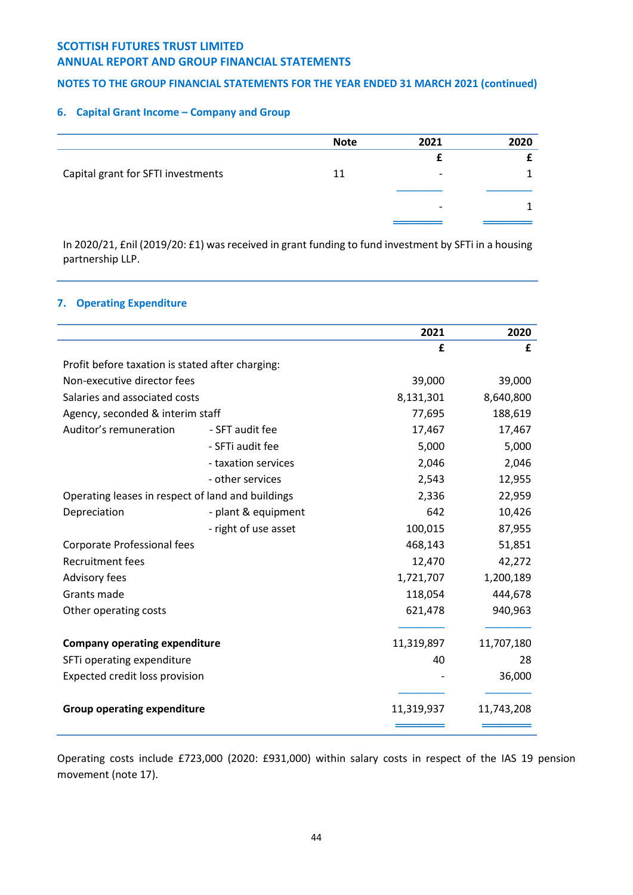### **NOTES TO THE GROUP FINANCIAL STATEMENTS FOR THE YEAR ENDED 31 MARCH 2021 (continued)**

### **6. Capital Grant Income – Company and Group**

|                                    | <b>Note</b> | 2021                     | 2020 |
|------------------------------------|-------------|--------------------------|------|
|                                    |             |                          |      |
| Capital grant for SFTI investments | 11          | $\overline{\phantom{0}}$ |      |
|                                    |             |                          |      |
|                                    |             | $\overline{\phantom{0}}$ |      |
|                                    |             |                          |      |

In 2020/21, £nil (2019/20: £1) was received in grant funding to fund investment by SFTi in a housing partnership LLP.

## **7. Operating Expenditure**

|                                                   |                      | 2021       | 2020       |
|---------------------------------------------------|----------------------|------------|------------|
|                                                   |                      | £          | £          |
| Profit before taxation is stated after charging:  |                      |            |            |
| Non-executive director fees                       |                      | 39,000     | 39,000     |
| Salaries and associated costs                     |                      | 8,131,301  | 8,640,800  |
| Agency, seconded & interim staff                  |                      | 77,695     | 188,619    |
| Auditor's remuneration                            | - SFT audit fee      | 17,467     | 17,467     |
|                                                   | - SFTi audit fee     | 5,000      | 5,000      |
|                                                   | - taxation services  | 2,046      | 2,046      |
|                                                   | - other services     | 2,543      | 12,955     |
| Operating leases in respect of land and buildings |                      | 2,336      | 22,959     |
| Depreciation                                      | - plant & equipment  | 642        | 10,426     |
|                                                   | - right of use asset | 100,015    | 87,955     |
| Corporate Professional fees                       |                      | 468,143    | 51,851     |
| <b>Recruitment fees</b>                           |                      | 12,470     | 42,272     |
| Advisory fees                                     |                      | 1,721,707  | 1,200,189  |
| Grants made                                       |                      | 118,054    | 444,678    |
| Other operating costs                             |                      | 621,478    | 940,963    |
|                                                   |                      |            |            |
| <b>Company operating expenditure</b>              |                      | 11,319,897 | 11,707,180 |
| SFTi operating expenditure                        |                      | 40         | 28         |
| Expected credit loss provision                    |                      |            | 36,000     |
| <b>Group operating expenditure</b>                |                      | 11,319,937 | 11,743,208 |
|                                                   |                      |            |            |

Operating costs include £723,000 (2020: £931,000) within salary costs in respect of the IAS 19 pension movement (note 17).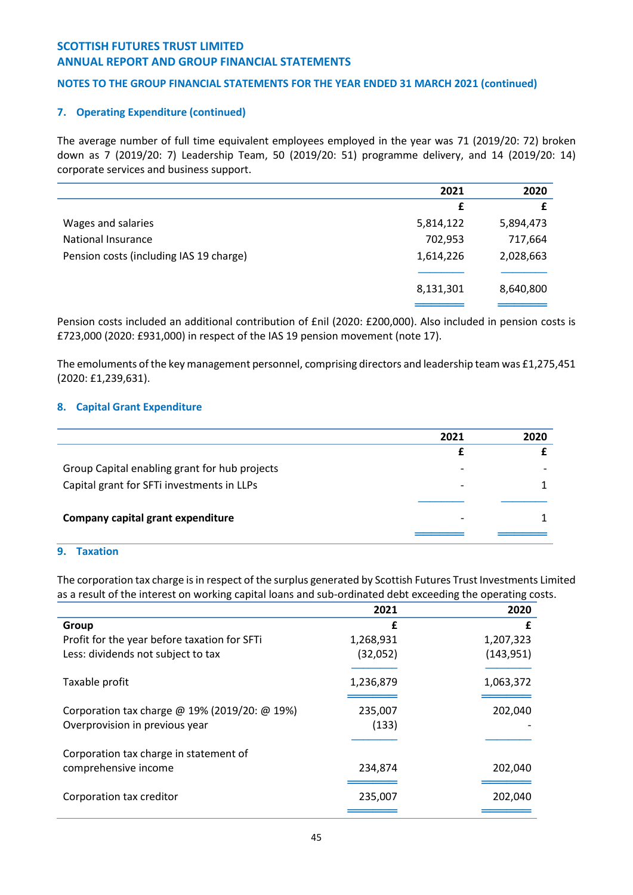#### **NOTES TO THE GROUP FINANCIAL STATEMENTS FOR THE YEAR ENDED 31 MARCH 2021 (continued)**

### **7. Operating Expenditure (continued)**

The average number of full time equivalent employees employed in the year was 71 (2019/20: 72) broken down as 7 (2019/20: 7) Leadership Team, 50 (2019/20: 51) programme delivery, and 14 (2019/20: 14) corporate services and business support.

|                                         | 2021      | 2020      |
|-----------------------------------------|-----------|-----------|
|                                         | £         |           |
| Wages and salaries                      | 5,814,122 | 5,894,473 |
| <b>National Insurance</b>               | 702,953   | 717,664   |
| Pension costs (including IAS 19 charge) | 1,614,226 | 2,028,663 |
|                                         |           |           |
|                                         | 8,131,301 | 8,640,800 |
|                                         |           |           |

Pension costs included an additional contribution of £nil (2020: £200,000). Also included in pension costs is £723,000 (2020: £931,000) in respect of the IAS 19 pension movement (note 17).

The emoluments of the key management personnel, comprising directors and leadership team was £1,275,451 (2020: £1,239,631).

#### **8. Capital Grant Expenditure**

|                                               | 2021                     | 2020 |
|-----------------------------------------------|--------------------------|------|
|                                               | f                        |      |
| Group Capital enabling grant for hub projects | $\overline{\phantom{0}}$ |      |
| Capital grant for SFTi investments in LLPs    |                          |      |
|                                               |                          |      |
| Company capital grant expenditure             |                          |      |
|                                               |                          |      |

### **9. Taxation**

The corporation tax charge is in respect of the surplus generated by Scottish Futures Trust Investments Limited as a result of the interest on working capital loans and sub-ordinated debt exceeding the operating costs.

|                                               | 2021      | 2020       |
|-----------------------------------------------|-----------|------------|
| Group                                         | £         | £          |
| Profit for the year before taxation for SFTi  | 1,268,931 | 1,207,323  |
| Less: dividends not subject to tax            | (32,052)  | (143, 951) |
|                                               |           |            |
| Taxable profit                                | 1,236,879 | 1,063,372  |
|                                               |           |            |
| Corporation tax charge @ 19% (2019/20: @ 19%) | 235,007   | 202,040    |
| Overprovision in previous year                | (133)     |            |
|                                               |           |            |
| Corporation tax charge in statement of        |           |            |
| comprehensive income                          | 234,874   | 202,040    |
|                                               |           |            |
| Corporation tax creditor                      | 235,007   | 202,040    |
|                                               |           |            |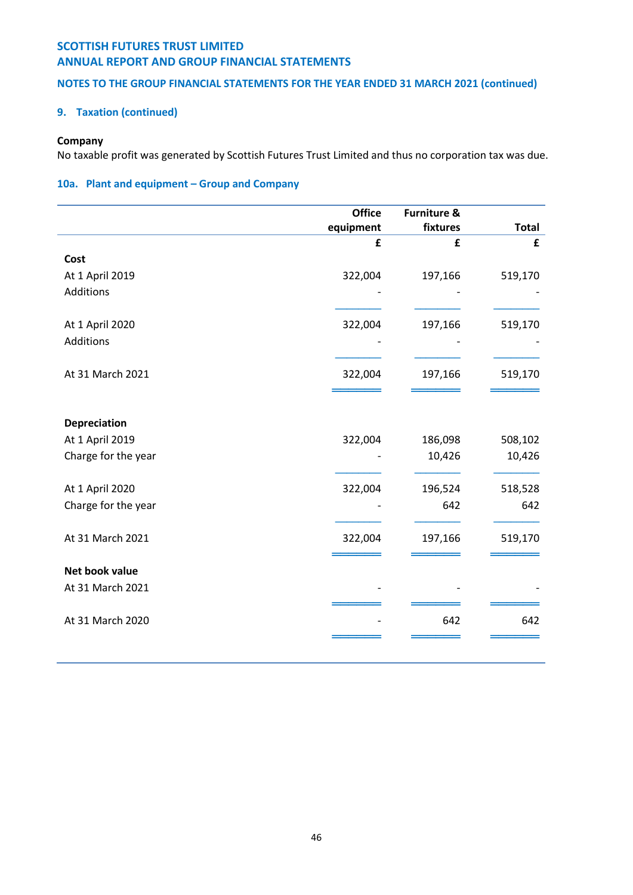### **NOTES TO THE GROUP FINANCIAL STATEMENTS FOR THE YEAR ENDED 31 MARCH 2021 (continued)**

### **9. Taxation (continued)**

#### **Company**

No taxable profit was generated by Scottish Futures Trust Limited and thus no corporation tax was due.

### **10a. Plant and equipment – Group and Company**

|                     | <b>Office</b><br>equipment | <b>Furniture &amp;</b><br>fixtures | <b>Total</b> |
|---------------------|----------------------------|------------------------------------|--------------|
|                     | £                          | £                                  | £            |
| Cost                |                            |                                    |              |
| At 1 April 2019     | 322,004                    | 197,166                            | 519,170      |
| Additions           |                            |                                    |              |
| At 1 April 2020     | 322,004                    | 197,166                            | 519,170      |
| Additions           |                            |                                    |              |
| At 31 March 2021    | 322,004                    | 197,166                            | 519,170      |
| <b>Depreciation</b> |                            |                                    |              |
| At 1 April 2019     | 322,004                    | 186,098                            | 508,102      |
| Charge for the year |                            | 10,426                             | 10,426       |
| At 1 April 2020     | 322,004                    | 196,524                            | 518,528      |
| Charge for the year |                            | 642                                | 642          |
| At 31 March 2021    | 322,004                    | 197,166                            | 519,170      |
| Net book value      |                            |                                    |              |
| At 31 March 2021    |                            |                                    |              |
| At 31 March 2020    |                            | 642                                | 642          |
|                     |                            |                                    |              |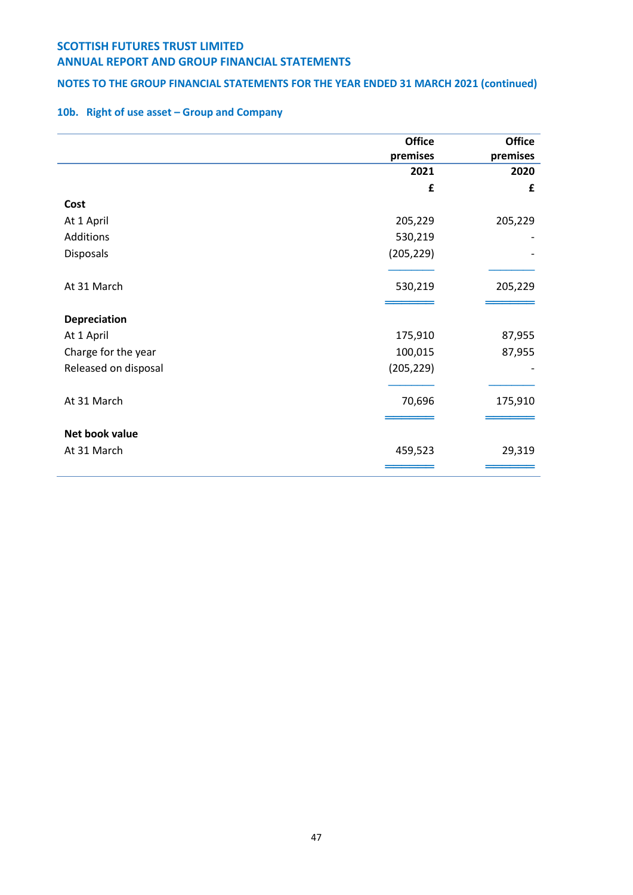## **NOTES TO THE GROUP FINANCIAL STATEMENTS FOR THE YEAR ENDED 31 MARCH 2021 (continued)**

## **10b. Right of use asset – Group and Company**

|                      | <b>Office</b><br>premises | <b>Office</b><br>premises |
|----------------------|---------------------------|---------------------------|
|                      | 2021                      | 2020                      |
|                      | £                         | £                         |
| Cost                 |                           |                           |
| At 1 April           | 205,229                   | 205,229                   |
| Additions            | 530,219                   |                           |
| Disposals            | (205, 229)                |                           |
| At 31 March          | 530,219                   | 205,229                   |
|                      |                           |                           |
| Depreciation         |                           |                           |
| At 1 April           | 175,910                   | 87,955                    |
| Charge for the year  | 100,015                   | 87,955                    |
| Released on disposal | (205, 229)                |                           |
| At 31 March          | 70,696                    | 175,910                   |
| Net book value       |                           |                           |
| At 31 March          | 459,523                   | 29,319                    |
|                      |                           |                           |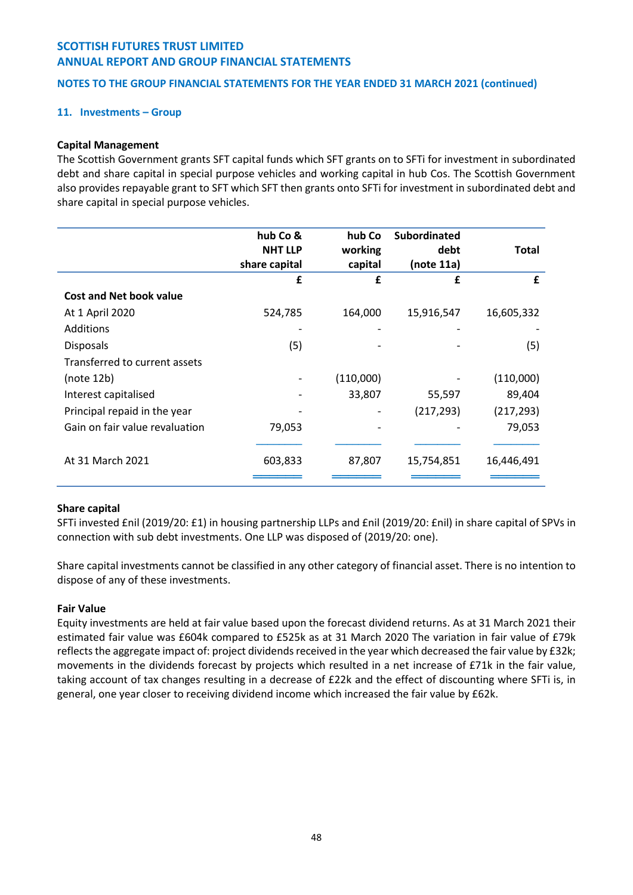### **NOTES TO THE GROUP FINANCIAL STATEMENTS FOR THE YEAR ENDED 31 MARCH 2021 (continued)**

### **11. Investments – Group**

#### **Capital Management**

The Scottish Government grants SFT capital funds which SFT grants on to SFTi for investment in subordinated debt and share capital in special purpose vehicles and working capital in hub Cos. The Scottish Government also provides repayable grant to SFT which SFT then grants onto SFTi for investment in subordinated debt and share capital in special purpose vehicles.

|                                | hub Co &<br><b>NHT LLP</b><br>share capital | hub Co<br>working<br>capital | <b>Subordinated</b><br>debt<br>(note 11a) | <b>Total</b> |
|--------------------------------|---------------------------------------------|------------------------------|-------------------------------------------|--------------|
|                                | £                                           | £                            | £                                         | £            |
| <b>Cost and Net book value</b> |                                             |                              |                                           |              |
| At 1 April 2020                | 524,785                                     | 164,000                      | 15,916,547                                | 16,605,332   |
| Additions                      |                                             |                              |                                           |              |
| <b>Disposals</b>               | (5)                                         |                              |                                           | (5)          |
| Transferred to current assets  |                                             |                              |                                           |              |
| (note 12b)                     |                                             | (110,000)                    |                                           | (110,000)    |
| Interest capitalised           |                                             | 33,807                       | 55,597                                    | 89,404       |
| Principal repaid in the year   |                                             |                              | (217, 293)                                | (217, 293)   |
| Gain on fair value revaluation | 79,053                                      |                              |                                           | 79,053       |
|                                |                                             |                              |                                           |              |
| At 31 March 2021               | 603,833                                     | 87,807                       | 15,754,851                                | 16,446,491   |
|                                |                                             |                              |                                           |              |

#### **Share capital**

SFTi invested £nil (2019/20: £1) in housing partnership LLPs and £nil (2019/20: £nil) in share capital of SPVs in connection with sub debt investments. One LLP was disposed of (2019/20: one).

Share capital investments cannot be classified in any other category of financial asset. There is no intention to dispose of any of these investments.

### **Fair Value**

Equity investments are held at fair value based upon the forecast dividend returns. As at 31 March 2021 their estimated fair value was £604k compared to £525k as at 31 March 2020 The variation in fair value of £79k reflects the aggregate impact of: project dividends received in the year which decreased the fair value by £32k; movements in the dividends forecast by projects which resulted in a net increase of £71k in the fair value, taking account of tax changes resulting in a decrease of £22k and the effect of discounting where SFTi is, in general, one year closer to receiving dividend income which increased the fair value by £62k.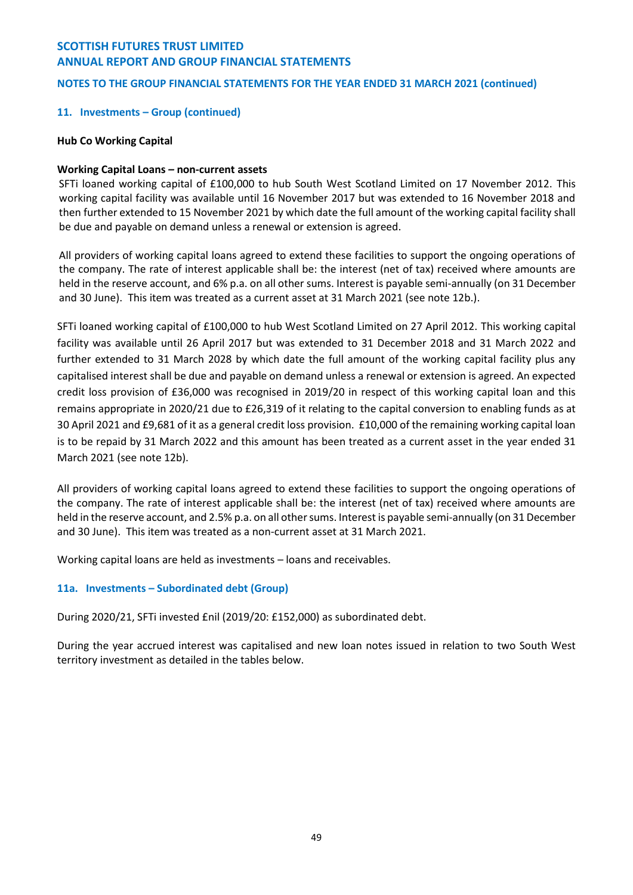### **NOTES TO THE GROUP FINANCIAL STATEMENTS FOR THE YEAR ENDED 31 MARCH 2021 (continued)**

### **11. Investments – Group (continued)**

#### **Hub Co Working Capital**

#### **Working Capital Loans** *–* **non-current assets**

SFTi loaned working capital of £100,000 to hub South West Scotland Limited on 17 November 2012. This working capital facility was available until 16 November 2017 but was extended to 16 November 2018 and then further extended to 15 November 2021 by which date the full amount of the working capital facility shall be due and payable on demand unless a renewal or extension is agreed.

All providers of working capital loans agreed to extend these facilities to support the ongoing operations of the company. The rate of interest applicable shall be: the interest (net of tax) received where amounts are held in the reserve account, and 6% p.a. on all other sums. Interest is payable semi-annually (on 31 December and 30 June). This item was treated as a current asset at 31 March 2021 (see note 12b.).

SFTi loaned working capital of £100,000 to hub West Scotland Limited on 27 April 2012. This working capital facility was available until 26 April 2017 but was extended to 31 December 2018 and 31 March 2022 and further extended to 31 March 2028 by which date the full amount of the working capital facility plus any capitalised interest shall be due and payable on demand unless a renewal or extension is agreed. An expected credit loss provision of £36,000 was recognised in 2019/20 in respect of this working capital loan and this remains appropriate in 2020/21 due to £26,319 of it relating to the capital conversion to enabling funds as at 30 April 2021 and £9,681 of it as a general credit loss provision. £10,000 of the remaining working capital loan is to be repaid by 31 March 2022 and this amount has been treated as a current asset in the year ended 31 March 2021 (see note 12b).

All providers of working capital loans agreed to extend these facilities to support the ongoing operations of the company. The rate of interest applicable shall be: the interest (net of tax) received where amounts are held in the reserve account, and 2.5% p.a. on all other sums. Interest is payable semi-annually (on 31 December and 30 June). This item was treated as a non-current asset at 31 March 2021.

Working capital loans are held as investments – loans and receivables.

### **11a. Investments – Subordinated debt (Group)**

During 2020/21, SFTi invested £nil (2019/20: £152,000) as subordinated debt.

During the year accrued interest was capitalised and new loan notes issued in relation to two South West territory investment as detailed in the tables below.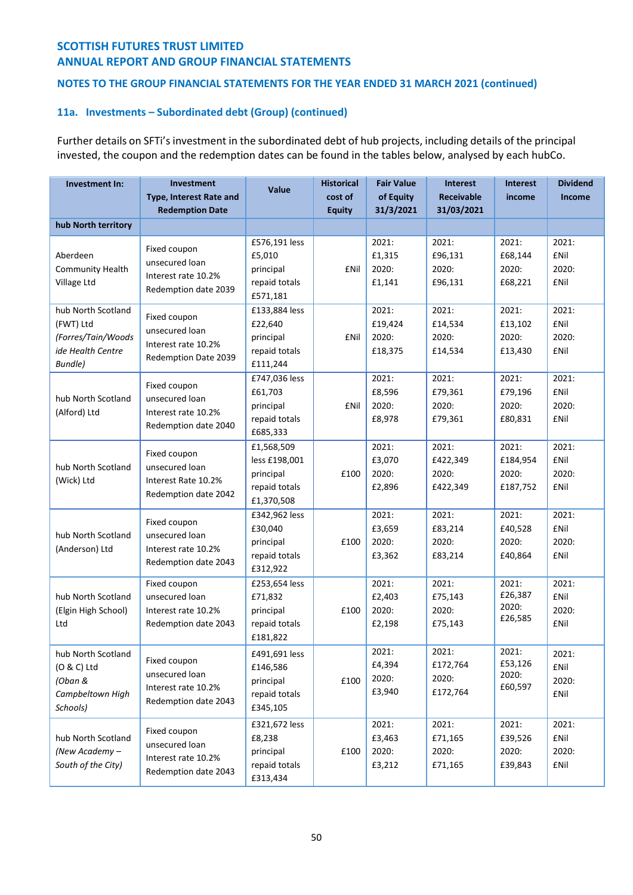### **SCOTTISH FUTURES TRUST LIMITED**

### **ANNUAL REPORT AND GROUP FINANCIAL STATEMENTS**

#### **NOTES TO THE GROUP FINANCIAL STATEMENTS FOR THE YEAR ENDED 31 MARCH 2021 (continued)**

### **11a. Investments – Subordinated debt (Group) (continued)**

Further details on SFTi's investment in the subordinated debt of hub projects, including details of the principal invested, the coupon and the redemption dates can be found in the tables below, analysed by each hubCo.

| Investment In:                                                                                | Investment<br>Type, Interest Rate and<br><b>Redemption Date</b>               | <b>Value</b>                                                            | <b>Historical</b><br>cost of<br><b>Equity</b> | <b>Fair Value</b><br>of Equity<br>31/3/2021 | <b>Interest</b><br><b>Receivable</b><br>31/03/2021 | <b>Interest</b><br>income              | <b>Dividend</b><br>Income                    |
|-----------------------------------------------------------------------------------------------|-------------------------------------------------------------------------------|-------------------------------------------------------------------------|-----------------------------------------------|---------------------------------------------|----------------------------------------------------|----------------------------------------|----------------------------------------------|
| hub North territory                                                                           |                                                                               |                                                                         |                                               |                                             |                                                    |                                        |                                              |
| Aberdeen<br>Community Health<br>Village Ltd                                                   | Fixed coupon<br>unsecured loan<br>Interest rate 10.2%<br>Redemption date 2039 | £576,191 less<br>£5,010<br>principal<br>repaid totals<br>£571,181       | <b>£Nil</b>                                   | 2021:<br>£1,315<br>2020:<br>£1,141          | 2021:<br>£96,131<br>2020:<br>£96,131               | 2021:<br>£68,144<br>2020:<br>£68,221   | 2021:<br><b>£Nil</b><br>2020:<br><b>£Nil</b> |
| hub North Scotland<br>(FWT) Ltd<br>(Forres/Tain/Woods<br>ide Health Centre<br><b>Bundle</b> ) | Fixed coupon<br>unsecured loan<br>Interest rate 10.2%<br>Redemption Date 2039 | £133,884 less<br>£22,640<br>principal<br>repaid totals<br>£111,244      | <b>£Nil</b>                                   | 2021:<br>£19,424<br>2020:<br>£18,375        | 2021:<br>£14,534<br>2020:<br>£14,534               | 2021:<br>£13,102<br>2020:<br>£13,430   | 2021:<br><b>£Nil</b><br>2020:<br><b>£Nil</b> |
| hub North Scotland<br>(Alford) Ltd                                                            | Fixed coupon<br>unsecured loan<br>Interest rate 10.2%<br>Redemption date 2040 | £747,036 less<br>£61,703<br>principal<br>repaid totals<br>£685,333      | <b>£Nil</b>                                   | 2021:<br>£8,596<br>2020:<br>£8,978          | 2021:<br>£79,361<br>2020:<br>£79,361               | 2021:<br>£79,196<br>2020:<br>£80,831   | 2021:<br><b>£Nil</b><br>2020:<br><b>£Nil</b> |
| hub North Scotland<br>(Wick) Ltd                                                              | Fixed coupon<br>unsecured loan<br>Interest Rate 10.2%<br>Redemption date 2042 | £1,568,509<br>less £198,001<br>principal<br>repaid totals<br>£1,370,508 | £100                                          | 2021:<br>£3,070<br>2020:<br>£2,896          | 2021:<br>£422,349<br>2020:<br>£422,349             | 2021:<br>£184,954<br>2020:<br>£187,752 | 2021:<br><b>£Nil</b><br>2020:<br><b>£Nil</b> |
| hub North Scotland<br>(Anderson) Ltd                                                          | Fixed coupon<br>unsecured loan<br>Interest rate 10.2%<br>Redemption date 2043 | £342,962 less<br>£30,040<br>principal<br>repaid totals<br>£312,922      | £100                                          | 2021:<br>£3,659<br>2020:<br>£3,362          | 2021:<br>£83,214<br>2020:<br>£83,214               | 2021:<br>£40,528<br>2020:<br>£40,864   | 2021:<br><b>£Nil</b><br>2020:<br><b>£Nil</b> |
| hub North Scotland<br>(Elgin High School)<br>Ltd                                              | Fixed coupon<br>unsecured loan<br>Interest rate 10.2%<br>Redemption date 2043 | £253,654 less<br>£71,832<br>principal<br>repaid totals<br>£181,822      | £100                                          | 2021:<br>£2,403<br>2020:<br>£2,198          | 2021:<br>£75,143<br>2020:<br>£75,143               | 2021:<br>£26,387<br>2020:<br>£26,585   | 2021:<br><b>£Nil</b><br>2020:<br><b>£Nil</b> |
| hub North Scotland<br>(O & C) Ltd<br>(Oban &<br>Campbeltown High<br>Schools)                  | Fixed coupon<br>unsecured loan<br>Interest rate 10.2%<br>Redemption date 2043 | £491,691 less<br>£146,586<br>principal<br>repaid totals<br>£345,105     | £100                                          | 2021:<br>£4,394<br>2020:<br>£3,940          | 2021:<br>£172,764<br>2020:<br>£172,764             | 2021:<br>£53,126<br>2020:<br>£60,597   | 2021:<br>£Nil<br>2020:<br>£Nil               |
| hub North Scotland<br>(New Academy -<br>South of the City)                                    | Fixed coupon<br>unsecured loan<br>Interest rate 10.2%<br>Redemption date 2043 | £321,672 less<br>£8,238<br>principal<br>repaid totals<br>£313,434       | £100                                          | 2021:<br>£3,463<br>2020:<br>£3,212          | 2021:<br>£71,165<br>2020:<br>£71,165               | 2021:<br>£39,526<br>2020:<br>£39,843   | 2021:<br>£Nil<br>2020:<br>£Nil               |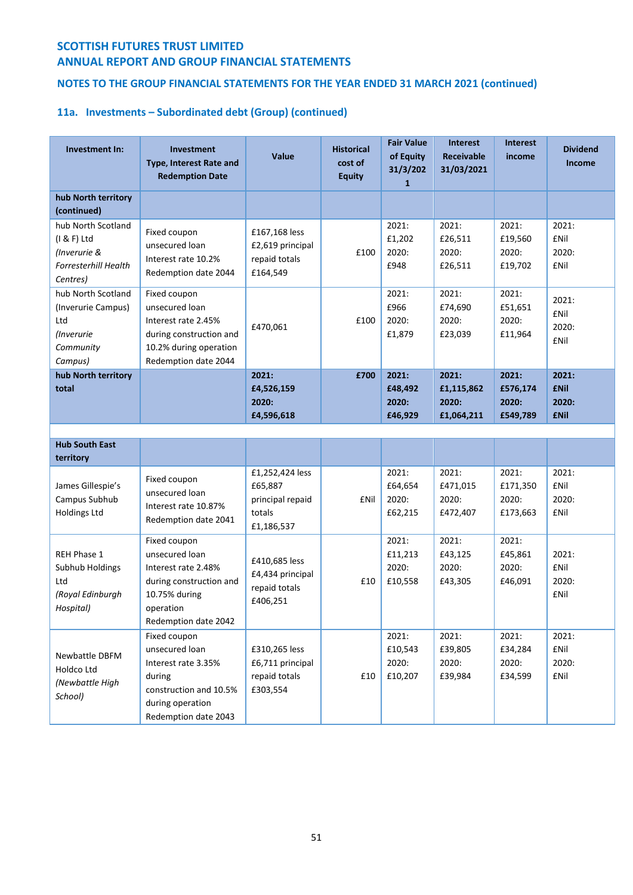## **NOTES TO THE GROUP FINANCIAL STATEMENTS FOR THE YEAR ENDED 31 MARCH 2021 (continued)**

| Investment In:                                                                                | <b>Investment</b><br>Type, Interest Rate and<br><b>Redemption Date</b>                                                                 | Value                                                                  | <b>Historical</b><br>cost of<br><b>Equity</b> | <b>Fair Value</b><br>of Equity<br>31/3/202<br>1 | <b>Interest</b><br><b>Receivable</b><br>31/03/2021 | <b>Interest</b><br>income              | <b>Dividend</b><br><b>Income</b>              |
|-----------------------------------------------------------------------------------------------|----------------------------------------------------------------------------------------------------------------------------------------|------------------------------------------------------------------------|-----------------------------------------------|-------------------------------------------------|----------------------------------------------------|----------------------------------------|-----------------------------------------------|
| hub North territory<br>(continued)                                                            |                                                                                                                                        |                                                                        |                                               |                                                 |                                                    |                                        |                                               |
| hub North Scotland<br>(I & F) Ltd<br>(Inverurie &<br>Forresterhill Health<br>Centres)         | Fixed coupon<br>unsecured loan<br>Interest rate 10.2%<br>Redemption date 2044                                                          | £167,168 less<br>£2,619 principal<br>repaid totals<br>£164,549         | £100                                          | 2021:<br>£1,202<br>2020:<br>£948                | 2021:<br>£26,511<br>2020:<br>£26,511               | 2021:<br>£19,560<br>2020:<br>£19,702   | 2021:<br><b>£Nil</b><br>2020:<br><b>£Nil</b>  |
| hub North Scotland<br>(Inverurie Campus)<br>Ltd<br>( <i>Inverurie</i><br>Community<br>Campus) | Fixed coupon<br>unsecured loan<br>Interest rate 2.45%<br>during construction and<br>10.2% during operation<br>Redemption date 2044     | £470,061                                                               | £100                                          | 2021:<br>£966<br>2020:<br>£1,879                | 2021:<br>£74,690<br>2020:<br>£23,039               | 2021:<br>£51,651<br>2020:<br>£11,964   | 2021:<br><b>£Nil</b><br>2020:<br><b>£Nil</b>  |
| hub North territory<br>total                                                                  |                                                                                                                                        | 2021:<br>£4,526,159<br>2020:<br>£4,596,618                             | £700                                          | 2021:<br>£48,492<br>2020:<br>£46,929            | 2021:<br>£1,115,862<br>2020:<br>£1,064,211         | 2021:<br>£576,174<br>2020:<br>£549,789 | 2021:<br><b>£Nil</b><br>2020:<br><b>£Nil</b>  |
|                                                                                               |                                                                                                                                        |                                                                        |                                               |                                                 |                                                    |                                        |                                               |
| <b>Hub South East</b>                                                                         |                                                                                                                                        |                                                                        |                                               |                                                 |                                                    |                                        |                                               |
| territory<br>James Gillespie's<br>Campus Subhub<br><b>Holdings Ltd</b>                        | Fixed coupon<br>unsecured loan<br>Interest rate 10.87%<br>Redemption date 2041                                                         | £1,252,424 less<br>£65,887<br>principal repaid<br>totals<br>£1,186,537 | £Nil                                          | 2021:<br>£64,654<br>2020:<br>£62,215            | 2021:<br>£471,015<br>2020:<br>£472,407             | 2021:<br>£171,350<br>2020:<br>£173,663 | 2021:<br><b>£Nil</b><br>2020:<br><b>£Nil</b>  |
| REH Phase 1<br>Subhub Holdings<br>Ltd<br>(Royal Edinburgh<br>Hospital)                        | Fixed coupon<br>unsecured loan<br>Interest rate 2.48%<br>during construction and<br>10.75% during<br>operation<br>Redemption date 2042 | £410,685 less<br>£4,434 principal<br>repaid totals<br>£406,251         | £10                                           | 2021:<br>£11,213<br>2020:<br>£10,558            | 2021:<br>£43,125<br>2020:<br>£43,305               | 2021:<br>£45,861<br>2020:<br>£46,091   | 2021:<br><b>f</b> Nil<br>2020:<br><b>£Nil</b> |
| Newbattle DBFM<br>Holdco Ltd<br>(Newbattle High<br>School)                                    | Fixed coupon<br>unsecured loan<br>Interest rate 3.35%<br>during<br>construction and 10.5%<br>during operation<br>Redemption date 2043  | £310,265 less<br>£6,711 principal<br>repaid totals<br>£303,554         | £10                                           | 2021:<br>£10,543<br>2020:<br>£10,207            | 2021:<br>£39,805<br>2020:<br>£39,984               | 2021:<br>£34,284<br>2020:<br>£34,599   | 2021:<br>£Nil<br>2020:<br>£Nil                |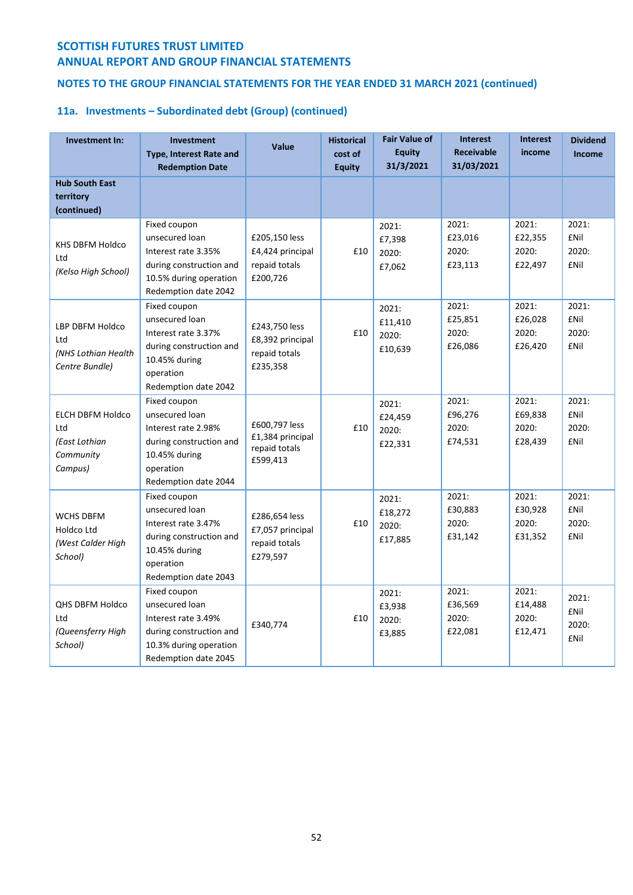## **NOTES TO THE GROUP FINANCIAL STATEMENTS FOR THE YEAR ENDED 31 MARCH 2021 (continued)**

| Investment In:                                                          | Investment<br><b>Type, Interest Rate and</b><br><b>Redemption Date</b>                                                                 | Value                                                          | <b>Historical</b><br>cost of<br><b>Equity</b> | <b>Fair Value of</b><br><b>Equity</b><br>31/3/2021 | <b>Interest</b><br><b>Receivable</b><br>31/03/2021 | <b>Interest</b><br>income            | <b>Dividend</b><br><b>Income</b>              |
|-------------------------------------------------------------------------|----------------------------------------------------------------------------------------------------------------------------------------|----------------------------------------------------------------|-----------------------------------------------|----------------------------------------------------|----------------------------------------------------|--------------------------------------|-----------------------------------------------|
| <b>Hub South East</b><br>territory<br>(continued)                       |                                                                                                                                        |                                                                |                                               |                                                    |                                                    |                                      |                                               |
| <b>KHS DBFM Holdco</b><br>Ltd<br>(Kelso High School)                    | Fixed coupon<br>unsecured loan<br>Interest rate 3.35%<br>during construction and<br>10.5% during operation<br>Redemption date 2042     | £205,150 less<br>£4,424 principal<br>repaid totals<br>£200,726 | £10                                           | 2021:<br>£7,398<br>2020:<br>£7,062                 | 2021:<br>£23,016<br>2020:<br>£23,113               | 2021:<br>£22,355<br>2020:<br>£22,497 | 2021:<br><b>£Nil</b><br>2020:<br><b>f</b> Nil |
| LBP DBFM Holdco<br>Ltd<br>(NHS Lothian Health<br>Centre Bundle)         | Fixed coupon<br>unsecured loan<br>Interest rate 3.37%<br>during construction and<br>10.45% during<br>operation<br>Redemption date 2042 | £243,750 less<br>£8,392 principal<br>repaid totals<br>£235,358 | £10                                           | 2021:<br>£11,410<br>2020:<br>£10,639               | 2021:<br>£25,851<br>2020:<br>£26,086               | 2021:<br>£26,028<br>2020:<br>£26,420 | 2021:<br><b>fNil</b><br>2020:<br><b>£Nil</b>  |
| <b>ELCH DBFM Holdco</b><br>Ltd<br>(East Lothian<br>Community<br>Campus) | Fixed coupon<br>unsecured loan<br>Interest rate 2.98%<br>during construction and<br>10.45% during<br>operation<br>Redemption date 2044 | £600,797 less<br>£1,384 principal<br>repaid totals<br>£599,413 | £10                                           | 2021:<br>£24,459<br>2020:<br>£22,331               | 2021:<br>£96,276<br>2020:<br>£74,531               | 2021:<br>£69,838<br>2020:<br>£28,439 | 2021:<br><b>£Nil</b><br>2020:<br><b>£Nil</b>  |
| <b>WCHS DBFM</b><br>Holdco Ltd<br>(West Calder High<br>School)          | Fixed coupon<br>unsecured loan<br>Interest rate 3.47%<br>during construction and<br>10.45% during<br>operation<br>Redemption date 2043 | £286,654 less<br>£7,057 principal<br>repaid totals<br>£279,597 | £10                                           | 2021:<br>£18,272<br>2020:<br>£17,885               | 2021:<br>£30,883<br>2020:<br>£31,142               | 2021:<br>£30,928<br>2020:<br>£31,352 | 2021:<br><b>£Nil</b><br>2020:<br><b>£Nil</b>  |
| QHS DBFM Holdco<br>Ltd<br>(Queensferry High<br>School)                  | Fixed coupon<br>unsecured loan<br>Interest rate 3.49%<br>during construction and<br>10.3% during operation<br>Redemption date 2045     | £340,774                                                       | £10                                           | 2021:<br>£3,938<br>2020:<br>£3,885                 | 2021:<br>£36,569<br>2020:<br>£22,081               | 2021:<br>£14,488<br>2020:<br>£12,471 | 2021:<br><b>£Nil</b><br>2020:<br><b>fNil</b>  |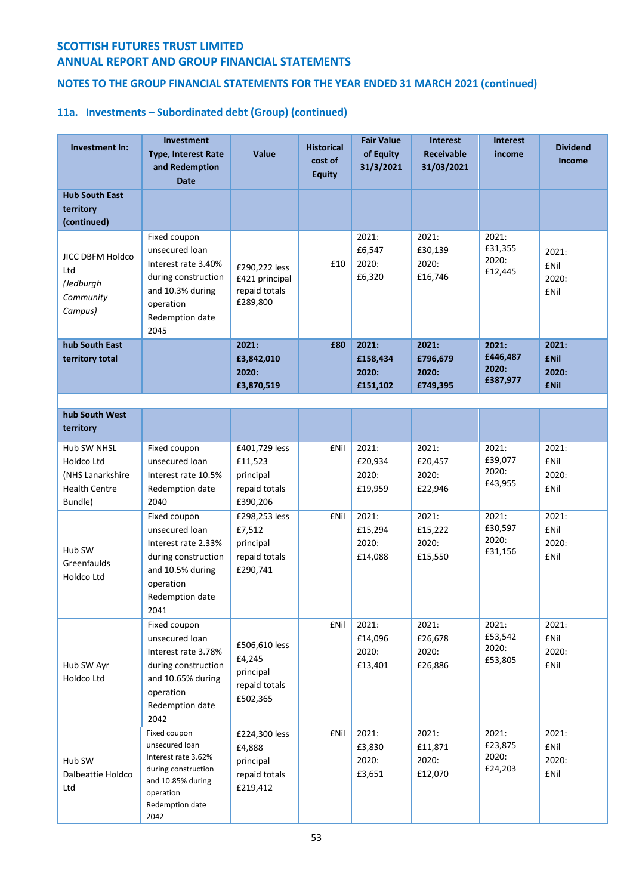## **NOTES TO THE GROUP FINANCIAL STATEMENTS FOR THE YEAR ENDED 31 MARCH 2021 (continued)**

| Investment In:                                                                   | Investment<br><b>Type, Interest Rate</b><br>and Redemption<br>Date                                                                        | Value                                                              | <b>Historical</b><br>cost of<br><b>Equity</b> | <b>Fair Value</b><br>of Equity<br>31/3/2021 | <b>Interest</b><br><b>Receivable</b><br>31/03/2021 | <b>Interest</b><br>income              | <b>Dividend</b><br><b>Income</b>              |
|----------------------------------------------------------------------------------|-------------------------------------------------------------------------------------------------------------------------------------------|--------------------------------------------------------------------|-----------------------------------------------|---------------------------------------------|----------------------------------------------------|----------------------------------------|-----------------------------------------------|
| <b>Hub South East</b><br>territory<br>(continued)                                |                                                                                                                                           |                                                                    |                                               |                                             |                                                    |                                        |                                               |
| JICC DBFM Holdco<br>Ltd<br>(Jedburgh<br>Community<br>Campus)                     | Fixed coupon<br>unsecured loan<br>Interest rate 3.40%<br>during construction<br>and 10.3% during<br>operation<br>Redemption date<br>2045  | £290,222 less<br>£421 principal<br>repaid totals<br>£289,800       | £10                                           | 2021:<br>£6.547<br>2020:<br>£6,320          | 2021:<br>£30,139<br>2020:<br>£16,746               | 2021:<br>£31,355<br>2020:<br>£12,445   | 2021:<br><b>£Nil</b><br>2020:<br><b>f</b> Nil |
| hub South East<br>territory total                                                |                                                                                                                                           | 2021:<br>£3,842,010<br>2020:<br>£3,870,519                         | £80                                           | 2021:<br>£158,434<br>2020:<br>£151,102      | 2021:<br>£796,679<br>2020:<br>£749,395             | 2021:<br>£446,487<br>2020:<br>£387,977 | 2021:<br><b>£Nil</b><br>2020:<br><b>£Nil</b>  |
| hub South West                                                                   |                                                                                                                                           |                                                                    |                                               |                                             |                                                    |                                        |                                               |
| territory                                                                        |                                                                                                                                           |                                                                    |                                               |                                             |                                                    |                                        |                                               |
| Hub SW NHSL<br>Holdco Ltd<br>(NHS Lanarkshire<br><b>Health Centre</b><br>Bundle) | Fixed coupon<br>unsecured loan<br>Interest rate 10.5%<br>Redemption date<br>2040                                                          | £401,729 less<br>£11,523<br>principal<br>repaid totals<br>£390,206 | <b>£Nil</b>                                   | 2021:<br>£20,934<br>2020:<br>£19,959        | 2021:<br>£20,457<br>2020:<br>£22,946               | 2021:<br>£39,077<br>2020:<br>£43,955   | 2021:<br><b>£Nil</b><br>2020:<br><b>f</b> Nil |
| Hub SW<br>Greenfaulds<br>Holdco Ltd                                              | Fixed coupon<br>unsecured loan<br>Interest rate 2.33%<br>during construction<br>and 10.5% during<br>operation<br>Redemption date<br>2041  | £298,253 less<br>£7,512<br>principal<br>repaid totals<br>£290,741  | <b>£Nil</b>                                   | 2021:<br>£15,294<br>2020:<br>£14,088        | 2021:<br>£15,222<br>2020:<br>£15,550               | 2021:<br>£30,597<br>2020:<br>£31,156   | 2021:<br><b>£Nil</b><br>2020:<br><b>£Nil</b>  |
| Hub SW Ayr<br>Holdco Ltd                                                         | Fixed coupon<br>unsecured loan<br>Interest rate 3.78%<br>during construction<br>and 10.65% during<br>operation<br>Redemption date<br>2042 | £506,610 less<br>£4,245<br>principal<br>repaid totals<br>£502,365  | <b>£Nil</b>                                   | 2021:<br>£14,096<br>2020:<br>£13,401        | 2021:<br>£26,678<br>2020:<br>£26,886               | 2021:<br>£53,542<br>2020:<br>£53,805   | 2021:<br><b>£Nil</b><br>2020:<br><b>£Nil</b>  |
| Hub SW<br>Dalbeattie Holdco<br>Ltd                                               | Fixed coupon<br>unsecured loan<br>Interest rate 3.62%<br>during construction<br>and 10.85% during<br>operation<br>Redemption date<br>2042 | £224,300 less<br>£4,888<br>principal<br>repaid totals<br>£219,412  | £Nil                                          | 2021:<br>£3,830<br>2020:<br>£3,651          | 2021:<br>£11,871<br>2020:<br>£12,070               | 2021:<br>£23,875<br>2020:<br>£24,203   | 2021:<br><b>£Nil</b><br>2020:<br><b>f</b> Nil |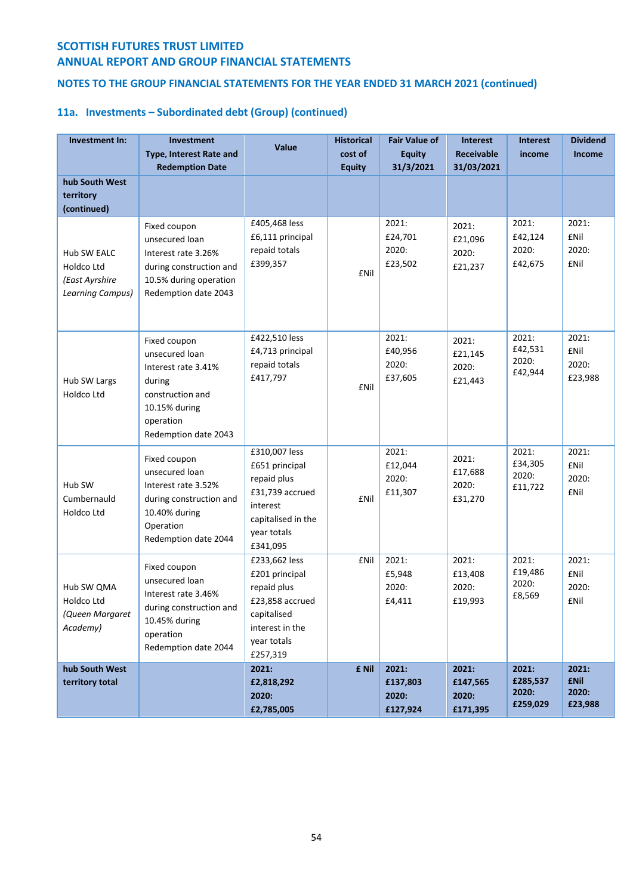## **NOTES TO THE GROUP FINANCIAL STATEMENTS FOR THE YEAR ENDED 31 MARCH 2021 (continued)**

| Investment In:                                                         | Investment<br>Type, Interest Rate and<br><b>Redemption Date</b>                                                                           | Value                                                                                                                          | <b>Historical</b><br>cost of<br><b>Equity</b> | <b>Fair Value of</b><br><b>Equity</b><br>31/3/2021 | <b>Interest</b><br><b>Receivable</b><br>31/03/2021 | <b>Interest</b><br>income              | <b>Dividend</b><br><b>Income</b>             |
|------------------------------------------------------------------------|-------------------------------------------------------------------------------------------------------------------------------------------|--------------------------------------------------------------------------------------------------------------------------------|-----------------------------------------------|----------------------------------------------------|----------------------------------------------------|----------------------------------------|----------------------------------------------|
| hub South West<br>territory<br>(continued)                             |                                                                                                                                           |                                                                                                                                |                                               |                                                    |                                                    |                                        |                                              |
| Hub SW EALC<br>Holdco Ltd<br>(East Ayrshire<br><b>Learning Campus)</b> | Fixed coupon<br>unsecured loan<br>Interest rate 3.26%<br>during construction and<br>10.5% during operation<br>Redemption date 2043        | £405,468 less<br>£6,111 principal<br>repaid totals<br>£399,357                                                                 | <b>f</b> Nil                                  | 2021:<br>£24,701<br>2020:<br>£23,502               | 2021:<br>£21,096<br>2020:<br>£21,237               | 2021:<br>£42,124<br>2020:<br>£42,675   | 2021:<br><b>£Nil</b><br>2020:<br><b>£Nil</b> |
| Hub SW Largs<br>Holdco Ltd                                             | Fixed coupon<br>unsecured loan<br>Interest rate 3.41%<br>during<br>construction and<br>10.15% during<br>operation<br>Redemption date 2043 | £422,510 less<br>£4,713 principal<br>repaid totals<br>£417,797                                                                 | <b>f</b> Nil                                  | 2021:<br>£40,956<br>2020:<br>£37,605               | 2021:<br>£21,145<br>2020:<br>£21,443               | 2021:<br>£42,531<br>2020:<br>£42,944   | 2021:<br><b>£Nil</b><br>2020:<br>£23,988     |
| Hub SW<br>Cumbernauld<br>Holdco Ltd                                    | Fixed coupon<br>unsecured loan<br>Interest rate 3.52%<br>during construction and<br>10.40% during<br>Operation<br>Redemption date 2044    | £310,007 less<br>£651 principal<br>repaid plus<br>£31,739 accrued<br>interest<br>capitalised in the<br>year totals<br>£341,095 | <b>£Nil</b>                                   | 2021:<br>£12,044<br>2020:<br>£11,307               | 2021:<br>£17,688<br>2020:<br>£31,270               | 2021:<br>£34,305<br>2020:<br>£11,722   | 2021:<br><b>£Nil</b><br>2020:<br><b>£Nil</b> |
| Hub SW QMA<br>Holdco Ltd<br>(Queen Margaret<br>Academy)                | Fixed coupon<br>unsecured loan<br>Interest rate 3.46%<br>during construction and<br>10.45% during<br>operation<br>Redemption date 2044    | £233,662 less<br>£201 principal<br>repaid plus<br>£23,858 accrued<br>capitalised<br>interest in the<br>year totals<br>£257,319 | <b>£Nil</b>                                   | 2021:<br>£5,948<br>2020:<br>£4,411                 | 2021:<br>£13,408<br>2020:<br>£19,993               | 2021:<br>£19,486<br>2020:<br>£8,569    | 2021:<br><b>£Nil</b><br>2020:<br><b>£Nil</b> |
| hub South West<br>territory total                                      |                                                                                                                                           | 2021:<br>£2,818,292<br>2020:<br>£2,785,005                                                                                     | £ Nil                                         | 2021:<br>£137,803<br>2020:<br>£127,924             | 2021:<br>£147,565<br>2020:<br>£171,395             | 2021:<br>£285,537<br>2020:<br>£259,029 | 2021:<br><b>£Nil</b><br>2020:<br>£23,988     |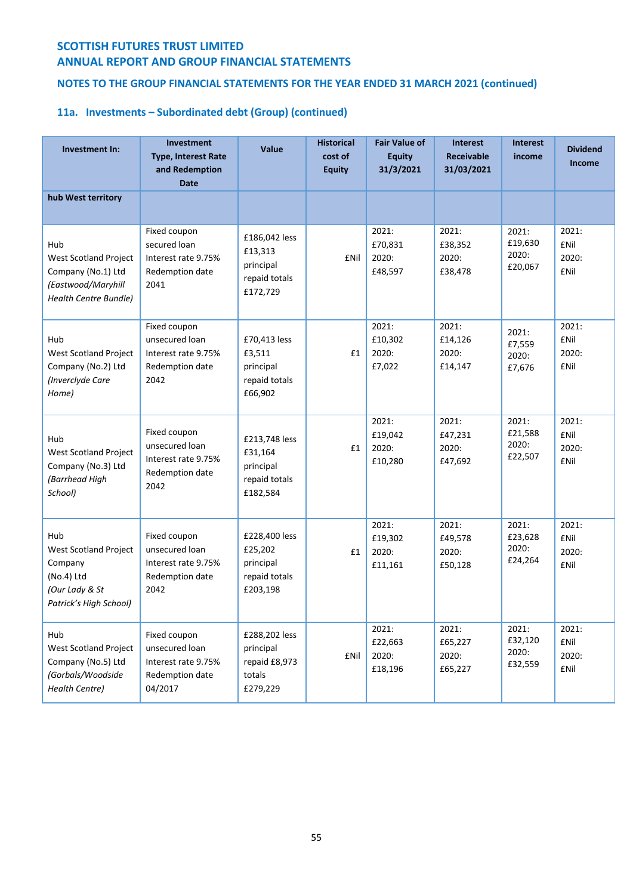## **NOTES TO THE GROUP FINANCIAL STATEMENTS FOR THE YEAR ENDED 31 MARCH 2021 (continued)**

| Investment In:                                                                                                  | <b>Investment</b><br><b>Type, Interest Rate</b><br>and Redemption<br><b>Date</b>    | Value                                                              | <b>Historical</b><br>cost of<br><b>Equity</b> | <b>Fair Value of</b><br><b>Equity</b><br>31/3/2021 | <b>Interest</b><br><b>Receivable</b><br>31/03/2021 | <b>Interest</b><br>income            | <b>Dividend</b><br><b>Income</b>              |
|-----------------------------------------------------------------------------------------------------------------|-------------------------------------------------------------------------------------|--------------------------------------------------------------------|-----------------------------------------------|----------------------------------------------------|----------------------------------------------------|--------------------------------------|-----------------------------------------------|
| hub West territory                                                                                              |                                                                                     |                                                                    |                                               |                                                    |                                                    |                                      |                                               |
| Hub<br><b>West Scotland Project</b><br>Company (No.1) Ltd<br>(Eastwood/Maryhill<br><b>Health Centre Bundle)</b> | Fixed coupon<br>secured loan<br>Interest rate 9.75%<br>Redemption date<br>2041      | £186,042 less<br>£13,313<br>principal<br>repaid totals<br>£172,729 | <b>£Nil</b>                                   | 2021:<br>£70,831<br>2020:<br>£48,597               | 2021:<br>£38,352<br>2020:<br>£38,478               | 2021:<br>£19,630<br>2020:<br>£20,067 | 2021:<br><b>£Nil</b><br>2020:<br><b>£Nil</b>  |
| Hub<br><b>West Scotland Project</b><br>Company (No.2) Ltd<br>(Inverclyde Care<br>Home)                          | Fixed coupon<br>unsecured loan<br>Interest rate 9.75%<br>Redemption date<br>2042    | £70,413 less<br>£3,511<br>principal<br>repaid totals<br>£66,902    | £1                                            | 2021:<br>£10,302<br>2020:<br>£7,022                | 2021:<br>£14,126<br>2020:<br>£14,147               | 2021:<br>£7,559<br>2020:<br>£7,676   | 2021:<br><b>£Nil</b><br>2020:<br><b>fNil</b>  |
| Hub<br><b>West Scotland Project</b><br>Company (No.3) Ltd<br>(Barrhead High<br>School)                          | Fixed coupon<br>unsecured loan<br>Interest rate 9.75%<br>Redemption date<br>2042    | £213,748 less<br>£31,164<br>principal<br>repaid totals<br>£182,584 | £1                                            | 2021:<br>£19,042<br>2020:<br>£10,280               | 2021:<br>£47,231<br>2020:<br>£47,692               | 2021:<br>£21,588<br>2020:<br>£22,507 | 2021:<br><b>£Nil</b><br>2020:<br><b>fNil</b>  |
| Hub<br><b>West Scotland Project</b><br>Company<br>(No.4) Ltd<br>(Our Lady & St<br>Patrick's High School)        | Fixed coupon<br>unsecured loan<br>Interest rate 9.75%<br>Redemption date<br>2042    | £228,400 less<br>£25,202<br>principal<br>repaid totals<br>£203,198 | £1                                            | 2021:<br>£19,302<br>2020:<br>£11,161               | 2021:<br>£49,578<br>2020:<br>£50,128               | 2021:<br>£23,628<br>2020:<br>£24,264 | 2021:<br><b>£Nil</b><br>2020:<br><b>£Nil</b>  |
| Hub<br><b>West Scotland Project</b><br>Company (No.5) Ltd<br>(Gorbals/Woodside<br><b>Health Centre)</b>         | Fixed coupon<br>unsecured loan<br>Interest rate 9.75%<br>Redemption date<br>04/2017 | £288,202 less<br>principal<br>repaid £8,973<br>totals<br>£279,229  | <b>£Nil</b>                                   | 2021:<br>£22,663<br>2020:<br>£18,196               | 2021:<br>£65,227<br>2020:<br>£65,227               | 2021:<br>£32,120<br>2020:<br>£32,559 | 2021:<br><b>£Nil</b><br>2020:<br><b>f</b> Nil |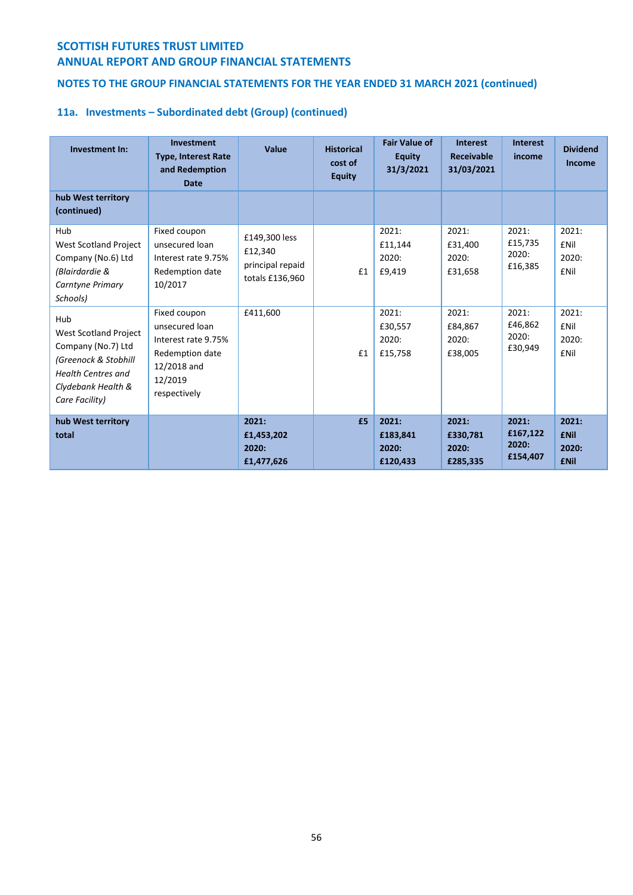## **NOTES TO THE GROUP FINANCIAL STATEMENTS FOR THE YEAR ENDED 31 MARCH 2021 (continued)**

| Investment In:                                                                                                                                         | <b>Investment</b><br><b>Type, Interest Rate</b><br>and Redemption<br>Date                                          | Value                                                           | <b>Historical</b><br>cost of<br><b>Equity</b> | <b>Fair Value of</b><br><b>Equity</b><br>31/3/2021 | <b>Interest</b><br><b>Receivable</b><br>31/03/2021 | <b>Interest</b><br>income                     | <b>Dividend</b><br><b>Income</b>                      |
|--------------------------------------------------------------------------------------------------------------------------------------------------------|--------------------------------------------------------------------------------------------------------------------|-----------------------------------------------------------------|-----------------------------------------------|----------------------------------------------------|----------------------------------------------------|-----------------------------------------------|-------------------------------------------------------|
| hub West territory<br>(continued)                                                                                                                      |                                                                                                                    |                                                                 |                                               |                                                    |                                                    |                                               |                                                       |
| Hub<br><b>West Scotland Project</b><br>Company (No.6) Ltd<br>(Blairdardie &<br>Carntyne Primary<br>Schools)                                            | Fixed coupon<br>unsecured loan<br>Interest rate 9.75%<br>Redemption date<br>10/2017                                | £149.300 less<br>£12,340<br>principal repaid<br>totals £136,960 | £1                                            | 2021:<br>£11,144<br>2020:<br>£9,419<br>2021:       | 2021:<br>£31,400<br>2020:<br>£31,658<br>2021:      | 2021:<br>£15,735<br>2020:<br>£16,385<br>2021: | 2021:<br><b>£Nil</b><br>2020:<br><b>£Nil</b><br>2021: |
| Hub<br><b>West Scotland Project</b><br>Company (No.7) Ltd<br>(Greenock & Stobhill<br><b>Health Centres and</b><br>Clydebank Health &<br>Care Facility) | Fixed coupon<br>unsecured loan<br>Interest rate 9.75%<br>Redemption date<br>12/2018 and<br>12/2019<br>respectively | £411,600                                                        | £1                                            | £30,557<br>2020:<br>£15,758                        | £84,867<br>2020:<br>£38,005                        | £46,862<br>2020:<br>£30,949                   | £Nil<br>2020:<br><b>£Nil</b>                          |
| hub West territory<br>total                                                                                                                            |                                                                                                                    | 2021:<br>£1,453,202<br>2020:<br>£1,477,626                      | £5                                            | 2021:<br>£183,841<br>2020:<br>£120,433             | 2021:<br>£330,781<br>2020:<br>£285,335             | 2021:<br>£167,122<br>2020:<br>£154,407        | 2021:<br><b>£Nil</b><br>2020:<br><b>£Nil</b>          |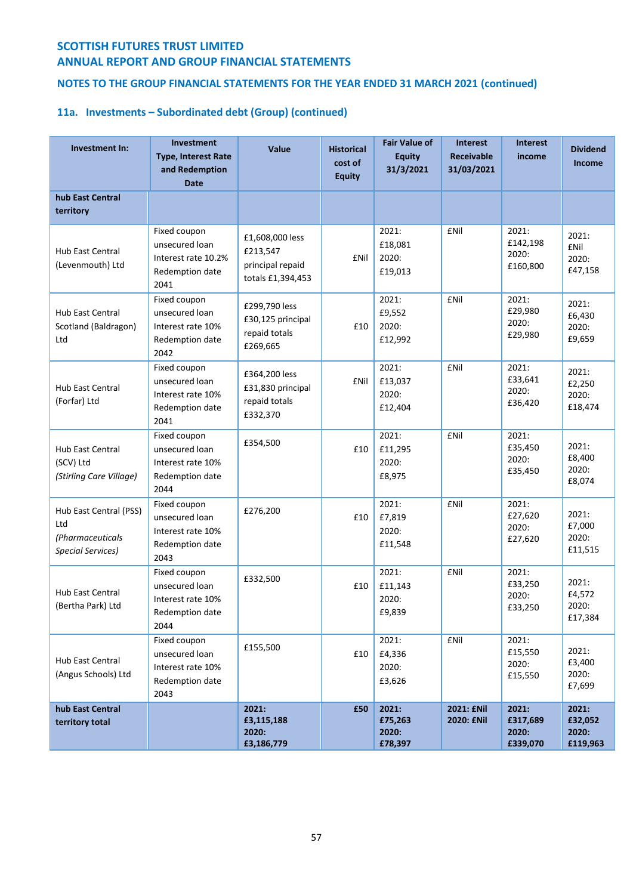## **NOTES TO THE GROUP FINANCIAL STATEMENTS FOR THE YEAR ENDED 31 MARCH 2021 (continued)**

| Investment In:                                                                | Investment<br><b>Type, Interest Rate</b><br>and Redemption<br><b>Date</b>        | <b>Value</b>                                                         | <b>Historical</b><br>cost of<br><b>Equity</b> | <b>Fair Value of</b><br><b>Equity</b><br>31/3/2021 | <b>Interest</b><br><b>Receivable</b><br>31/03/2021 | <b>Interest</b><br>income              | <b>Dividend</b><br><b>Income</b>         |
|-------------------------------------------------------------------------------|----------------------------------------------------------------------------------|----------------------------------------------------------------------|-----------------------------------------------|----------------------------------------------------|----------------------------------------------------|----------------------------------------|------------------------------------------|
| hub East Central<br>territory                                                 |                                                                                  |                                                                      |                                               |                                                    |                                                    |                                        |                                          |
| <b>Hub East Central</b><br>(Levenmouth) Ltd                                   | Fixed coupon<br>unsecured loan<br>Interest rate 10.2%<br>Redemption date<br>2041 | £1,608,000 less<br>£213,547<br>principal repaid<br>totals £1,394,453 | <b>£Nil</b>                                   | 2021:<br>£18,081<br>2020:<br>£19,013               | <b>£Nil</b>                                        | 2021:<br>£142,198<br>2020:<br>£160,800 | 2021:<br><b>£Nil</b><br>2020:<br>£47,158 |
| Hub East Central<br>Scotland (Baldragon)<br>Ltd                               | Fixed coupon<br>unsecured loan<br>Interest rate 10%<br>Redemption date<br>2042   | £299,790 less<br>£30,125 principal<br>repaid totals<br>£269,665      | £10                                           | 2021:<br>£9,552<br>2020:<br>£12,992                | <b>£Nil</b>                                        | 2021:<br>£29,980<br>2020:<br>£29,980   | 2021:<br>£6,430<br>2020:<br>£9,659       |
| Hub East Central<br>(Forfar) Ltd                                              | Fixed coupon<br>unsecured loan<br>Interest rate 10%<br>Redemption date<br>2041   | £364,200 less<br>£31,830 principal<br>repaid totals<br>£332,370      | <b>£Nil</b>                                   | 2021:<br>£13,037<br>2020:<br>£12,404               | <b>£Nil</b>                                        | 2021:<br>£33,641<br>2020:<br>£36,420   | 2021:<br>£2,250<br>2020:<br>£18,474      |
| Hub East Central<br>(SCV) Ltd<br>(Stirling Care Village)                      | Fixed coupon<br>unsecured loan<br>Interest rate 10%<br>Redemption date<br>2044   | £354,500                                                             | £10                                           | 2021:<br>£11,295<br>2020:<br>£8,975                | <b>£Nil</b>                                        | 2021:<br>£35,450<br>2020:<br>£35,450   | 2021:<br>£8,400<br>2020:<br>£8,074       |
| Hub East Central (PSS)<br>Ltd<br>(Pharmaceuticals<br><b>Special Services)</b> | Fixed coupon<br>unsecured loan<br>Interest rate 10%<br>Redemption date<br>2043   | £276,200                                                             | £10                                           | 2021:<br>£7,819<br>2020:<br>£11,548                | <b>£Nil</b>                                        | 2021:<br>£27,620<br>2020:<br>£27,620   | 2021:<br>£7,000<br>2020:<br>£11,515      |
| Hub East Central<br>(Bertha Park) Ltd                                         | Fixed coupon<br>unsecured loan<br>Interest rate 10%<br>Redemption date<br>2044   | £332,500                                                             | £10                                           | 2021:<br>£11,143<br>2020:<br>£9,839                | <b>£Nil</b>                                        | 2021:<br>£33,250<br>2020:<br>£33,250   | 2021:<br>£4,572<br>2020:<br>£17,384      |
| Hub East Central<br>(Angus Schools) Ltd                                       | Fixed coupon<br>unsecured loan<br>Interest rate 10%<br>Redemption date<br>2043   | £155,500                                                             | £10                                           | 2021:<br>£4,336<br>2020:<br>£3,626                 | <b>f</b> Nil                                       | 2021:<br>£15,550<br>2020:<br>£15,550   | 2021:<br>£3,400<br>2020:<br>£7,699       |
| hub East Central<br>territory total                                           |                                                                                  | 2021:<br>£3,115,188<br>2020:<br>£3,186,779                           | £50                                           | 2021:<br>£75,263<br>2020:<br>£78,397               | 2021: £Nil<br>2020: £Nil                           | 2021:<br>£317,689<br>2020:<br>£339,070 | 2021:<br>£32,052<br>2020:<br>£119,963    |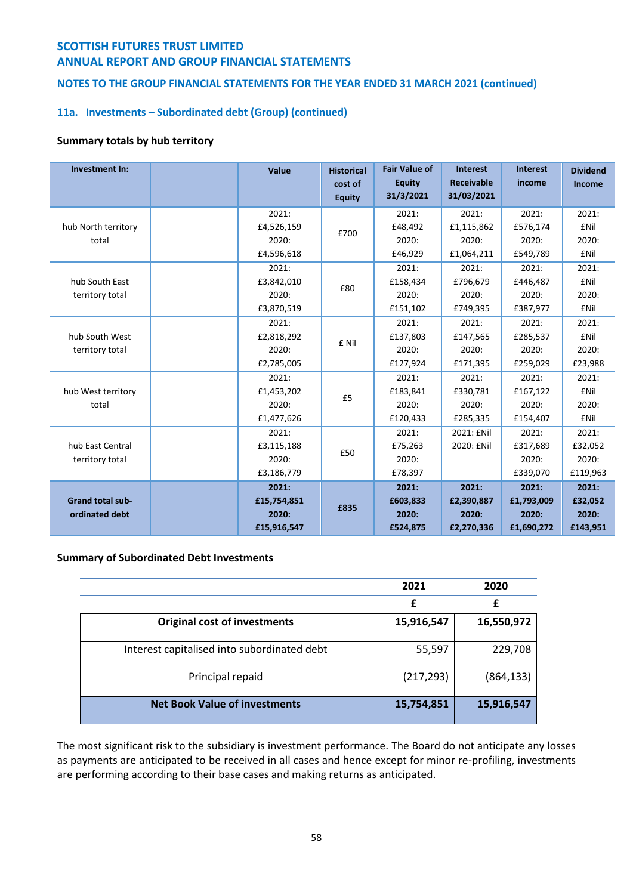### **NOTES TO THE GROUP FINANCIAL STATEMENTS FOR THE YEAR ENDED 31 MARCH 2021 (continued)**

### **11a. Investments – Subordinated debt (Group) (continued)**

### **Summary totals by hub territory**

| Investment In:          | Value       | <b>Historical</b><br>cost of<br><b>Equity</b> | <b>Fair Value of</b><br><b>Equity</b><br>31/3/2021 | <b>Interest</b><br><b>Receivable</b><br>31/03/2021 | <b>Interest</b><br>income | <b>Dividend</b><br>Income |
|-------------------------|-------------|-----------------------------------------------|----------------------------------------------------|----------------------------------------------------|---------------------------|---------------------------|
|                         | 2021:       |                                               | 2021:                                              | 2021:                                              | 2021:                     | 2021:                     |
| hub North territory     | £4,526,159  |                                               | £48,492                                            | £1,115,862                                         | £576,174                  | <b>f</b> Nil              |
| total                   | 2020:       | £700                                          | 2020:                                              | 2020:                                              | 2020:                     | 2020:                     |
|                         | £4,596,618  |                                               | £46,929                                            | £1,064,211                                         | £549,789                  | <b>f</b> Nil              |
|                         | 2021:       |                                               | 2021:                                              | 2021:                                              | 2021:                     | 2021:                     |
| hub South East          | £3,842,010  |                                               | £158,434                                           | £796,679                                           | £446,487                  | <b>f</b> Nil              |
| territory total         | 2020:       | £80                                           | 2020:                                              | 2020:                                              | 2020:                     | 2020:                     |
|                         | £3,870,519  |                                               | £151,102                                           | £749,395                                           | £387,977                  | <b>f</b> Nil              |
|                         | 2021:       |                                               | 2021:                                              | 2021:                                              | 2021:                     | 2021:                     |
| hub South West          | £2,818,292  | £ Nil                                         | £137,803                                           | £147,565                                           | £285,537                  | <b>f</b> Nil              |
| territory total         | 2020:       |                                               | 2020:                                              | 2020:                                              | 2020:                     | 2020:                     |
|                         | £2,785,005  |                                               | £127,924                                           | £171,395                                           | £259,029                  | £23,988                   |
|                         | 2021:       |                                               | 2021:                                              | 2021:                                              | 2021:                     | 2021:                     |
| hub West territory      | £1,453,202  | £5                                            | £183,841                                           | £330,781                                           | £167,122                  | <b>f</b> Nil              |
| total                   | 2020:       |                                               | 2020:                                              | 2020:                                              | 2020:                     | 2020:                     |
|                         | £1,477,626  |                                               | £120,433                                           | £285,335                                           | £154,407                  | <b>f</b> Nil              |
|                         | 2021:       |                                               | 2021:                                              | 2021: ENil                                         | 2021:                     | 2021:                     |
| hub East Central        | £3,115,188  |                                               | £75,263                                            | 2020: £Nil                                         | £317,689                  | £32,052                   |
| territory total         | 2020:       | £50                                           | 2020:                                              |                                                    | 2020:                     | 2020:                     |
|                         | £3,186,779  |                                               | £78,397                                            |                                                    | £339,070                  | £119,963                  |
|                         | 2021:       |                                               | 2021:                                              | 2021:                                              | 2021:                     | 2021:                     |
| <b>Grand total sub-</b> | £15,754,851 | £835                                          | £603,833                                           | £2,390,887                                         | £1,793,009                | £32,052                   |
| ordinated debt          | 2020:       |                                               | 2020:                                              | 2020:                                              | 2020:                     | 2020:                     |
|                         | £15,916,547 |                                               | £524,875                                           | £2,270,336                                         | £1,690,272                | £143,951                  |

#### **Summary of Subordinated Debt Investments**

|                                             | 2021       | 2020       |
|---------------------------------------------|------------|------------|
|                                             | £          | £          |
| <b>Original cost of investments</b>         | 15,916,547 | 16,550,972 |
| Interest capitalised into subordinated debt | 55,597     | 229,708    |
| Principal repaid                            | (217, 293) | (864, 133) |
| <b>Net Book Value of investments</b>        | 15,754,851 | 15,916,547 |

The most significant risk to the subsidiary is investment performance. The Board do not anticipate any losses as payments are anticipated to be received in all cases and hence except for minor re-profiling, investments are performing according to their base cases and making returns as anticipated.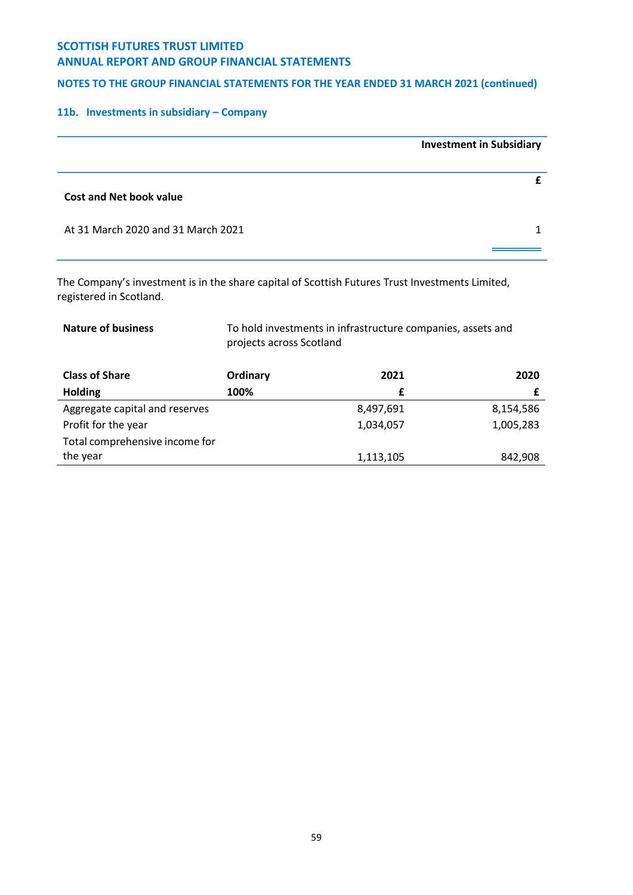### **NOTES TO THE GROUP FINANCIAL STATEMENTS FOR THE YEAR ENDED 31 MARCH 2021 (continued)**

### **11b. Investments in subsidiary – Company**

| <b>Investment in Subsidiary</b> |
|---------------------------------|
|                                 |
|                                 |
|                                 |

The Company's investment is in the share capital of Scottish Futures Trust Investments Limited, registered in Scotland.

| <b>Class of Share</b>     | Ordinary                 | 2021                                                        | 2020 |
|---------------------------|--------------------------|-------------------------------------------------------------|------|
| <b>Nature of business</b> | projects across Scotland | To hold investments in infrastructure companies, assets and |      |

| <b>Class UL Stidle</b>         | UI UIII di V | LULI      | ZUZU      |
|--------------------------------|--------------|-----------|-----------|
| <b>Holding</b>                 | 100%         |           |           |
| Aggregate capital and reserves |              | 8,497,691 | 8,154,586 |
| Profit for the year            |              | 1,034,057 | 1,005,283 |
| Total comprehensive income for |              |           |           |
| the year                       |              | 1,113,105 | 842,908   |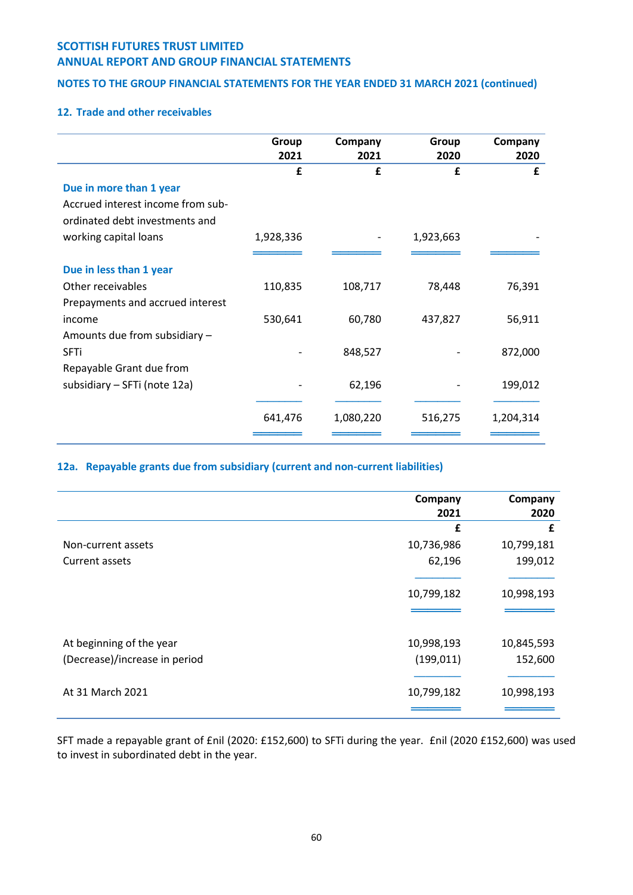### **NOTES TO THE GROUP FINANCIAL STATEMENTS FOR THE YEAR ENDED 31 MARCH 2021 (continued)**

### **12. Trade and other receivables**

|                                   | Group<br>2021 | Company<br>2021 | Group<br>2020 | Company<br>2020 |
|-----------------------------------|---------------|-----------------|---------------|-----------------|
|                                   | £             | £               | £             | £               |
| Due in more than 1 year           |               |                 |               |                 |
| Accrued interest income from sub- |               |                 |               |                 |
| ordinated debt investments and    |               |                 |               |                 |
| working capital loans             | 1,928,336     |                 | 1,923,663     |                 |
|                                   |               |                 |               |                 |
| Due in less than 1 year           |               |                 |               |                 |
| Other receivables                 | 110,835       | 108,717         | 78,448        | 76,391          |
| Prepayments and accrued interest  |               |                 |               |                 |
| income                            | 530,641       | 60,780          | 437,827       | 56,911          |
| Amounts due from subsidiary -     |               |                 |               |                 |
| <b>SFTi</b>                       |               | 848,527         |               | 872,000         |
| Repayable Grant due from          |               |                 |               |                 |
| subsidiary - SFTi (note 12a)      |               | 62,196          |               | 199,012         |
|                                   |               |                 |               |                 |
|                                   | 641,476       | 1,080,220       | 516,275       | 1,204,314       |
|                                   |               |                 |               |                 |

### **12a. Repayable grants due from subsidiary (current and non-current liabilities)**

|                               | Company<br>2021 | Company<br>2020 |
|-------------------------------|-----------------|-----------------|
|                               | £               | £               |
| Non-current assets            | 10,736,986      | 10,799,181      |
| Current assets                | 62,196          | 199,012         |
|                               |                 |                 |
|                               | 10,799,182      | 10,998,193      |
|                               |                 |                 |
| At beginning of the year      | 10,998,193      | 10,845,593      |
| (Decrease)/increase in period | (199, 011)      | 152,600         |
|                               |                 |                 |
| At 31 March 2021              | 10,799,182      | 10,998,193      |
|                               |                 |                 |

SFT made a repayable grant of £nil (2020: £152,600) to SFTi during the year. £nil (2020 £152,600) was used to invest in subordinated debt in the year.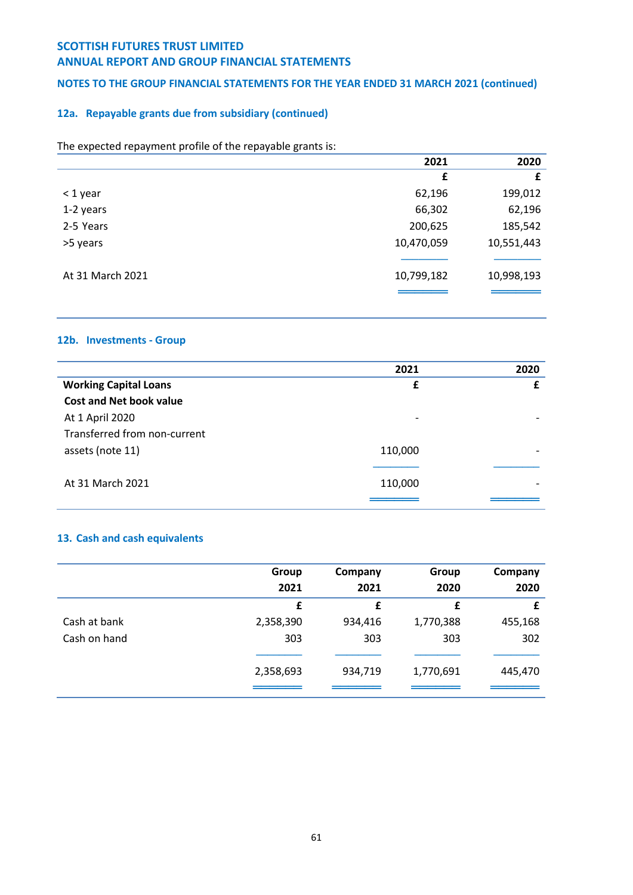### **NOTES TO THE GROUP FINANCIAL STATEMENTS FOR THE YEAR ENDED 31 MARCH 2021 (continued)**

### **12a. Repayable grants due from subsidiary (continued)**

### The expected repayment profile of the repayable grants is:

|                  | 2021       | 2020       |
|------------------|------------|------------|
|                  | £          | £          |
| $<$ 1 year       | 62,196     | 199,012    |
| 1-2 years        | 66,302     | 62,196     |
| 2-5 Years        | 200,625    | 185,542    |
| >5 years         | 10,470,059 | 10,551,443 |
| At 31 March 2021 | 10,799,182 | 10,998,193 |
|                  |            |            |

#### **12b. Investments - Group**

|                                | 2021                     | 2020 |
|--------------------------------|--------------------------|------|
| <b>Working Capital Loans</b>   | £                        | £    |
| <b>Cost and Net book value</b> |                          |      |
| At 1 April 2020                | $\overline{\phantom{a}}$ |      |
| Transferred from non-current   |                          |      |
| assets (note 11)               | 110,000                  |      |
|                                |                          |      |
| At 31 March 2021               | 110,000                  |      |
|                                |                          |      |

### **13. Cash and cash equivalents**

|              | Group<br>2021 | Company<br>2021 | Group<br>2020 | Company<br>2020 |
|--------------|---------------|-----------------|---------------|-----------------|
|              | £             | £               | £             | £               |
| Cash at bank | 2,358,390     | 934,416         | 1,770,388     | 455,168         |
| Cash on hand | 303           | 303             | 303           | 302             |
|              |               |                 |               |                 |
|              | 2,358,693     | 934,719         | 1,770,691     | 445,470         |
|              |               |                 |               |                 |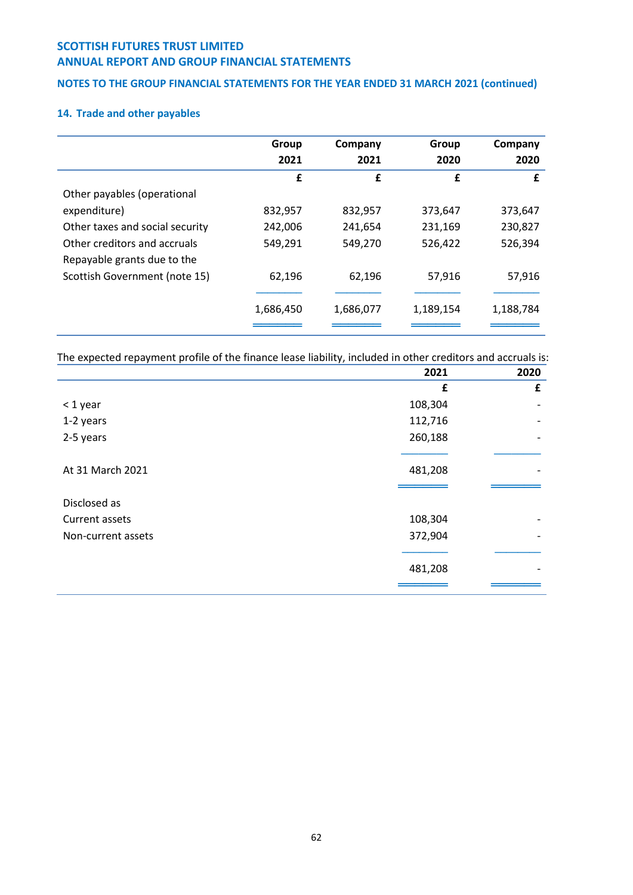## **NOTES TO THE GROUP FINANCIAL STATEMENTS FOR THE YEAR ENDED 31 MARCH 2021 (continued)**

## **14. Trade and other payables**

|                                 | Group     | Company   | Group     | Company   |
|---------------------------------|-----------|-----------|-----------|-----------|
|                                 | 2021      | 2021      | 2020      | 2020      |
|                                 | £         | £         | £         | £         |
| Other payables (operational     |           |           |           |           |
| expenditure)                    | 832,957   | 832,957   | 373,647   | 373,647   |
| Other taxes and social security | 242,006   | 241,654   | 231,169   | 230,827   |
| Other creditors and accruals    | 549,291   | 549,270   | 526,422   | 526,394   |
| Repayable grants due to the     |           |           |           |           |
| Scottish Government (note 15)   | 62,196    | 62,196    | 57,916    | 57,916    |
|                                 |           |           |           |           |
|                                 | 1,686,450 | 1,686,077 | 1,189,154 | 1,188,784 |
|                                 |           |           |           |           |

The expected repayment profile of the finance lease liability, included in other creditors and accruals is:

|                    | 2021    | 2020 |
|--------------------|---------|------|
|                    | £       | £    |
| $<$ 1 year         | 108,304 |      |
| 1-2 years          | 112,716 |      |
| 2-5 years          | 260,188 |      |
|                    |         |      |
| At 31 March 2021   | 481,208 |      |
|                    |         |      |
| Disclosed as       |         |      |
| Current assets     | 108,304 |      |
| Non-current assets | 372,904 |      |
|                    |         |      |
|                    | 481,208 |      |
|                    |         |      |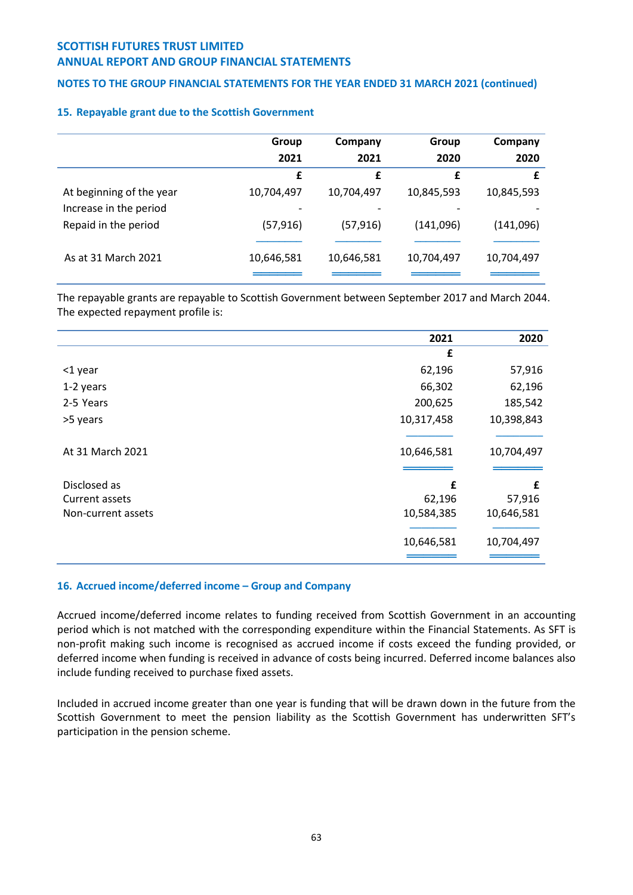#### **NOTES TO THE GROUP FINANCIAL STATEMENTS FOR THE YEAR ENDED 31 MARCH 2021 (continued)**

|                          | Group      | Company    | Group      | Company    |
|--------------------------|------------|------------|------------|------------|
|                          | 2021       | 2021       | 2020       | 2020       |
|                          | £          | £          | £          | £          |
| At beginning of the year | 10,704,497 | 10,704,497 | 10,845,593 | 10,845,593 |
| Increase in the period   |            |            |            |            |
| Repaid in the period     | (57,916)   | (57, 916)  | (141,096)  | (141,096)  |
|                          |            |            |            |            |
| As at 31 March 2021      | 10,646,581 | 10,646,581 | 10,704,497 | 10,704,497 |
|                          |            |            |            |            |

#### **15. Repayable grant due to the Scottish Government**

The repayable grants are repayable to Scottish Government between September 2017 and March 2044. The expected repayment profile is:

|                    | 2021       | 2020       |
|--------------------|------------|------------|
|                    |            |            |
|                    | £          |            |
| <1 year            | 62,196     | 57,916     |
| 1-2 years          | 66,302     | 62,196     |
| 2-5 Years          | 200,625    | 185,542    |
| >5 years           | 10,317,458 | 10,398,843 |
|                    |            |            |
| At 31 March 2021   | 10,646,581 | 10,704,497 |
|                    |            |            |
| Disclosed as       | £          | £          |
| Current assets     | 62,196     | 57,916     |
| Non-current assets | 10,584,385 | 10,646,581 |
|                    |            |            |
|                    | 10,646,581 | 10,704,497 |
|                    |            |            |

#### **16. Accrued income/deferred income – Group and Company**

Accrued income/deferred income relates to funding received from Scottish Government in an accounting period which is not matched with the corresponding expenditure within the Financial Statements. As SFT is non-profit making such income is recognised as accrued income if costs exceed the funding provided, or deferred income when funding is received in advance of costs being incurred. Deferred income balances also include funding received to purchase fixed assets.

Included in accrued income greater than one year is funding that will be drawn down in the future from the Scottish Government to meet the pension liability as the Scottish Government has underwritten SFT's participation in the pension scheme.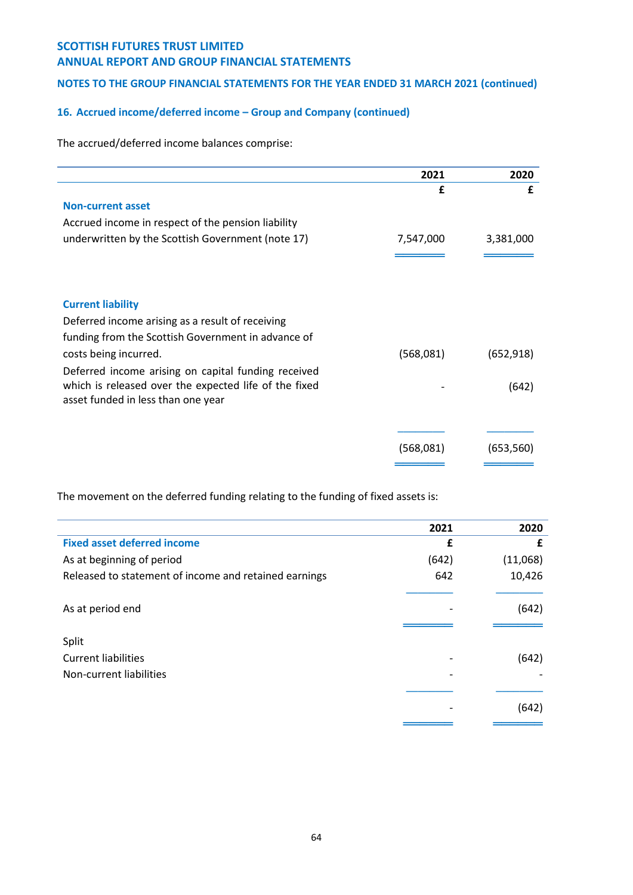### **SCOTTISH FUTURES TRUST LIMITED**

### **ANNUAL REPORT AND GROUP FINANCIAL STATEMENTS**

#### **NOTES TO THE GROUP FINANCIAL STATEMENTS FOR THE YEAR ENDED 31 MARCH 2021 (continued)**

# **16. Accrued income/deferred income – Group and Company (continued)**

The accrued/deferred income balances comprise:

|                                                       | 2021      | 2020       |
|-------------------------------------------------------|-----------|------------|
|                                                       | £         | £          |
| <b>Non-current asset</b>                              |           |            |
| Accrued income in respect of the pension liability    |           |            |
| underwritten by the Scottish Government (note 17)     | 7,547,000 | 3,381,000  |
|                                                       |           |            |
|                                                       |           |            |
| <b>Current liability</b>                              |           |            |
| Deferred income arising as a result of receiving      |           |            |
| funding from the Scottish Government in advance of    |           |            |
| costs being incurred.                                 | (568,081) | (652, 918) |
| Deferred income arising on capital funding received   |           |            |
| which is released over the expected life of the fixed |           | (642)      |
| asset funded in less than one year                    |           |            |
|                                                       |           |            |
|                                                       |           |            |
|                                                       | (568,081) | (653, 560) |
|                                                       |           |            |

The movement on the deferred funding relating to the funding of fixed assets is:

|                                                       | 2021  | 2020     |
|-------------------------------------------------------|-------|----------|
| <b>Fixed asset deferred income</b>                    | £     | £        |
| As at beginning of period                             | (642) | (11,068) |
| Released to statement of income and retained earnings | 642   | 10,426   |
|                                                       |       |          |
| As at period end                                      |       | (642)    |
|                                                       |       |          |
| Split                                                 |       |          |
| <b>Current liabilities</b>                            |       | (642)    |
| Non-current liabilities                               |       |          |
|                                                       |       |          |
|                                                       |       | (642)    |
|                                                       |       |          |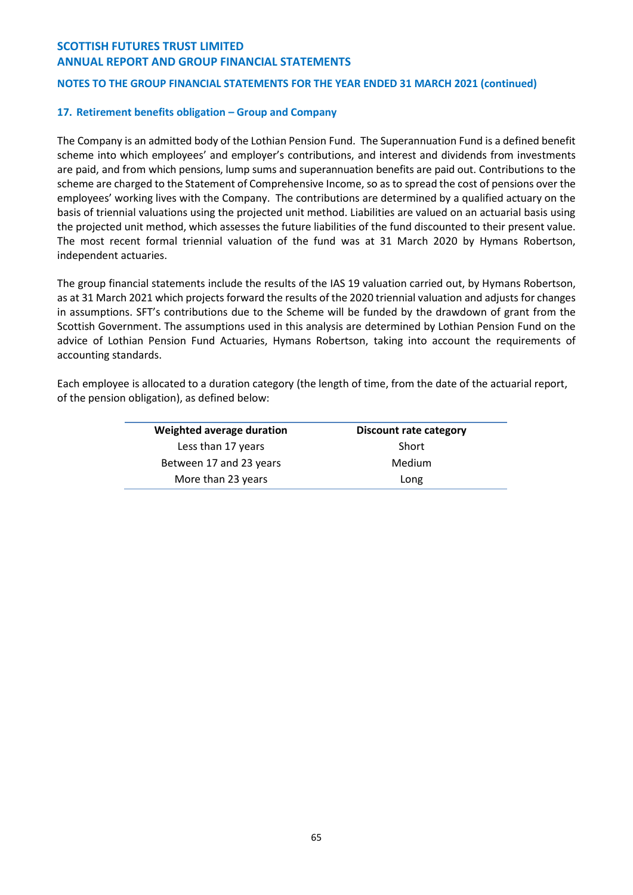### **NOTES TO THE GROUP FINANCIAL STATEMENTS FOR THE YEAR ENDED 31 MARCH 2021 (continued)**

#### **17. Retirement benefits obligation – Group and Company**

The Company is an admitted body of the Lothian Pension Fund. The Superannuation Fund is a defined benefit scheme into which employees' and employer's contributions, and interest and dividends from investments are paid, and from which pensions, lump sums and superannuation benefits are paid out. Contributions to the scheme are charged to the Statement of Comprehensive Income, so as to spread the cost of pensions over the employees' working lives with the Company. The contributions are determined by a qualified actuary on the basis of triennial valuations using the projected unit method. Liabilities are valued on an actuarial basis using the projected unit method, which assesses the future liabilities of the fund discounted to their present value. The most recent formal triennial valuation of the fund was at 31 March 2020 by Hymans Robertson, independent actuaries.

The group financial statements include the results of the IAS 19 valuation carried out, by Hymans Robertson, as at 31 March 2021 which projects forward the results of the 2020 triennial valuation and adjusts for changes in assumptions. SFT's contributions due to the Scheme will be funded by the drawdown of grant from the Scottish Government. The assumptions used in this analysis are determined by Lothian Pension Fund on the advice of Lothian Pension Fund Actuaries, Hymans Robertson, taking into account the requirements of accounting standards.

Each employee is allocated to a duration category (the length of time, from the date of the actuarial report, of the pension obligation), as defined below:

| Weighted average duration | Discount rate category |
|---------------------------|------------------------|
| Less than 17 years        | Short                  |
| Between 17 and 23 years   | Medium                 |
| More than 23 years        | Long                   |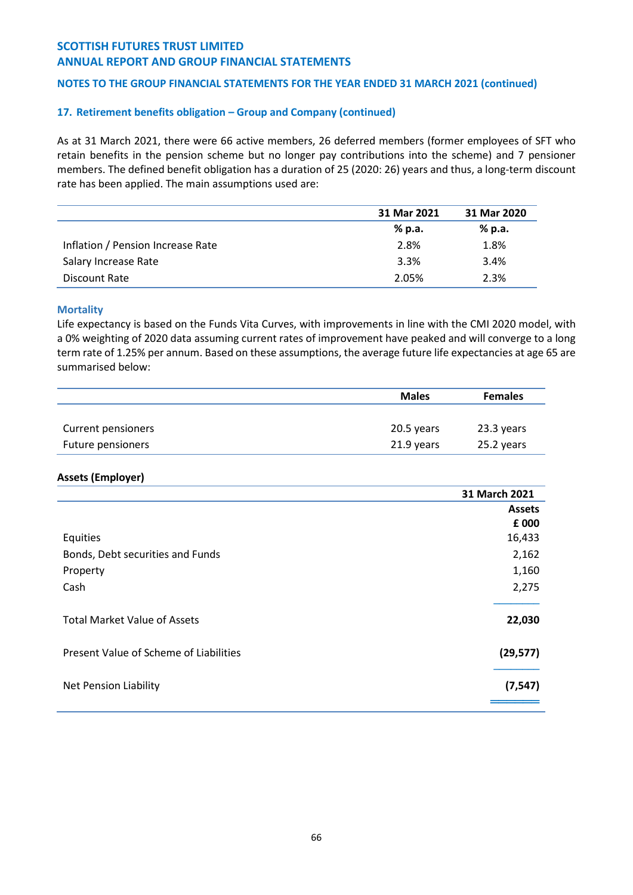### **NOTES TO THE GROUP FINANCIAL STATEMENTS FOR THE YEAR ENDED 31 MARCH 2021 (continued)**

#### **17. Retirement benefits obligation – Group and Company (continued)**

As at 31 March 2021, there were 66 active members, 26 deferred members (former employees of SFT who retain benefits in the pension scheme but no longer pay contributions into the scheme) and 7 pensioner members. The defined benefit obligation has a duration of 25 (2020: 26) years and thus, a long-term discount rate has been applied. The main assumptions used are:

|                                   | 31 Mar 2021 | 31 Mar 2020 |
|-----------------------------------|-------------|-------------|
|                                   | % p.a.      | % p.a.      |
| Inflation / Pension Increase Rate | 2.8%        | 1.8%        |
| Salary Increase Rate              | 3.3%        | 3.4%        |
| Discount Rate                     | 2.05%       | 2.3%        |

#### **Mortality**

Life expectancy is based on the Funds Vita Curves, with improvements in line with the CMI 2020 model, with a 0% weighting of 2020 data assuming current rates of improvement have peaked and will converge to a long term rate of 1.25% per annum. Based on these assumptions, the average future life expectancies at age 65 are summarised below:

|                    | <b>Males</b> | <b>Females</b> |
|--------------------|--------------|----------------|
|                    |              |                |
| Current pensioners | 20.5 years   | 23.3 years     |
| Future pensioners  | 21.9 years   | 25.2 years     |

#### **Assets (Employer)**

|                                        | 31 March 2021 |
|----------------------------------------|---------------|
|                                        | <b>Assets</b> |
|                                        | £ 000         |
| Equities                               | 16,433        |
| Bonds, Debt securities and Funds       | 2,162         |
| Property                               | 1,160         |
| Cash                                   | 2,275         |
| <b>Total Market Value of Assets</b>    | 22,030        |
| Present Value of Scheme of Liabilities | (29, 577)     |
| <b>Net Pension Liability</b>           | (7, 547)      |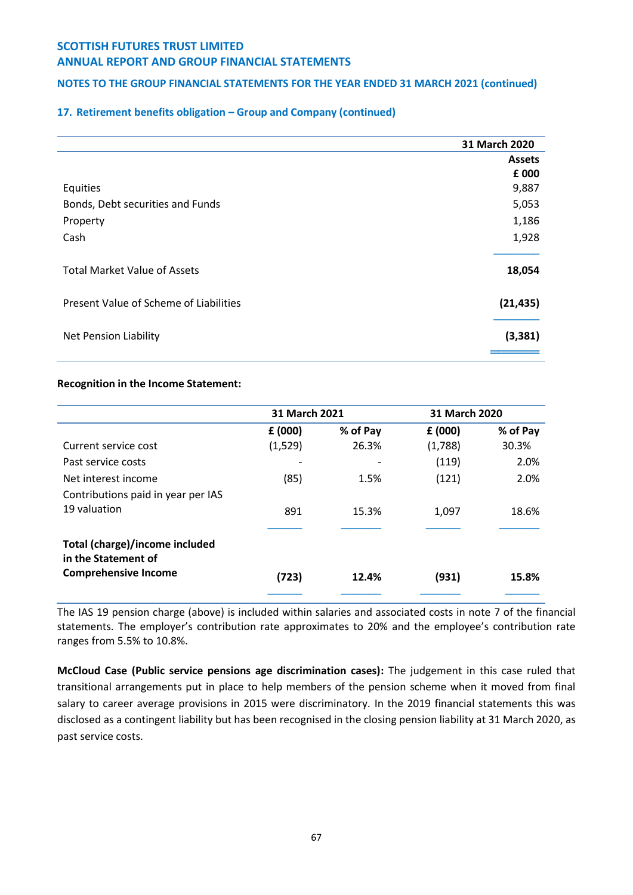#### **NOTES TO THE GROUP FINANCIAL STATEMENTS FOR THE YEAR ENDED 31 MARCH 2021 (continued)**

#### **17. Retirement benefits obligation – Group and Company (continued)**

|                                        | 31 March 2020 |
|----------------------------------------|---------------|
|                                        | <b>Assets</b> |
|                                        | £ 000         |
| Equities                               | 9,887         |
| Bonds, Debt securities and Funds       | 5,053         |
| Property                               | 1,186         |
| Cash                                   | 1,928         |
| <b>Total Market Value of Assets</b>    | 18,054        |
| Present Value of Scheme of Liabilities | (21, 435)     |
| <b>Net Pension Liability</b>           | (3, 381)      |

#### **Recognition in the Income Statement:**

|                                                                                      | 31 March 2021            |                          | 31 March 2020 |          |
|--------------------------------------------------------------------------------------|--------------------------|--------------------------|---------------|----------|
|                                                                                      | £ (000)                  | % of Pay                 | f(000)        | % of Pay |
| Current service cost                                                                 | (1,529)                  | 26.3%                    | (1,788)       | 30.3%    |
| Past service costs                                                                   | $\overline{\phantom{a}}$ | $\overline{\phantom{a}}$ | (119)         | 2.0%     |
| Net interest income                                                                  | (85)                     | 1.5%                     | (121)         | 2.0%     |
| Contributions paid in year per IAS<br>19 valuation                                   | 891                      | 15.3%                    | 1,097         | 18.6%    |
| Total (charge)/income included<br>in the Statement of<br><b>Comprehensive Income</b> | (723)                    | 12.4%                    | (931)         | 15.8%    |

The IAS 19 pension charge (above) is included within salaries and associated costs in note 7 of the financial statements. The employer's contribution rate approximates to 20% and the employee's contribution rate ranges from 5.5% to 10.8%.

**McCloud Case (Public service pensions age discrimination cases):** The judgement in this case ruled that transitional arrangements put in place to help members of the pension scheme when it moved from final salary to career average provisions in 2015 were discriminatory. In the 2019 financial statements this was disclosed as a contingent liability but has been recognised in the closing pension liability at 31 March 2020, as past service costs.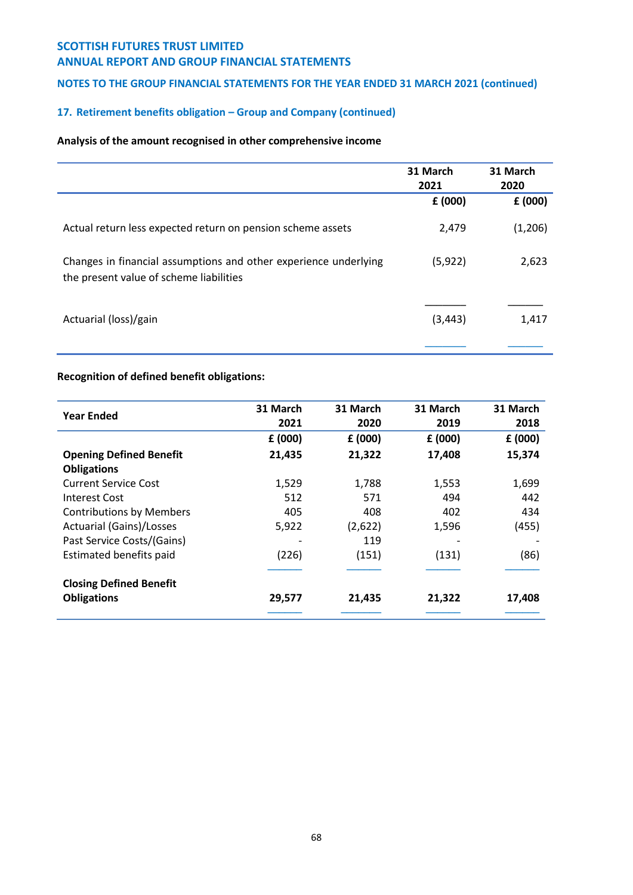### **NOTES TO THE GROUP FINANCIAL STATEMENTS FOR THE YEAR ENDED 31 MARCH 2021 (continued)**

### **17. Retirement benefits obligation – Group and Company (continued)**

### **Analysis of the amount recognised in other comprehensive income**

|                                                                                                             | 31 March<br>2021 | 31 March<br>2020 |
|-------------------------------------------------------------------------------------------------------------|------------------|------------------|
|                                                                                                             | f(000)           | £(000)           |
| Actual return less expected return on pension scheme assets                                                 | 2,479            | (1,206)          |
| Changes in financial assumptions and other experience underlying<br>the present value of scheme liabilities | (5, 922)         | 2,623            |
| Actuarial (loss)/gain                                                                                       | (3, 443)         | 1,417            |
|                                                                                                             |                  |                  |

### **Recognition of defined benefit obligations:**

| <b>Year Ended</b>               | 31 March<br>2021 | 31 March<br>2020 | 31 March<br>2019         | 31 March<br>2018 |
|---------------------------------|------------------|------------------|--------------------------|------------------|
|                                 | f(000)           | £ (000)          | f(000)                   | f(000)           |
| <b>Opening Defined Benefit</b>  | 21,435           | 21,322           | 17,408                   | 15,374           |
| <b>Obligations</b>              |                  |                  |                          |                  |
| <b>Current Service Cost</b>     | 1,529            | 1,788            | 1,553                    | 1,699            |
| Interest Cost                   | 512              | 571              | 494                      | 442              |
| <b>Contributions by Members</b> | 405              | 408              | 402                      | 434              |
| <b>Actuarial (Gains)/Losses</b> | 5,922            | (2,622)          | 1,596                    | (455)            |
| Past Service Costs/(Gains)      |                  | 119              | $\overline{\phantom{a}}$ |                  |
| Estimated benefits paid         | (226)            | (151)            | (131)                    | (86)             |
|                                 |                  |                  |                          |                  |
| <b>Closing Defined Benefit</b>  |                  |                  |                          |                  |
| <b>Obligations</b>              | 29,577           | 21,435           | 21,322                   | 17,408           |
|                                 |                  |                  |                          |                  |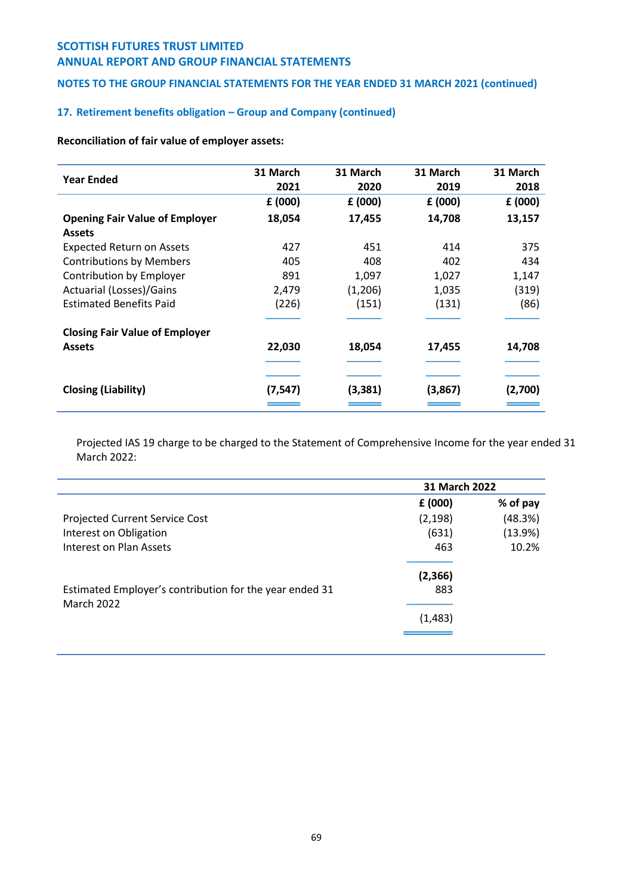### **SCOTTISH FUTURES TRUST LIMITED**

## **ANNUAL REPORT AND GROUP FINANCIAL STATEMENTS**

#### **NOTES TO THE GROUP FINANCIAL STATEMENTS FOR THE YEAR ENDED 31 MARCH 2021 (continued)**

## **17. Retirement benefits obligation – Group and Company (continued)**

## **Reconciliation of fair value of employer assets:**

| <b>Year Ended</b>                     | 31 March<br>2021 | 31 March<br>2020 | 31 March<br>2019 | 31 March<br>2018 |
|---------------------------------------|------------------|------------------|------------------|------------------|
|                                       |                  |                  |                  |                  |
|                                       | f(000)           | f(000)           | f(000)           | f(000)           |
| <b>Opening Fair Value of Employer</b> | 18,054           | 17,455           | 14,708           | 13,157           |
| <b>Assets</b>                         |                  |                  |                  |                  |
| <b>Expected Return on Assets</b>      | 427              | 451              | 414              | 375              |
| <b>Contributions by Members</b>       | 405              | 408              | 402              | 434              |
| Contribution by Employer              | 891              | 1,097            | 1,027            | 1,147            |
| Actuarial (Losses)/Gains              | 2,479            | (1,206)          | 1,035            | (319)            |
| <b>Estimated Benefits Paid</b>        | (226)            | (151)            | (131)            | (86)             |
|                                       |                  |                  |                  |                  |
| <b>Closing Fair Value of Employer</b> |                  |                  |                  |                  |
| <b>Assets</b>                         | 22,030           | 18,054           | 17,455           | 14,708           |
|                                       |                  |                  |                  |                  |
|                                       |                  |                  |                  |                  |
| <b>Closing (Liability)</b>            | (7, 547)         | (3, 381)         | (3,867)          | (2,700)          |
|                                       |                  |                  |                  |                  |

Projected IAS 19 charge to be charged to the Statement of Comprehensive Income for the year ended 31 March 2022:

|                                                         | 31 March 2022 |          |  |
|---------------------------------------------------------|---------------|----------|--|
|                                                         | f(000)        | % of pay |  |
| Projected Current Service Cost                          | (2, 198)      | (48.3%)  |  |
| Interest on Obligation                                  | (631)         | (13.9%)  |  |
| <b>Interest on Plan Assets</b>                          | 463           | 10.2%    |  |
|                                                         | (2,366)       |          |  |
| Estimated Employer's contribution for the year ended 31 | 883           |          |  |
| <b>March 2022</b>                                       | (1, 483)      |          |  |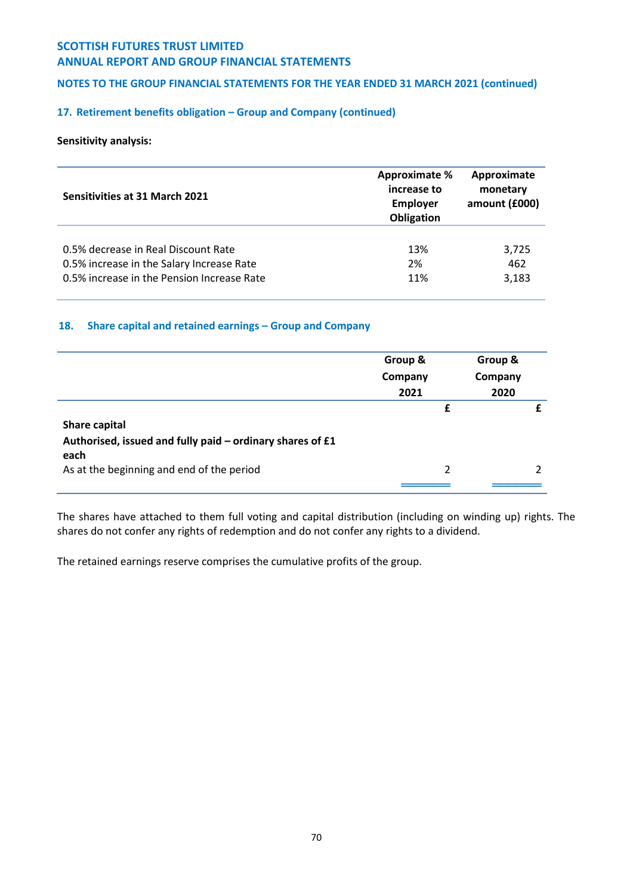### **NOTES TO THE GROUP FINANCIAL STATEMENTS FOR THE YEAR ENDED 31 MARCH 2021 (continued)**

### **17. Retirement benefits obligation – Group and Company (continued)**

### **Sensitivity analysis:**

| <b>Sensitivities at 31 March 2021</b>      | <b>Approximate %</b><br>increase to<br><b>Employer</b><br>Obligation | Approximate<br>monetary<br>amount (£000) |
|--------------------------------------------|----------------------------------------------------------------------|------------------------------------------|
| 0.5% decrease in Real Discount Rate        | 13%                                                                  | 3,725                                    |
| 0.5% increase in the Salary Increase Rate  | 2%                                                                   | 462                                      |
| 0.5% increase in the Pension Increase Rate | 11%                                                                  | 3,183                                    |

### **18. Share capital and retained earnings – Group and Company**

|                                                                                    | Group &<br>Company<br>2021 | Group &<br>Company<br>2020 |  |
|------------------------------------------------------------------------------------|----------------------------|----------------------------|--|
| Share capital<br>Authorised, issued and fully paid - ordinary shares of £1<br>each | f                          |                            |  |
| As at the beginning and end of the period                                          | $\mathfrak z$              |                            |  |

The shares have attached to them full voting and capital distribution (including on winding up) rights. The shares do not confer any rights of redemption and do not confer any rights to a dividend.

The retained earnings reserve comprises the cumulative profits of the group.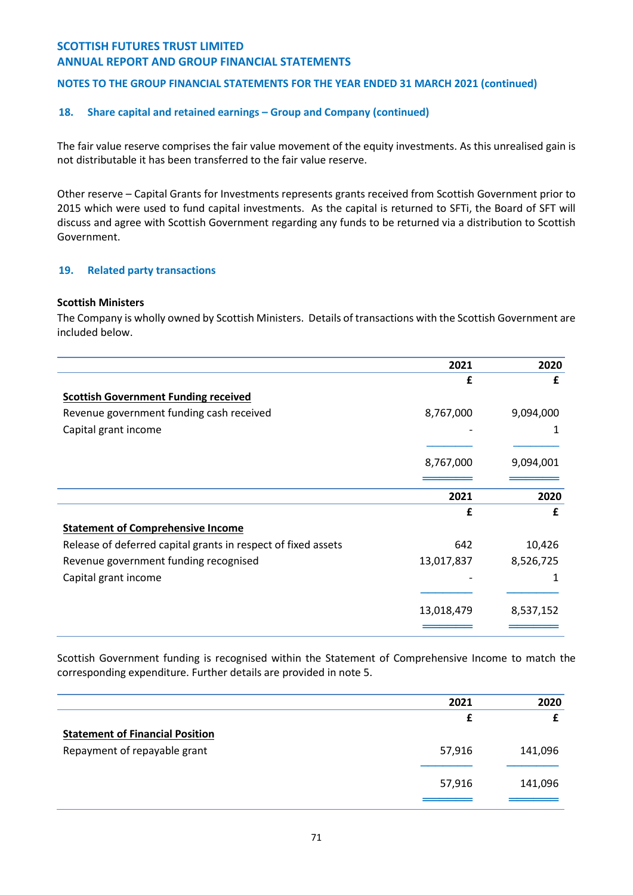# **SCOTTISH FUTURES TRUST LIMITED**

# **ANNUAL REPORT AND GROUP FINANCIAL STATEMENTS**

#### **NOTES TO THE GROUP FINANCIAL STATEMENTS FOR THE YEAR ENDED 31 MARCH 2021 (continued)**

#### **18. Share capital and retained earnings – Group and Company (continued)**

The fair value reserve comprises the fair value movement of the equity investments. As this unrealised gain is not distributable it has been transferred to the fair value reserve.

Other reserve – Capital Grants for Investments represents grants received from Scottish Government prior to 2015 which were used to fund capital investments. As the capital is returned to SFTi, the Board of SFT will discuss and agree with Scottish Government regarding any funds to be returned via a distribution to Scottish Government.

#### **19. Related party transactions**

#### **Scottish Ministers**

The Company is wholly owned by Scottish Ministers. Details of transactions with the Scottish Government are included below.

|                                                               | 2021       | 2020      |
|---------------------------------------------------------------|------------|-----------|
|                                                               | £          | £         |
| <b>Scottish Government Funding received</b>                   |            |           |
| Revenue government funding cash received                      | 8,767,000  | 9,094,000 |
| Capital grant income                                          |            | 1         |
|                                                               |            |           |
|                                                               | 8,767,000  | 9,094,001 |
|                                                               |            |           |
|                                                               | 2021       | 2020      |
|                                                               | £          | £         |
| <b>Statement of Comprehensive Income</b>                      |            |           |
| Release of deferred capital grants in respect of fixed assets | 642        | 10,426    |
| Revenue government funding recognised                         | 13,017,837 | 8,526,725 |
| Capital grant income                                          |            | 1         |
|                                                               |            |           |
|                                                               | 13,018,479 | 8,537,152 |
|                                                               |            |           |

Scottish Government funding is recognised within the Statement of Comprehensive Income to match the corresponding expenditure. Further details are provided in note 5.

|                                        | 2021   | 2020    |
|----------------------------------------|--------|---------|
|                                        |        |         |
| <b>Statement of Financial Position</b> |        |         |
| Repayment of repayable grant           | 57,916 | 141,096 |
|                                        |        |         |
|                                        | 57,916 | 141,096 |
|                                        |        |         |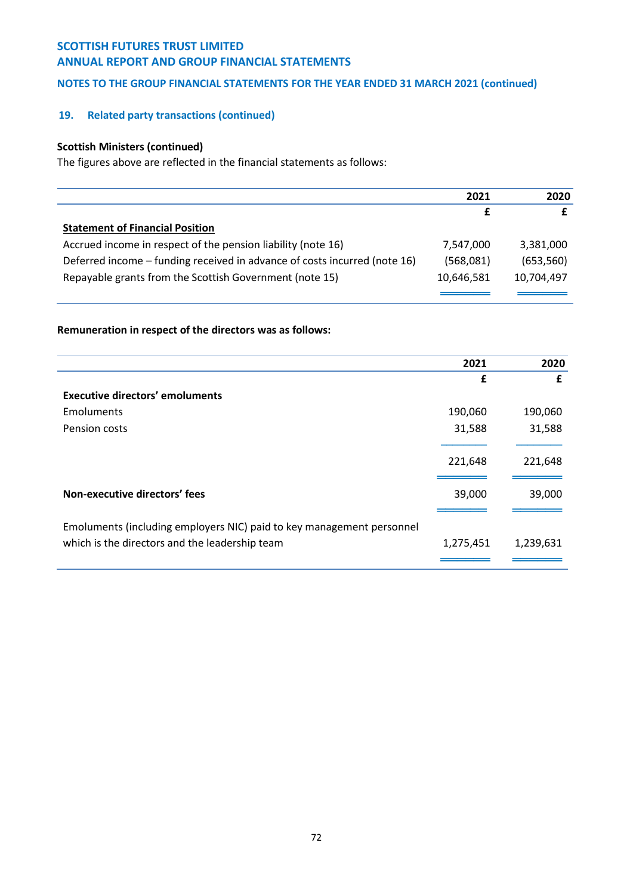## **NOTES TO THE GROUP FINANCIAL STATEMENTS FOR THE YEAR ENDED 31 MARCH 2021 (continued)**

# **19. Related party transactions (continued)**

# **Scottish Ministers (continued)**

The figures above are reflected in the financial statements as follows:

|                                                                           | 2021       | 2020       |
|---------------------------------------------------------------------------|------------|------------|
|                                                                           | £          |            |
| <b>Statement of Financial Position</b>                                    |            |            |
| Accrued income in respect of the pension liability (note 16)              | 7,547,000  | 3,381,000  |
| Deferred income – funding received in advance of costs incurred (note 16) | (568,081)  | (653, 560) |
| Repayable grants from the Scottish Government (note 15)                   | 10,646,581 | 10,704,497 |
|                                                                           |            |            |

## **Remuneration in respect of the directors was as follows:**

|                                                                       | 2021      | 2020      |
|-----------------------------------------------------------------------|-----------|-----------|
|                                                                       | £         | £         |
| Executive directors' emoluments                                       |           |           |
| Emoluments                                                            | 190,060   | 190,060   |
| Pension costs                                                         | 31,588    | 31,588    |
|                                                                       | 221,648   | 221,648   |
| Non-executive directors' fees                                         | 39,000    | 39,000    |
| Emoluments (including employers NIC) paid to key management personnel |           |           |
| which is the directors and the leadership team                        | 1,275,451 | 1,239,631 |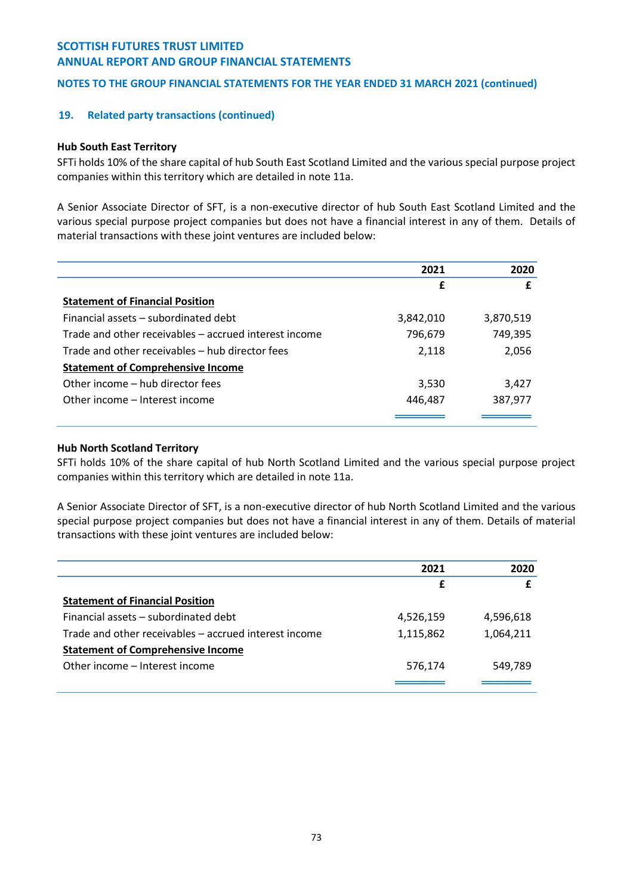## **NOTES TO THE GROUP FINANCIAL STATEMENTS FOR THE YEAR ENDED 31 MARCH 2021 (continued)**

# **19. Related party transactions (continued)**

## **Hub South East Territory**

SFTi holds 10% of the share capital of hub South East Scotland Limited and the various special purpose project companies within this territory which are detailed in note 11a.

A Senior Associate Director of SFT, is a non-executive director of hub South East Scotland Limited and the various special purpose project companies but does not have a financial interest in any of them. Details of material transactions with these joint ventures are included below:

|                                                       | 2021      | 2020      |
|-------------------------------------------------------|-----------|-----------|
|                                                       | £         | £         |
| <b>Statement of Financial Position</b>                |           |           |
| Financial assets - subordinated debt                  | 3,842,010 | 3,870,519 |
| Trade and other receivables - accrued interest income | 796,679   | 749,395   |
| Trade and other receivables – hub director fees       | 2,118     | 2,056     |
| <b>Statement of Comprehensive Income</b>              |           |           |
| Other income – hub director fees                      | 3,530     | 3,427     |
| Other income – Interest income                        | 446,487   | 387,977   |
|                                                       |           |           |

## **Hub North Scotland Territory**

SFTi holds 10% of the share capital of hub North Scotland Limited and the various special purpose project companies within this territory which are detailed in note 11a.

A Senior Associate Director of SFT, is a non-executive director of hub North Scotland Limited and the various special purpose project companies but does not have a financial interest in any of them. Details of material transactions with these joint ventures are included below:

|                                                       | 2021      | 2020      |
|-------------------------------------------------------|-----------|-----------|
|                                                       | £         |           |
| <b>Statement of Financial Position</b>                |           |           |
| Financial assets – subordinated debt                  | 4,526,159 | 4,596,618 |
| Trade and other receivables – accrued interest income | 1,115,862 | 1,064,211 |
| <b>Statement of Comprehensive Income</b>              |           |           |
| Other income – Interest income                        | 576,174   | 549,789   |
|                                                       |           |           |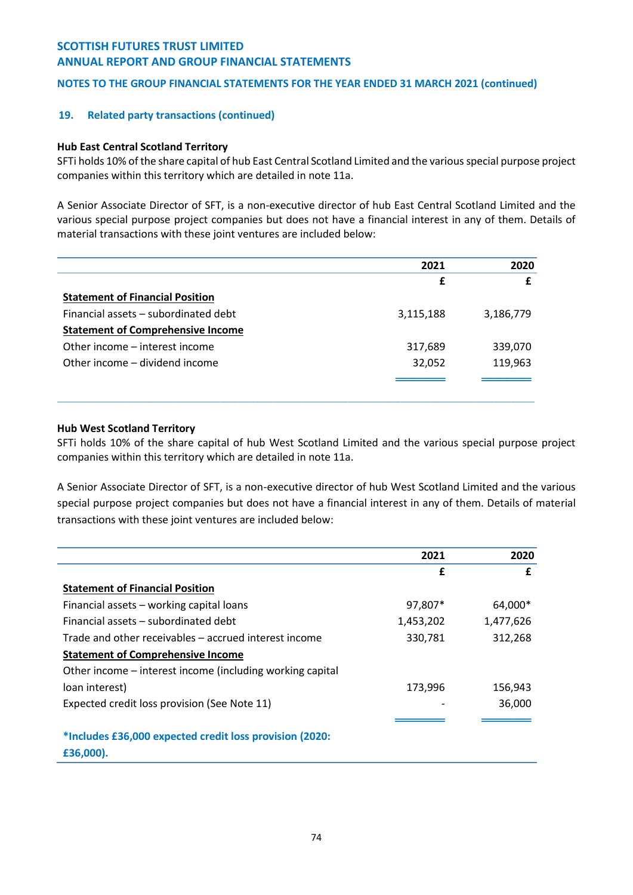#### **NOTES TO THE GROUP FINANCIAL STATEMENTS FOR THE YEAR ENDED 31 MARCH 2021 (continued)**

## **19. Related party transactions (continued)**

#### **Hub East Central Scotland Territory**

SFTi holds 10% of the share capital of hub East Central Scotland Limited and the various special purpose project companies within this territory which are detailed in note 11a.

A Senior Associate Director of SFT, is a non-executive director of hub East Central Scotland Limited and the various special purpose project companies but does not have a financial interest in any of them. Details of material transactions with these joint ventures are included below:

|                                          | 2021      | 2020      |
|------------------------------------------|-----------|-----------|
|                                          | £         |           |
| <b>Statement of Financial Position</b>   |           |           |
| Financial assets - subordinated debt     | 3,115,188 | 3,186,779 |
| <b>Statement of Comprehensive Income</b> |           |           |
| Other income – interest income           | 317,689   | 339,070   |
| Other income – dividend income           | 32,052    | 119,963   |
|                                          |           |           |
|                                          |           |           |

#### **Hub West Scotland Territory**

SFTi holds 10% of the share capital of hub West Scotland Limited and the various special purpose project companies within this territory which are detailed in note 11a.

A Senior Associate Director of SFT, is a non-executive director of hub West Scotland Limited and the various special purpose project companies but does not have a financial interest in any of them. Details of material transactions with these joint ventures are included below:

|                                                           | 2021      | 2020      |
|-----------------------------------------------------------|-----------|-----------|
|                                                           | £         | £         |
| <b>Statement of Financial Position</b>                    |           |           |
| Financial assets - working capital loans                  | 97,807*   | 64,000*   |
| Financial assets – subordinated debt                      | 1,453,202 | 1,477,626 |
| Trade and other receivables – accrued interest income     | 330,781   | 312,268   |
| <b>Statement of Comprehensive Income</b>                  |           |           |
| Other income – interest income (including working capital |           |           |
| loan interest)                                            | 173,996   | 156,943   |
| Expected credit loss provision (See Note 11)              |           | 36,000    |
|                                                           |           |           |
| *Includes £36,000 expected credit loss provision (2020:   |           |           |
| £36,000).                                                 |           |           |
|                                                           |           |           |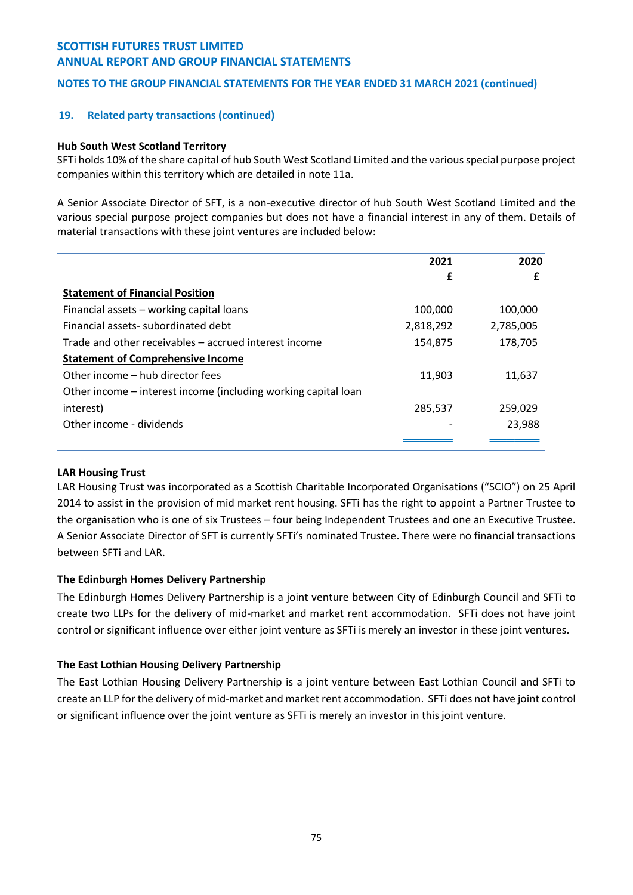## **NOTES TO THE GROUP FINANCIAL STATEMENTS FOR THE YEAR ENDED 31 MARCH 2021 (continued)**

# **19. Related party transactions (continued)**

## **Hub South West Scotland Territory**

SFTi holds 10% of the share capital of hub South West Scotland Limited and the various special purpose project companies within this territory which are detailed in note 11a.

A Senior Associate Director of SFT, is a non-executive director of hub South West Scotland Limited and the various special purpose project companies but does not have a financial interest in any of them. Details of material transactions with these joint ventures are included below:

|                                                                | 2021      | 2020      |
|----------------------------------------------------------------|-----------|-----------|
|                                                                | £         | £         |
| <b>Statement of Financial Position</b>                         |           |           |
| Financial assets – working capital loans                       | 100,000   | 100,000   |
| Financial assets-subordinated debt                             | 2,818,292 | 2,785,005 |
| Trade and other receivables – accrued interest income          | 154,875   | 178,705   |
| <b>Statement of Comprehensive Income</b>                       |           |           |
| Other income – hub director fees                               | 11,903    | 11,637    |
| Other income – interest income (including working capital loan |           |           |
| interest)                                                      | 285,537   | 259,029   |
| Other income - dividends                                       |           | 23,988    |
|                                                                |           |           |

## **LAR Housing Trust**

LAR Housing Trust was incorporated as a Scottish Charitable Incorporated Organisations ("SCIO") on 25 April 2014 to assist in the provision of mid market rent housing. SFTi has the right to appoint a Partner Trustee to the organisation who is one of six Trustees – four being Independent Trustees and one an Executive Trustee. A Senior Associate Director of SFT is currently SFTi's nominated Trustee. There were no financial transactions between SFTi and LAR.

## **The Edinburgh Homes Delivery Partnership**

The Edinburgh Homes Delivery Partnership is a joint venture between City of Edinburgh Council and SFTi to create two LLPs for the delivery of mid-market and market rent accommodation. SFTi does not have joint control or significant influence over either joint venture as SFTi is merely an investor in these joint ventures.

## **The East Lothian Housing Delivery Partnership**

The East Lothian Housing Delivery Partnership is a joint venture between East Lothian Council and SFTi to create an LLP for the delivery of mid-market and market rent accommodation. SFTi does not have joint control or significant influence over the joint venture as SFTi is merely an investor in this joint venture.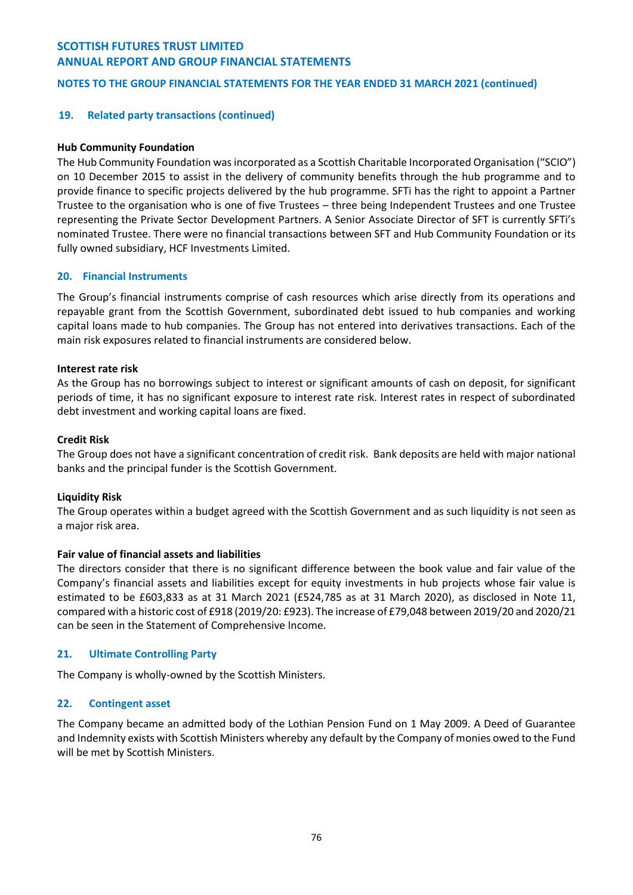## **NOTES TO THE GROUP FINANCIAL STATEMENTS FOR THE YEAR ENDED 31 MARCH 2021 (continued)**

# **19. Related party transactions (continued)**

#### **Hub Community Foundation**

The Hub Community Foundation was incorporated as a Scottish Charitable Incorporated Organisation ("SCIO") on 10 December 2015 to assist in the delivery of community benefits through the hub programme and to provide finance to specific projects delivered by the hub programme. SFTi has the right to appoint a Partner Trustee to the organisation who is one of five Trustees – three being Independent Trustees and one Trustee representing the Private Sector Development Partners. A Senior Associate Director of SFT is currently SFTi's nominated Trustee. There were no financial transactions between SFT and Hub Community Foundation or its fully owned subsidiary, HCF Investments Limited.

## **20. Financial Instruments**

The Group's financial instruments comprise of cash resources which arise directly from its operations and repayable grant from the Scottish Government, subordinated debt issued to hub companies and working capital loans made to hub companies. The Group has not entered into derivatives transactions. Each of the main risk exposures related to financial instruments are considered below.

#### **Interest rate risk**

As the Group has no borrowings subject to interest or significant amounts of cash on deposit, for significant periods of time, it has no significant exposure to interest rate risk. Interest rates in respect of subordinated debt investment and working capital loans are fixed.

#### **Credit Risk**

The Group does not have a significant concentration of credit risk. Bank deposits are held with major national banks and the principal funder is the Scottish Government.

## **Liquidity Risk**

The Group operates within a budget agreed with the Scottish Government and as such liquidity is not seen as a major risk area.

## **Fair value of financial assets and liabilities**

The directors consider that there is no significant difference between the book value and fair value of the Company's financial assets and liabilities except for equity investments in hub projects whose fair value is estimated to be £603,833 as at 31 March 2021 (£524,785 as at 31 March 2020), as disclosed in Note 11, compared with a historic cost of £918 (2019/20: £923). The increase of £79,048 between 2019/20 and 2020/21 can be seen in the Statement of Comprehensive Income.

## **21. Ultimate Controlling Party**

The Company is wholly-owned by the Scottish Ministers.

## **22. Contingent asset**

The Company became an admitted body of the Lothian Pension Fund on 1 May 2009. A Deed of Guarantee and Indemnity exists with Scottish Ministers whereby any default by the Company of monies owed to the Fund will be met by Scottish Ministers.